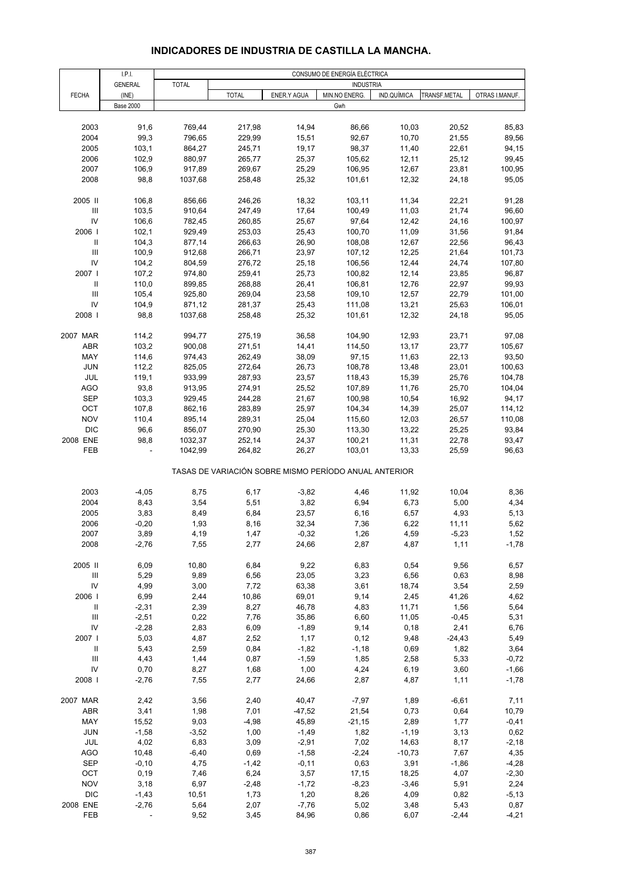### **INDICADORES DE INDUSTRIA DE CASTILLA LA MANCHA.**

|                                    | I.P.I.           |              |              |             | CONSUMO DE ENERGÍA ELÉCTRICA                          |             |              |                |
|------------------------------------|------------------|--------------|--------------|-------------|-------------------------------------------------------|-------------|--------------|----------------|
|                                    | <b>GENERAL</b>   | <b>TOTAL</b> |              |             | <b>INDUSTRIA</b>                                      |             |              |                |
| <b>FECHA</b>                       | (INE)            |              | <b>TOTAL</b> | ENER.Y AGUA | MIN.NO ENERG.                                         | IND.QUÍMICA | TRANSF.METAL | OTRAS I.MANUF. |
|                                    | <b>Base 2000</b> |              |              |             | Gwh                                                   |             |              |                |
|                                    |                  |              |              |             |                                                       |             |              |                |
| 2003                               | 91,6             | 769,44       | 217,98       | 14,94       | 86,66                                                 | 10,03       | 20,52        | 85,83          |
| 2004                               | 99,3             | 796,65       | 229,99       | 15,51       | 92,67                                                 | 10,70       | 21,55        | 89,56          |
| 2005                               | 103,1            | 864,27       | 245,71       | 19,17       | 98,37                                                 | 11,40       | 22,61        | 94,15          |
| 2006                               | 102,9            | 880,97       | 265,77       | 25,37       | 105,62                                                | 12,11       | 25,12        | 99,45          |
| 2007                               | 106,9            | 917,89       | 269,67       | 25,29       | 106,95                                                | 12,67       | 23,81        | 100,95         |
| 2008                               | 98,8             | 1037,68      | 258,48       | 25,32       | 101,61                                                | 12,32       | 24,18        | 95,05          |
| 2005 II                            | 106,8            | 856,66       | 246,26       | 18,32       | 103,11                                                | 11,34       | 22,21        | 91,28          |
| $\ensuremath{\mathsf{III}}\xspace$ | 103,5            | 910,64       | 247,49       | 17,64       | 100,49                                                | 11,03       | 21,74        | 96,60          |
| IV                                 | 106,6            | 782,45       | 260,85       | 25,67       | 97,64                                                 | 12,42       | 24,16        | 100,97         |
| 2006                               | 102,1            | 929,49       | 253,03       | 25,43       | 100,70                                                | 11,09       | 31,56        | 91,84          |
| $\ensuremath{\mathsf{II}}$         | 104,3            | 877,14       | 266,63       | 26,90       | 108,08                                                | 12,67       | 22,56        | 96,43          |
| $\ensuremath{\mathsf{III}}\xspace$ | 100,9            | 912,68       | 266,71       | 23,97       | 107,12                                                | 12,25       | 21,64        | 101,73         |
| IV                                 | 104,2            | 804,59       | 276,72       | 25,18       | 106,56                                                | 12,44       | 24,74        | 107,80         |
| 2007 l                             | 107,2            | 974,80       | 259,41       | 25,73       | 100,82                                                | 12,14       | 23,85        | 96,87          |
| Ш                                  | 110,0            | 899,85       | 268,88       | 26,41       | 106,81                                                | 12,76       | 22,97        | 99,93          |
| $\mathsf{III}\,$                   | 105,4            | 925,80       | 269,04       | 23,58       | 109,10                                                | 12,57       | 22,79        | 101,00         |
| IV                                 |                  |              |              |             | 111,08                                                |             | 25,63        | 106,01         |
| 2008                               | 104,9<br>98,8    | 871,12       | 281,37       | 25,43       |                                                       | 13,21       |              | 95,05          |
|                                    |                  | 1037,68      | 258,48       | 25,32       | 101,61                                                | 12,32       | 24,18        |                |
| 2007 MAR                           | 114,2            | 994,77       | 275,19       | 36,58       | 104,90                                                | 12,93       | 23,71        | 97,08          |
| ABR                                | 103,2            | 900,08       | 271,51       | 14,41       | 114,50                                                | 13,17       | 23,77        | 105,67         |
| MAY                                | 114,6            | 974,43       | 262,49       | 38,09       | 97,15                                                 | 11,63       | 22,13        | 93,50          |
| JUN                                | 112,2            | 825,05       | 272,64       | 26,73       | 108,78                                                | 13,48       | 23,01        | 100,63         |
| <b>JUL</b>                         | 119,1            | 933,99       | 287,93       | 23,57       | 118,43                                                | 15,39       | 25,76        | 104,78         |
| <b>AGO</b>                         | 93,8             | 913,95       | 274,91       | 25,52       | 107,89                                                | 11,76       | 25,70        | 104,04         |
| <b>SEP</b>                         | 103,3            | 929,45       | 244,28       | 21,67       | 100,98                                                | 10,54       | 16,92        | 94,17          |
| OCT                                | 107,8            | 862,16       | 283,89       | 25,97       | 104,34                                                | 14,39       | 25,07        | 114,12         |
| <b>NOV</b>                         | 110,4            | 895,14       | 289,31       | 25,04       | 115,60                                                | 12,03       | 26,57        | 110,08         |
| <b>DIC</b>                         | 96,6             | 856,07       | 270,90       | 25,30       | 113,30                                                | 13,22       | 25,25        | 93,84          |
| 2008 ENE                           | 98,8             | 1032,37      | 252,14       | 24,37       | 100,21                                                | 11,31       | 22,78        | 93,47          |
| FEB                                |                  | 1042,99      | 264,82       | 26,27       | 103,01                                                | 13,33       | 25,59        | 96,63          |
|                                    |                  |              |              |             | TASAS DE VARIACIÓN SOBRE MISMO PERÍODO ANUAL ANTERIOR |             |              |                |
|                                    |                  |              |              |             |                                                       |             |              |                |
| 2003                               | $-4,05$          | 8,75         | 6,17         | $-3,82$     | 4,46                                                  | 11,92       | 10,04        | 8,36           |
| 2004                               | 8,43             | 3,54         | 5,51         | 3,82        | 6,94                                                  | 6,73        | 5,00         | 4,34           |
| 2005                               | 3,83             | 8,49         | 6,84         | 23,57       | 6, 16                                                 | 6,57        | 4,93         | 5,13           |
| 2006                               | $-0,20$          | 1,93         | 8,16         | 32,34       | 7,36                                                  | 6,22        | 11,11        | 5,62           |
| 2007                               | 3,89             | 4,19         | 1,47         | $-0,32$     | 1.26                                                  | 4,59        | $-5.23$      | 1,52           |
| 2008                               | $-2,76$          | 7,55         | 2,77         | 24,66       | 2,87                                                  | 4,87        | 1,11         | $-1,78$        |
| 2005 II                            | 6,09             | 10,80        | 6,84         | 9,22        | 6,83                                                  | 0,54        | 9,56         | 6,57           |
| Ш                                  | 5,29             | 9,89         | 6,56         | 23,05       | 3,23                                                  | 6,56        | 0,63         | 8,98           |
| IV                                 | 4,99             | 3,00         | 7,72         | 63,38       | 3,61                                                  | 18,74       | 3,54         | 2,59           |
| 2006                               | 6,99             | 2,44         | 10,86        | 69,01       | 9,14                                                  | 2,45        | 41,26        | 4,62           |
| Ш                                  | $-2,31$          | 2,39         | 8,27         | 46,78       | 4,83                                                  | 11,71       | 1,56         | 5,64           |
| $\ensuremath{\mathsf{III}}\xspace$ | $-2,51$          | 0,22         | 7,76         | 35,86       | 6,60                                                  | 11,05       | $-0,45$      | 5,31           |
| IV                                 | $-2,28$          | 2,83         | 6,09         | $-1,89$     | 9,14                                                  | 0,18        | 2,41         | 6,76           |
| 2007 l                             | 5,03             | 4,87         | 2,52         | 1,17        | 0,12                                                  | 9,48        | $-24,43$     | 5,49           |
| Ш                                  | 5,43             | 2,59         | 0,84         | $-1,82$     | $-1,18$                                               | 0,69        | 1,82         | 3,64           |
| $\ensuremath{\mathsf{III}}\xspace$ | 4,43             | 1,44         | 0,87         | $-1,59$     | 1,85                                                  | 2,58        | 5,33         | $-0,72$        |
| IV                                 | 0,70             | 8,27         | 1,68         | 1,00        | 4,24                                                  | 6,19        | 3,60         | $-1,66$        |
| 2008                               | $-2,76$          | 7,55         | 2,77         | 24,66       | 2,87                                                  | 4,87        | 1,11         | $-1,78$        |
|                                    |                  |              |              |             |                                                       |             |              |                |
| 2007 MAR                           | 2,42             | 3,56         | 2,40         | 40,47       | $-7,97$                                               | 1,89        | $-6,61$      | 7,11           |
| ABR                                | 3,41             | 1,98         | 7,01         | $-47,52$    | 21,54                                                 | 0,73        | 0,64         | 10,79          |
| MAY                                | 15,52            | 9,03         | $-4,98$      | 45,89       | $-21,15$                                              | 2,89        | 1,77         | $-0,41$        |
| JUN                                | $-1,58$          | $-3,52$      | 1,00         | $-1,49$     | 1,82                                                  | $-1,19$     | 3,13         | 0,62           |
| JUL                                | 4,02             | 6,83         | 3,09         | $-2,91$     | 7,02                                                  | 14,63       | 8,17         | $-2,18$        |
| <b>AGO</b>                         | 10,48            | $-6,40$      | 0,69         | $-1,58$     | $-2,24$                                               | $-10,73$    | 7,67         | 4,35           |
| <b>SEP</b>                         | $-0,10$          | 4,75         | $-1,42$      | $-0,11$     | 0,63                                                  | 3,91        | $-1,86$      | $-4,28$        |
| OCT                                | 0, 19            | 7,46         | 6,24         | 3,57        | 17,15                                                 | 18,25       | 4,07         | $-2,30$        |
| <b>NOV</b>                         | 3,18             | 6,97         | $-2,48$      | $-1,72$     | $-8,23$                                               | $-3,46$     | 5,91         | 2,24           |
| <b>DIC</b>                         | $-1,43$          | 10,51        | 1,73         | 1,20        | 8,26                                                  | 4,09        | 0,82         | $-5,13$        |
| 2008 ENE                           | $-2,76$          | 5,64         | 2,07         | $-7,76$     | 5,02                                                  | 3,48        | 5,43         | 0,87           |
| FEB                                |                  | 9,52         | 3,45         | 84,96       | 0,86                                                  | 6,07        | $-2,44$      | $-4,21$        |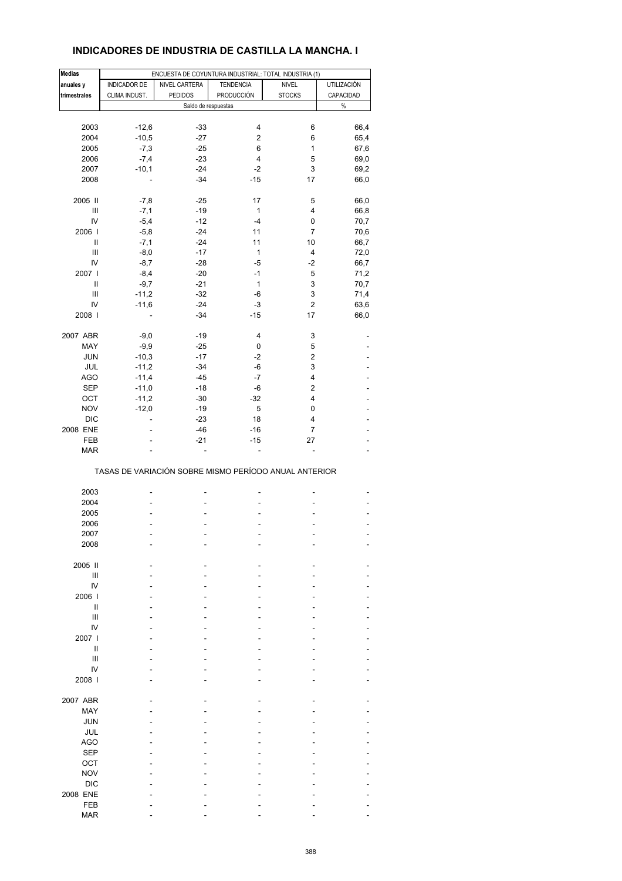## **INDICADORES DE INDUSTRIA DE CASTILLA LA MANCHA. I**

| <b>Medias</b>    |               | ENCUESTA DE COYUNTURA INDUSTRIAL: TOTAL INDUSTRIA (1) |                  |               |             |  |  |  |
|------------------|---------------|-------------------------------------------------------|------------------|---------------|-------------|--|--|--|
| anuales y        | INDICADOR DE  | NIVEL CARTERA                                         | <b>TENDENCIA</b> | <b>NIVEL</b>  | UTILIZACIÓN |  |  |  |
| trimestrales     | CLIMA INDUST. | <b>PEDIDOS</b>                                        | PRODUCCIÓN       | <b>STOCKS</b> | CAPACIDAD   |  |  |  |
|                  |               | Saldo de respuestas                                   |                  |               | $\%$        |  |  |  |
|                  |               |                                                       |                  |               |             |  |  |  |
| 2003             | $-12,6$       | $-33$                                                 | 4                | 6             | 66,4        |  |  |  |
| 2004             | $-10,5$       | $-27$                                                 | 2                | 6             | 65,4        |  |  |  |
| 2005             | $-7,3$        | $-25$                                                 | 6                | 1             | 67,6        |  |  |  |
| 2006             | $-7,4$        | $-23$                                                 | 4                | 5             | 69,0        |  |  |  |
| 2007             | $-10,1$       | $-24$                                                 | $-2$             | 3             | 69,2        |  |  |  |
| 2008             |               | $-34$                                                 | $-15$            | 17            | 66,0        |  |  |  |
| 2005 II          | $-7,8$        | $-25$                                                 | 17               | 5             | 66,0        |  |  |  |
| Ш                | $-7,1$        | $-19$                                                 | $\mathbf{1}$     | 4             | 66,8        |  |  |  |
| IV               | $-5,4$        | $-12$                                                 | $-4$             | 0             | 70,7        |  |  |  |
| 2006             | $-5,8$        | $-24$                                                 | 11               | 7             | 70,6        |  |  |  |
| Ш                | $-7,1$        | $-24$                                                 | 11               | 10            | 66,7        |  |  |  |
| $\mathsf{III}\,$ | $-8,0$        | $-17$                                                 | $\mathbf{1}$     | 4             | 72,0        |  |  |  |
| IV               | $-8,7$        | $-28$                                                 | $-5$             | $-2$          | 66,7        |  |  |  |
| 2007             | $-8,4$        | $-20$                                                 | $-1$             | 5             | 71,2        |  |  |  |
| $\mathbf{I}$     | $-9,7$        | $-21$                                                 | $\mathbf{1}$     | 3             | 70,7        |  |  |  |
| Ш                | $-11,2$       | $-32$                                                 | -6               | 3             | 71,4        |  |  |  |
| IV               | $-11,6$       | $-24$                                                 | $-3$             | $\mathbf 2$   | 63,6        |  |  |  |
| 2008             |               | $-34$                                                 | $-15$            | 17            | 66,0        |  |  |  |
| 2007 ABR         | $-9,0$        | $-19$                                                 | 4                | 3             |             |  |  |  |
| MAY              | $-9,9$        | $-25$                                                 | 0                | 5             |             |  |  |  |
| JUN              | $-10,3$       | $-17$                                                 | $-2$             | 2             |             |  |  |  |
| JUL              | $-11,2$       | $-34$                                                 | -6               | 3             |             |  |  |  |
| AGO              | $-11,4$       | $-45$                                                 | $-7$             | 4             |             |  |  |  |
| SEP              | $-11,0$       | $-18$                                                 | -6               | 2             |             |  |  |  |
| OCT              | $-11,2$       | $-30$                                                 | $-32$            | 4             |             |  |  |  |
| <b>NOV</b>       | $-12,0$       | $-19$                                                 | 5                | 0             |             |  |  |  |
| DIC              | ÷.            | $-23$                                                 | 18               | 4             |             |  |  |  |
| 2008 ENE         |               | $-46$                                                 | $-16$            | 7             |             |  |  |  |
| FEB              |               | $-21$                                                 | $-15$            | 27            |             |  |  |  |
| <b>MAR</b>       |               |                                                       | ä,               |               |             |  |  |  |
|                  |               | TASAS DE VARIACIÓN SOBRE MISMO PERÍODO ANUAL ANTERIOR |                  |               |             |  |  |  |
| 2003             |               |                                                       |                  |               |             |  |  |  |
| 2004             |               |                                                       |                  |               |             |  |  |  |
| 2005             |               |                                                       |                  |               |             |  |  |  |
| 2006             |               |                                                       |                  |               |             |  |  |  |
| 2007             |               |                                                       |                  |               |             |  |  |  |
| 2008             |               |                                                       |                  |               |             |  |  |  |
|                  |               |                                                       |                  |               |             |  |  |  |
| 2005 II          |               |                                                       |                  |               |             |  |  |  |
| Ш<br>IV          |               |                                                       |                  |               |             |  |  |  |
| 2006             |               |                                                       |                  |               |             |  |  |  |
| $\mathbf{I}$     |               |                                                       |                  |               |             |  |  |  |
| Ш                |               |                                                       |                  |               |             |  |  |  |
| IV               |               |                                                       |                  |               |             |  |  |  |
| 2007 l           |               |                                                       |                  |               |             |  |  |  |
| $\mathbf{I}$     |               |                                                       |                  |               |             |  |  |  |
| Ш                |               |                                                       |                  |               |             |  |  |  |
|                  |               |                                                       |                  |               |             |  |  |  |
| IV               |               |                                                       |                  |               |             |  |  |  |
| 2008             |               |                                                       |                  |               |             |  |  |  |
| 2007 ABR         |               |                                                       |                  |               |             |  |  |  |
| MAY              |               |                                                       |                  |               |             |  |  |  |
| JUN              |               |                                                       |                  |               |             |  |  |  |
| JUL              |               |                                                       |                  |               |             |  |  |  |
| <b>AGO</b>       |               |                                                       |                  |               |             |  |  |  |
| <b>SEP</b>       |               |                                                       |                  |               |             |  |  |  |
| OCT              |               |                                                       |                  |               |             |  |  |  |
| <b>NOV</b>       |               |                                                       |                  |               |             |  |  |  |
| <b>DIC</b>       |               |                                                       |                  |               |             |  |  |  |
| 2008 ENE         |               |                                                       |                  |               |             |  |  |  |
| FEB              |               |                                                       |                  |               |             |  |  |  |
| <b>MAR</b>       |               |                                                       |                  |               |             |  |  |  |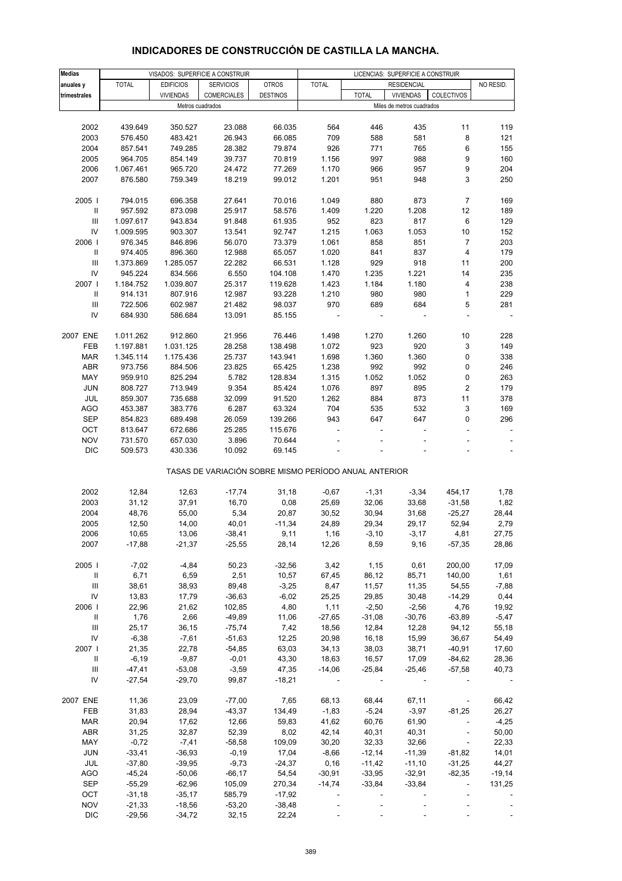| <b>Medias</b>                      |              |                  | VISADOS: SUPERFICIE A CONSTRUIR                       |                 |              |              | LICENCIAS: SUPERFICIE A CONSTRUIR |                             |           |
|------------------------------------|--------------|------------------|-------------------------------------------------------|-----------------|--------------|--------------|-----------------------------------|-----------------------------|-----------|
| anuales y                          | <b>TOTAL</b> | <b>EDIFICIOS</b> | <b>SERVICIOS</b>                                      | <b>OTROS</b>    | <b>TOTAL</b> |              | <b>RESIDENCIAL</b>                |                             | NO RESID. |
|                                    |              | <b>VIVIENDAS</b> | <b>COMERCIALES</b>                                    | <b>DESTINOS</b> |              | <b>TOTAL</b> | <b>VIVIENDAS</b>                  | <b>COLECTIVOS</b>           |           |
| trimestrales                       |              |                  |                                                       |                 |              |              |                                   |                             |           |
|                                    |              |                  | Metros cuadrados                                      |                 |              |              | Miles de metros cuadrados         |                             |           |
|                                    |              |                  |                                                       |                 |              |              |                                   |                             |           |
| 2002                               | 439.649      | 350.527          | 23.088                                                | 66.035          | 564          | 446          | 435                               | 11                          | 119       |
| 2003                               | 576.450      | 483.421          | 26.943                                                | 66.085          | 709          | 588          | 581                               | 8                           | 121       |
| 2004                               | 857.541      | 749.285          | 28.382                                                | 79.874          | 926          | 771          | 765                               | 6                           | 155       |
| 2005                               | 964.705      | 854.149          | 39.737                                                | 70.819          | 1.156        | 997          | 988                               | 9                           | 160       |
|                                    |              |                  |                                                       |                 |              |              |                                   |                             |           |
| 2006                               | 1.067.461    | 965.720          | 24.472                                                | 77.269          | 1.170        | 966          | 957                               | 9                           | 204       |
| 2007                               | 876.580      | 759.349          | 18.219                                                | 99.012          | 1.201        | 951          | 948                               | 3                           | 250       |
|                                    |              |                  |                                                       |                 |              |              |                                   |                             |           |
| 2005                               | 794.015      | 696.358          | 27.641                                                | 70.016          | 1.049        | 880          | 873                               | 7                           | 169       |
| Ш                                  | 957.592      | 873.098          | 25.917                                                | 58.576          | 1.409        | 1.220        | 1.208                             | 12                          | 189       |
|                                    |              |                  |                                                       |                 |              |              |                                   |                             |           |
| $\ensuremath{\mathsf{III}}\xspace$ | 1.097.617    | 943.834          | 91.848                                                | 61.935          | 952          | 823          | 817                               | 6                           | 129       |
| IV                                 | 1.009.595    | 903.307          | 13.541                                                | 92.747          | 1.215        | 1.063        | 1.053                             | 10                          | 152       |
| 2006                               | 976.345      | 846.896          | 56.070                                                | 73.379          | 1.061        | 858          | 851                               | $\overline{7}$              | 203       |
| Ш                                  | 974.405      | 896.360          | 12.988                                                | 65.057          | 1.020        | 841          | 837                               | 4                           | 179       |
|                                    |              |                  |                                                       |                 |              |              |                                   |                             |           |
| Ш                                  | 1.373.869    | 1.285.057        | 22.282                                                | 66.531          | 1.128        | 929          | 918                               | 11                          | 200       |
| IV                                 | 945.224      | 834.566          | 6.550                                                 | 104.108         | 1.470        | 1.235        | 1.221                             | 14                          | 235       |
| 2007                               | 1.184.752    | 1.039.807        | 25.317                                                | 119.628         | 1.423        | 1.184        | 1.180                             | 4                           | 238       |
| Ш                                  | 914.131      | 807.916          | 12.987                                                | 93.228          | 1.210        | 980          | 980                               | $\mathbf{1}$                | 229       |
| Ш                                  | 722.506      | 602.987          | 21.482                                                | 98.037          | 970          | 689          | 684                               | 5                           | 281       |
|                                    |              |                  |                                                       |                 |              |              |                                   |                             |           |
| IV                                 | 684.930      | 586.684          | 13.091                                                | 85.155          |              |              |                                   |                             |           |
|                                    |              |                  |                                                       |                 |              |              |                                   |                             |           |
| 2007 ENE                           | 1.011.262    | 912.860          | 21.956                                                | 76.446          | 1.498        | 1.270        | 1.260                             | 10                          | 228       |
| FEB                                | 1.197.881    | 1.031.125        | 28.258                                                | 138.498         | 1.072        | 923          | 920                               | 3                           | 149       |
| <b>MAR</b>                         | 1.345.114    | 1.175.436        | 25.737                                                | 143.941         | 1.698        | 1.360        | 1.360                             | 0                           | 338       |
| <b>ABR</b>                         | 973.756      | 884.506          | 23.825                                                | 65.425          | 1.238        | 992          | 992                               | 0                           | 246       |
|                                    |              |                  |                                                       |                 |              |              |                                   |                             |           |
| MAY                                | 959.910      | 825.294          | 5.782                                                 | 128.834         | 1.315        | 1.052        | 1.052                             | 0                           | 263       |
| <b>JUN</b>                         | 808.727      | 713.949          | 9.354                                                 | 85.424          | 1.076        | 897          | 895                               | $\overline{\mathbf{c}}$     | 179       |
| JUL                                | 859.307      | 735.688          | 32.099                                                | 91.520          | 1.262        | 884          | 873                               | 11                          | 378       |
| <b>AGO</b>                         | 453.387      | 383.776          | 6.287                                                 | 63.324          | 704          | 535          | 532                               | 3                           | 169       |
| <b>SEP</b>                         | 854.823      | 689.498          | 26.059                                                | 139.266         | 943          | 647          | 647                               | 0                           | 296       |
|                                    |              |                  |                                                       |                 |              |              |                                   |                             |           |
| OCT                                | 813.647      | 672.686          | 25.285                                                | 115.676         |              |              |                                   |                             |           |
| <b>NOV</b>                         | 731.570      | 657.030          | 3.896                                                 | 70.644          |              |              |                                   |                             |           |
| <b>DIC</b>                         | 509.573      | 430.336          | 10.092                                                | 69.145          |              |              |                                   |                             |           |
|                                    |              |                  |                                                       |                 |              |              |                                   |                             |           |
|                                    |              |                  | TASAS DE VARIACIÓN SOBRE MISMO PERÍODO ANUAL ANTERIOR |                 |              |              |                                   |                             |           |
|                                    |              |                  |                                                       |                 |              |              |                                   |                             |           |
| 2002                               | 12,84        | 12,63            | $-17,74$                                              | 31,18           | $-0,67$      | $-1,31$      | $-3,34$                           | 454,17                      | 1,78      |
| 2003                               | 31,12        | 37,91            | 16,70                                                 | 0,08            | 25,69        | 32,06        | 33,68                             | $-31,58$                    | 1,82      |
| 2004                               | 48,76        | 55,00            | 5,34                                                  | 20,87           |              | 30,94        |                                   | $-25,27$                    |           |
|                                    |              |                  |                                                       |                 | 30,52        |              | 31,68                             |                             | 28,44     |
| 2005                               | 12,50        | 14,00            | 40,01                                                 | $-11,34$        | 24,89        | 29,34        | 29,17                             | 52,94                       | 2,79      |
| 2006                               | 10,65        | 13,06            | $-38,41$                                              | 9,11            | 1,16         | $-3,10$      | $-3,17$                           | 4,81                        | 27,75     |
| 2007                               | $-17,88$     | $-21,37$         | $-25,55$                                              | 28,14           | 12,26        | 8,59         | 9,16                              | $-57,35$                    | 28,86     |
|                                    |              |                  |                                                       |                 |              |              |                                   |                             |           |
| 2005                               | $-7,02$      | $-4,84$          | 50,23                                                 | $-32,56$        | 3,42         | 1,15         | 0,61                              | 200,00                      | 17,09     |
|                                    |              |                  |                                                       |                 |              |              |                                   |                             |           |
| Ш                                  | 6,71         | 6,59             | 2,51                                                  | 10,57           | 67,45        | 86,12        | 85,71                             | 140,00                      | 1,61      |
| Ш                                  | 38,61        | 38,93            | 89,48                                                 | $-3,25$         | 8,47         | 11,57        | 11,35                             | 54,55                       | $-7,88$   |
| IV                                 | 13,83        | 17,79            | $-36,63$                                              | $-6,02$         | 25,25        | 29,85        | 30,48                             | $-14,29$                    | 0,44      |
| 2006                               | 22,96        | 21,62            | 102,85                                                | 4,80            | 1,11         | $-2,50$      | $-2,56$                           | 4,76                        | 19,92     |
| $\mathbf{II}$                      | 1,76         | 2,66             | $-49,89$                                              | 11,06           | $-27,65$     | $-31,08$     | $-30,76$                          | $-63,89$                    | $-5,47$   |
| $\ensuremath{\mathsf{III}}\xspace$ | 25,17        | 36,15            | $-75,74$                                              |                 |              | 12,84        | 12,28                             |                             |           |
|                                    |              |                  |                                                       | 7,42            | 18,56        |              |                                   | 94,12                       | 55,18     |
| IV                                 | $-6,38$      | $-7,61$          | $-51,63$                                              | 12,25           | 20,98        | 16,18        | 15,99                             | 36,67                       | 54,49     |
| 2007                               | 21,35        | 22,78            | $-54,85$                                              | 63,03           | 34,13        | 38,03        | 38,71                             | $-40,91$                    | 17,60     |
| $\mathbf{II}$                      | $-6,19$      | $-9,87$          | $-0,01$                                               | 43,30           | 18,63        | 16,57        | 17,09                             | $-84,62$                    | 28,36     |
| Ш                                  | $-47,41$     | $-53,08$         | $-3,59$                                               | 47,35           | $-14,06$     | $-25,84$     | $-25,46$                          | $-57,58$                    | 40,73     |
| IV                                 | $-27,54$     | $-29,70$         | 99,87                                                 | $-18,21$        |              |              |                                   |                             |           |
|                                    |              |                  |                                                       |                 |              |              |                                   |                             |           |
|                                    |              |                  |                                                       |                 |              |              |                                   |                             |           |
| 2007 ENE                           | 11,36        | 23,09            | $-77,00$                                              | 7,65            | 68,13        | 68,44        | 67,11                             | $\sim$                      | 66,42     |
| FEB                                | 31,83        | 28,94            | $-43,37$                                              | 134,49          | $-1,83$      | $-5,24$      | $-3,97$                           | $-81,25$                    | 26,27     |
| <b>MAR</b>                         | 20,94        | 17,62            | 12,66                                                 | 59,83           | 41,62        | 60,76        | 61,90                             | $\sim$                      | $-4,25$   |
| ABR                                | 31,25        | 32,87            | 52,39                                                 | 8,02            | 42,14        | 40,31        | 40,31                             | $\sim$                      | 50,00     |
| MAY                                | $-0,72$      | $-7,41$          | $-58,58$                                              |                 |              | 32,33        |                                   | $\sim$                      | 22,33     |
|                                    |              |                  |                                                       | 109,09          | 30,20        |              | 32,66                             |                             |           |
| <b>JUN</b>                         | $-33,41$     | $-36,93$         | $-0,19$                                               | 17,04           | $-8,66$      | $-12,14$     | $-11,39$                          | $-81,82$                    | 14,01     |
| JUL                                | $-37,80$     | $-39,95$         | $-9,73$                                               | $-24,37$        | 0,16         | $-11,42$     | $-11,10$                          | $-31,25$                    | 44,27     |
| <b>AGO</b>                         | $-45,24$     | $-50,06$         | $-66,17$                                              | 54,54           | $-30,91$     | $-33,95$     | $-32,91$                          | $-82,35$                    | $-19,14$  |
| <b>SEP</b>                         | $-55,29$     | $-62,96$         | 105,09                                                | 270,34          | $-14,74$     | $-33,84$     | $-33,84$                          | $\mathcal{L}_{\mathcal{A}}$ | 131,25    |
|                                    |              |                  |                                                       |                 |              |              |                                   |                             |           |
| OCT                                | $-31,18$     | $-35,17$         | 585,79                                                | $-17,92$        |              |              |                                   |                             |           |
| <b>NOV</b>                         | $-21,33$     | $-18,56$         | $-53,20$                                              | $-38,48$        |              |              |                                   |                             |           |
| <b>DIC</b>                         | $-29,56$     | $-34,72$         | 32,15                                                 | 22,24           |              |              |                                   |                             |           |

## **INDICADORES DE CONSTRUCCIÓN DE CASTILLA LA MANCHA.**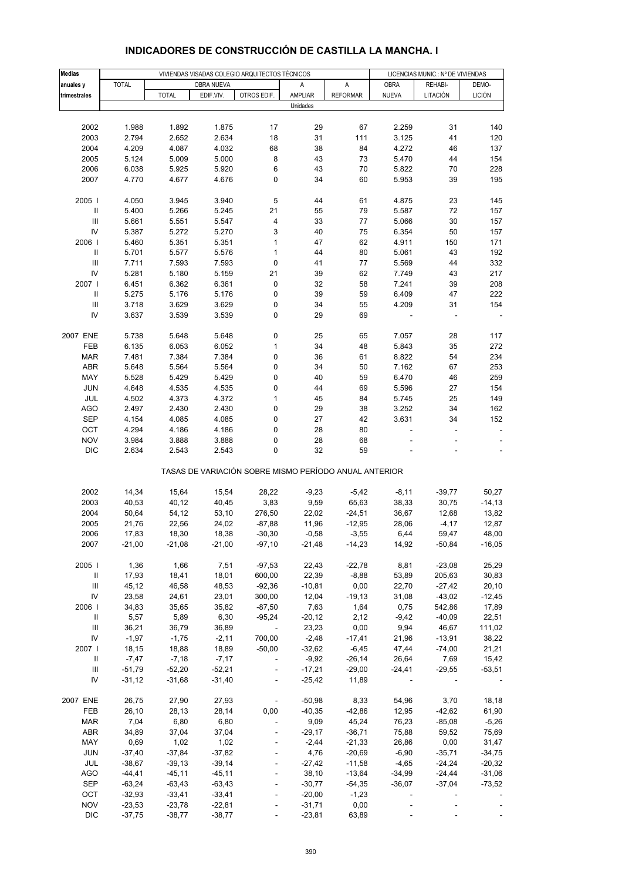| <b>Medias</b>                      |              |              |            | VIVIENDAS VISADAS COLEGIO ARQUITECTOS TÉCNICOS |                                                       |                 | LICENCIAS MUNIC.: Nº DE VIVIENDAS |          |                          |  |
|------------------------------------|--------------|--------------|------------|------------------------------------------------|-------------------------------------------------------|-----------------|-----------------------------------|----------|--------------------------|--|
| anuales y                          | <b>TOTAL</b> |              | OBRA NUEVA |                                                | Α                                                     | A               | <b>OBRA</b>                       | REHABI-  | DEMO-                    |  |
| trimestrales                       |              | <b>TOTAL</b> | EDIF.VIV.  | OTROS EDIF.                                    | AMPLIAR                                               | <b>REFORMAR</b> | <b>NUEVA</b>                      | LITACIÓN | <b>LICIÓN</b>            |  |
|                                    |              |              |            |                                                | Unidades                                              |                 |                                   |          |                          |  |
|                                    |              |              |            |                                                |                                                       |                 |                                   |          |                          |  |
| 2002                               | 1.988        | 1.892        | 1.875      | 17                                             | 29                                                    | 67              | 2.259                             | 31       | 140                      |  |
| 2003                               | 2.794        | 2.652        | 2.634      | 18                                             | 31                                                    | 111             | 3.125                             | 41       | 120                      |  |
| 2004                               | 4.209        | 4.087        | 4.032      | 68                                             | 38                                                    | 84              | 4.272                             | 46       | 137                      |  |
| 2005                               | 5.124        | 5.009        | 5.000      | 8                                              | 43                                                    | 73              | 5.470                             | 44       | 154                      |  |
| 2006                               | 6.038        | 5.925        | 5.920      | 6                                              | 43                                                    | 70              | 5.822                             | 70       | 228                      |  |
| 2007                               | 4.770        | 4.677        | 4.676      | 0                                              | 34                                                    | 60              | 5.953                             | 39       | 195                      |  |
|                                    |              |              |            |                                                |                                                       |                 |                                   |          |                          |  |
| 2005                               | 4.050        | 3.945        | 3.940      | 5                                              | 44                                                    | 61              | 4.875                             | 23       | 145                      |  |
| $\, \parallel$                     | 5.400        | 5.266        | 5.245      | 21                                             | 55                                                    | 79              | 5.587                             | 72       | 157                      |  |
| III                                | 5.661        | 5.551        | 5.547      | 4                                              | 33                                                    | 77              | 5.066                             | 30       | 157                      |  |
| IV                                 | 5.387        | 5.272        | 5.270      | 3                                              | 40                                                    | 75              | 6.354                             | 50       | 157                      |  |
| 2006                               | 5.460        | 5.351        | 5.351      | $\mathbf{1}$                                   | 47                                                    | 62              | 4.911                             | 150      | 171                      |  |
| $\, \parallel$                     | 5.701        | 5.577        | 5.576      | $\mathbf{1}$                                   | 44                                                    | 80              | 5.061                             | 43       | 192                      |  |
| $\ensuremath{\mathsf{III}}\xspace$ | 7.711        | 7.593        | 7.593      | 0                                              | 41                                                    | 77              | 5.569                             | 44       | 332                      |  |
| IV                                 | 5.281        | 5.180        | 5.159      | 21                                             | 39                                                    | 62              | 7.749                             | 43       | 217                      |  |
| 2007                               | 6.451        | 6.362        | 6.361      | 0                                              | 32                                                    | 58              | 7.241                             | 39       | 208                      |  |
| $\, \parallel$                     | 5.275        | 5.176        | 5.176      | 0                                              | 39                                                    | 59              | 6.409                             | 47       | 222                      |  |
| $\ensuremath{\mathsf{III}}\xspace$ | 3.718        | 3.629        | 3.629      | 0                                              | 34                                                    | 55              | 4.209                             | 31       | 154                      |  |
| IV                                 | 3.637        | 3.539        | 3.539      | 0                                              | 29                                                    | 69              |                                   |          |                          |  |
|                                    |              |              |            |                                                |                                                       |                 |                                   |          |                          |  |
| 2007 ENE                           | 5.738        | 5.648        | 5.648      | 0                                              | 25                                                    | 65              | 7.057                             | 28       | 117                      |  |
| FEB                                | 6.135        | 6.053        | 6.052      | $\mathbf{1}$                                   | 34                                                    | 48              | 5.843                             | 35       | 272                      |  |
| <b>MAR</b>                         | 7.481        | 7.384        | 7.384      | 0                                              | 36                                                    | 61              | 8.822                             | 54       | 234                      |  |
| ABR                                | 5.648        | 5.564        | 5.564      | 0                                              | 34                                                    | 50              | 7.162                             | 67       | 253                      |  |
| MAY                                | 5.528        | 5.429        | 5.429      | 0                                              | 40                                                    | 59              | 6.470                             | 46       | 259                      |  |
| <b>JUN</b>                         | 4.648        | 4.535        | 4.535      | 0                                              | 44                                                    | 69              | 5.596                             | 27       | 154                      |  |
| JUL                                | 4.502        | 4.373        | 4.372      | 1                                              | 45                                                    | 84              | 5.745                             | 25       | 149                      |  |
| <b>AGO</b>                         | 2.497        | 2.430        | 2.430      | 0                                              | 29                                                    | 38              | 3.252                             | 34       | 162                      |  |
| <b>SEP</b>                         | 4.154        | 4.085        | 4.085      | 0                                              | 27                                                    | 42              | 3.631                             | 34       | 152                      |  |
| OCT                                | 4.294        | 4.186        | 4.186      | 0                                              | 28                                                    | 80              |                                   |          | $\overline{\phantom{a}}$ |  |
| <b>NOV</b>                         | 3.984        | 3.888        | 3.888      | 0                                              | 28                                                    | 68              |                                   |          |                          |  |
| <b>DIC</b>                         | 2.634        | 2.543        | 2.543      | 0                                              | 32                                                    | 59              |                                   |          |                          |  |
|                                    |              |              |            |                                                |                                                       |                 |                                   |          |                          |  |
|                                    |              |              |            |                                                | TASAS DE VARIACIÓN SOBRE MISMO PERÍODO ANUAL ANTERIOR |                 |                                   |          |                          |  |
|                                    |              |              |            |                                                |                                                       |                 |                                   |          |                          |  |
| 2002                               | 14,34        | 15,64        | 15,54      | 28,22                                          | $-9,23$                                               | $-5,42$         | $-8,11$                           | $-39,77$ | 50,27                    |  |
| 2003                               | 40,53        | 40,12        | 40,45      | 3,83                                           | 9,59                                                  | 65,63           | 38,33                             | 30,75    | $-14, 13$                |  |
| 2004                               | 50,64        | 54,12        | 53,10      | 276,50                                         | 22,02                                                 | $-24,51$        | 36,67                             | 12,68    | 13,82                    |  |
| 2005                               | 21,76        | 22,56        | 24,02      | $-87,88$                                       | 11,96                                                 | $-12,95$        | 28,06                             | $-4, 17$ | 12,87                    |  |
| 2006                               | 17,83        | 18,30        | 18,38      | $-30,30$                                       | $-0,58$                                               | $-3,55$         | 6,44                              | 59,47    | 48,00                    |  |
| 2007                               | $-21,00$     | $-21,08$     | $-21,00$   | $-97,10$                                       | $-21,48$                                              | -14,23          | 14,92                             | $-50,84$ | $-16,05$                 |  |
|                                    |              |              |            |                                                |                                                       |                 |                                   |          |                          |  |
| 2005                               | 1,36         | 1,66         | 7,51       | $-97,53$                                       | 22,43                                                 | $-22,78$        | 8,81                              | $-23,08$ | 25,29                    |  |
| Ш                                  | 17,93        | 18,41        | 18,01      | 600,00                                         | 22,39                                                 | $-8,88$         | 53,89                             | 205,63   | 30,83                    |  |
| Ш                                  | 45,12        | 46,58        | 48,53      | $-92,36$                                       | $-10,81$                                              | 0,00            | 22,70                             | $-27,42$ | 20,10                    |  |
| IV                                 | 23,58        | 24,61        | 23,01      | 300,00                                         | 12,04                                                 | $-19,13$        | 31,08                             | $-43,02$ | $-12,45$                 |  |
| 2006                               | 34,83        | 35,65        | 35,82      | $-87,50$                                       | 7,63                                                  | 1,64            | 0,75                              | 542,86   | 17,89                    |  |
| $\mathbf{H}$                       | 5,57         | 5,89         | 6,30       | $-95,24$                                       | $-20,12$                                              | 2,12            | $-9,42$                           | $-40,09$ | 22,51                    |  |
| Ш                                  | 36,21        | 36,79        | 36,89      | $\sim 100$                                     | 23,23                                                 | 0,00            | 9,94                              | 46,67    | 111,02                   |  |
| IV                                 | $-1,97$      | $-1,75$      | $-2,11$    | 700,00                                         | $-2,48$                                               | $-17,41$        | 21,96                             | $-13,91$ | 38,22                    |  |
| 2007 l                             | 18,15        | 18,88        | 18,89      | $-50,00$                                       | $-32,62$                                              | $-6,45$         | 47,44                             | $-74,00$ | 21,21                    |  |
| Ш                                  | $-7,47$      | $-7,18$      | $-7,17$    | $\blacksquare$                                 | -9,92                                                 | $-26,14$        | 26,64                             | 7,69     | 15,42                    |  |
| Ш                                  | $-51,79$     | $-52,20$     | $-52,21$   | $\blacksquare$                                 | $-17,21$                                              | $-29,00$        | $-24,41$                          | $-29,55$ | $-53,51$                 |  |
| IV                                 | $-31,12$     | $-31,68$     | $-31,40$   | $\blacksquare$                                 | $-25,42$                                              | 11,89           |                                   |          |                          |  |
|                                    |              |              |            |                                                |                                                       |                 |                                   |          |                          |  |
| 2007 ENE                           | 26,75        | 27,90        | 27,93      | $\sim 100$ m $^{-1}$                           | $-50,98$                                              | 8,33            | 54,96                             | 3,70     | 18,18                    |  |
| FEB                                | 26,10        | 28,13        | 28,14      | 0,00                                           | $-40,35$                                              | $-42,86$        | 12,95                             | $-42,62$ | 61,90                    |  |
| <b>MAR</b>                         | 7,04         | 6,80         | 6,80       | $\overline{\phantom{a}}$                       | 9,09                                                  | 45,24           | 76,23                             | $-85,08$ | $-5,26$                  |  |
| <b>ABR</b>                         | 34,89        | 37,04        | 37,04      |                                                | $-29,17$                                              | $-36,71$        | 75,88                             | 59,52    | 75,69                    |  |
| MAY                                | 0,69         | 1,02         | 1,02       |                                                | $-2,44$                                               | $-21,33$        | 26,86                             | 0,00     | 31,47                    |  |
| <b>JUN</b>                         | $-37,40$     | $-37,84$     | $-37,82$   | $\Box$                                         | 4,76                                                  | $-20,69$        | $-6,90$                           | $-35,71$ | $-34,75$                 |  |
| JUL                                | $-38,67$     | $-39,13$     | $-39,14$   |                                                | $-27,42$                                              | $-11,58$        | $-4,65$                           | $-24,24$ | $-20,32$                 |  |
| <b>AGO</b>                         | $-44,41$     | $-45,11$     | $-45,11$   |                                                | 38,10                                                 | $-13,64$        | $-34,99$                          | $-24,44$ | $-31,06$                 |  |
| SEP                                | $-63,24$     | $-63,43$     | $-63,43$   | $\blacksquare$                                 | $-30,77$                                              | $-54,35$        | $-36,07$                          | $-37,04$ | $-73,52$                 |  |
| OCT                                | $-32,93$     | $-33,41$     | $-33,41$   |                                                | $-20,00$                                              | $-1,23$         |                                   |          |                          |  |
| <b>NOV</b>                         | $-23,53$     | $-23,78$     | $-22,81$   |                                                | $-31,71$                                              | 0,00            |                                   |          |                          |  |
| <b>DIC</b>                         | $-37,75$     | $-38,77$     | $-38,77$   |                                                | $-23,81$                                              | 63,89           |                                   |          |                          |  |

#### **INDICADORES DE CONSTRUCCIÓN DE CASTILLA LA MANCHA. I**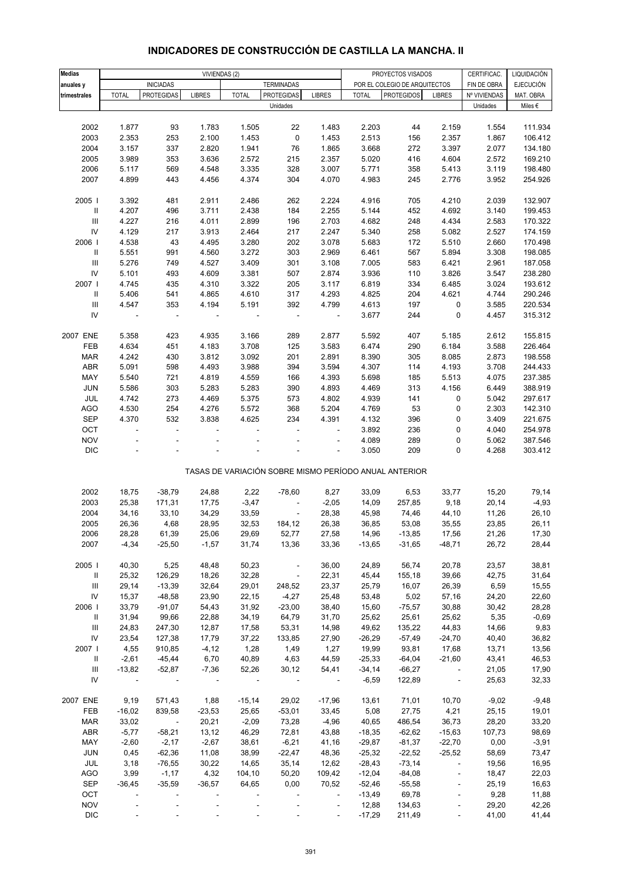#### **Medias** CERTIFICAC. LIQUIDACIÓN VIVIENDAS (2) PROYECTOS VISADOS **anuales y** FIN DE OBRA EJECUCIÓN INICIADAS TERMINADAS POR EL COLEGIO DE ARQUITECTOS trimestrales | TOTAL |PROTEGIDAS| LIBRES | TOTAL |PROTEGIDAS| LIBRES | TOTAL |PROTEGIDOS| LIBRES |Nº VIVIENDAS| MAT. OBRA Unidades Miles € 2002 1.877 93 1.783 1.505 22 1.483 2.203 44 2.159 1.554 111.934 2003 2.353 253 2.100 1.453 0 1.453 2.513 156 2.357 1.867 106.412 2004 3.157 337 2.820 1.941 76 1.865 3.668 272 3.397 2.077 134.180 2005 3.989 353 3.636 2.572 215 2.357 5.020 416 4.604 2.572 169.210 2006 5.117 569 4.548 3.335 328 3.007 5.771 358 5.413 3.119 198.480 2007 4.899 443 4.456 4.374 304 4.070 4.983 245 2.776 3.952 254.926 2005 I 3.392 481 2.911 2.486 262 2.224 4.916 705 4.210 2.039 132.907 II 4.207 496 3.711 2.438 184 2.255 5.144 452 4.692 3.140 199.453 III 4.227 216 4.011 2.899 196 2.703 4.682 248 4.434 2.583 170.322 IV 4.129 217 3.913 2.464 217 2.247 5.340 258 5.082 2.527 174.159 2006 I 4.538 43 4.495 3.280 202 3.078 5.683 172 5.510 2.660 170.498 II 5.551 991 4.560 3.272 303 2.969 6.461 567 5.894 3.308 198.085 III 5.276 749 4.527 3.409 301 3.108 7.005 583 6.421 2.961 187.058 IV 5.101 493 4.609 3.381 507 2.874 3.936 110 3.826 3.547 238.280 2007 I 4.745 435 4.310 3.322 205 3.117 6.819 334 6.485 3.024 193.612 II 5.406 541 4.865 4.610 317 4.293 4.825 204 4.621 4.744 290.246 III 4.547 353 4.194 5.191 392 4.799 4.613 197 0 3.585 220.534 IV - - - - - - 3.677 244 0 4.457 315.312 2007 ENE 5.358 423 4.935 3.166 289 2.877 5.592 407 5.185 2.612 155.815 FEB 4.634 451 4.183 3.708 125 3.583 6.474 290 6.184 3.588 226.464 MAR 4.242 430 3.812 3.092 201 2.891 8.390 305 8.085 2.873 198.558 ABR 5.091 598 4.493 3.988 394 3.594 4.307 114 4.193 3.708 244.433 MAY 5.540 721 4.819 4.559 166 4.393 5.698 185 5.513 4.075 237.385 JUN 5.586 303 5.283 5.283 390 4.893 4.469 313 4.156 6.449 388.919 JUL 4.742 273 4.469 5.375 573 4.802 4.939 141 0 5.042 297.617 AGO 4.530 254 4.276 5.572 368 5.204 4.769 53 0 2.303 142.310 SEP 4.370 532 3.838 4.625 234 4.391 4.132 396 0 3.409 221.675 OCT - - - - - - 3.892 236 0 4.040 254.978 NOV - - - - - - 4.089 289 0 5.062 387.546 DIC - - - - - - 3.050 209 0 4.268 303.412 TASAS DE VARIACIÓN SOBRE MISMO PERÍODO ANUAL ANTERIOR 2002 18,75 -38,79 24,88 2,22 -78,60 8,27 33,09 6,53 33,77 15,20 79,14 2003 25,38 171,31 17,75 -3,47 - -2,05 14,09 257,85 9,18 20,14 -4,93 2004 34,16 33,10 34,29 33,59 - 28,38 45,98 74,46 44,10 11,26 26,10 2005 26,36 4,68 28,95 32,53 184,12 26,38 36,85 53,08 35,55 23,85 26,11 2006 28,28 61,39 25,06 29,69 52,77 27,58 14,96 -13,85 17,56 21,26 17,30 2007 -4,34 -25,50 -1,57 31,74 13,36 33,36 -13,65 -31,65 -48,71 26,72 28,44 2005 I 40,30 5,25 48,48 50,23 - 36,00 24,89 56,74 20,78 23,57 38,81 II 25,32 126,29 18,26 32,28 - 22,31 45,44 155,18 39,66 42,75 31,64 III 29,14 -13,39 32,64 29,01 248,52 23,37 25,79 16,07 26,39 6,59 15,55 IV 15,37 -48,58 23,90 22,15 -4,27 25,48 53,48 5,02 57,16 24,20 22,60 2006 I 33,79 -91,07 54,43 31,92 -23,00 38,40 15,60 -75,57 30,88 30,42 28,28 II 31,94 99,66 22,88 34,19 64,79 31,70 25,62 25,61 25,62 5,35 -0,69 III 24,83 247,30 12,87 17,58 53,31 14,98 49,62 135,22 44,83 14,66 9,83 IV 23,54 127,38 17,79 37,22 133,85 27,90 -26,29 -57,49 -24,70 40,40 36,82 2007 I 4,55 910,85 -4,12 1,28 1,49 1,27 19,99 93,81 17,68 13,71 13,56 II -2,61 -45,44 6,70 40,89 4,63 44,59 -25,33 -64,04 -21,60 43,41 46,53 III -13,82 -52,87 -7,36 52,26 30,12 54,41 -34,14 -66,27 - 21,05 17,90 IV - - - - - - -6,59 122,89 - 25,63 32,33 2007 ENE 9,19 571,43 1,88 -15,14 29,02 -17,96 13,61 71,01 10,70 -9,02 -9,48 FEB -16,02 839,58 -23,53 25,65 -53,01 33,45 5,08 27,75 4,21 25,15 19,01 MAR 33,02 - 20,21 -2,09 73,28 -4,96 40,65 486,54 36,73 28,20 33,20 ABR -5,77 -58,21 13,12 46,29 72,81 43,88 -18,35 -62,62 -15,63 107,73 98,69 MAY -2,60 -2,17 -2,67 38,61 -6,21 41,16 -29,87 -81,37 -22,70 0,00 -3,91 JUN 0,45 -62,36 11,08 38,99 -22,47 48,36 -25,32 -22,52 -25,52 58,69 73,47 JUL 3,18 -76,55 30,22 14,65 35,14 12,62 -28,43 -73,14 - 19,56 16,95 AGO 3,99 -1,17 4,32 104,10 50,20 109,42 -12,04 -84,08 - 18,47 22,03 SEP -36,45 -35,59 -36,57 64,65 0,00 70,52 -52,46 -55,58 - 25,19 16,63 OCT - - - - - - -13,49 69,78 - 9,28 11,88 Unidades

#### **INDICADORES DE CONSTRUCCIÓN DE CASTILLA LA MANCHA. II**

 NOV - - - - - - 12,88 134,63 - 29,20 42,26 DIC - - - - - - -17,29 211,49 - 41,00 41,44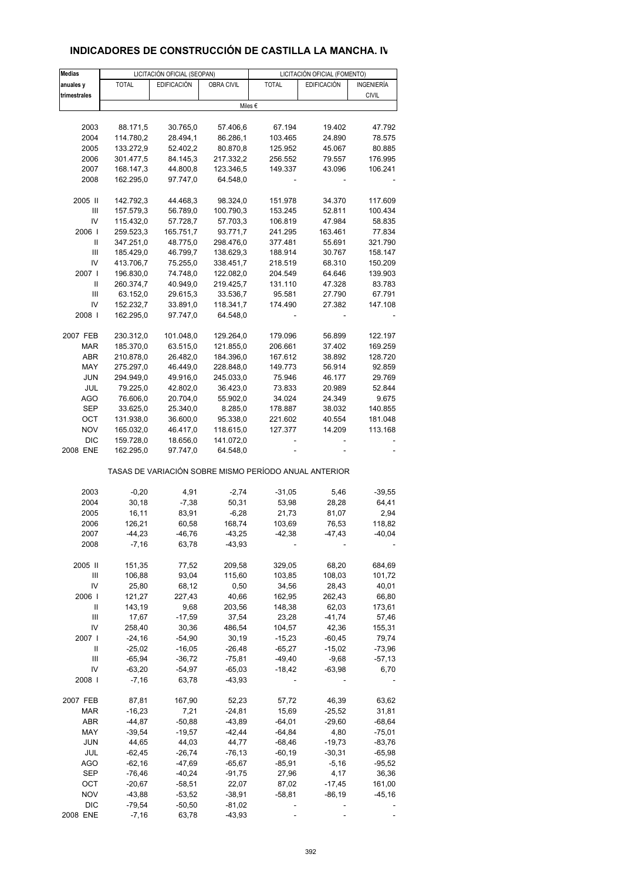# **INDICADORES DE CONSTRUCCIÓN DE CASTILLA LA MANCHA. IV**

| <b>Medias</b> |              | LICITACIÓN OFICIAL (SEOPAN) |                   |                                                       | LICITACIÓN OFICIAL (FOMENTO) |                   |  |
|---------------|--------------|-----------------------------|-------------------|-------------------------------------------------------|------------------------------|-------------------|--|
| anuales y     | <b>TOTAL</b> | <b>EDIFICACIÓN</b>          | <b>OBRA CIVIL</b> | <b>TOTAL</b>                                          | <b>EDIFICACIÓN</b>           | <b>INGENIERÍA</b> |  |
| trimestrales  |              |                             |                   |                                                       |                              | <b>CIVIL</b>      |  |
|               |              |                             | Miles €           |                                                       |                              |                   |  |
|               |              |                             |                   |                                                       |                              |                   |  |
| 2003          | 88.171,5     | 30.765,0                    | 57.406,6          | 67.194                                                | 19.402                       | 47.792            |  |
| 2004          | 114.780,2    | 28.494,1                    | 86.286,1          | 103.465                                               | 24.890                       | 78.575            |  |
| 2005          | 133.272,9    | 52.402,2                    | 80.870,8          | 125.952                                               | 45.067                       | 80.885            |  |
|               |              |                             |                   |                                                       |                              |                   |  |
| 2006          | 301.477,5    | 84.145,3                    | 217.332,2         | 256.552                                               | 79.557                       | 176.995           |  |
| 2007          | 168.147,3    | 44.800,8                    | 123.346,5         | 149.337                                               | 43.096                       | 106.241           |  |
| 2008          | 162.295,0    | 97.747,0                    | 64.548,0          |                                                       |                              |                   |  |
|               |              |                             |                   |                                                       |                              |                   |  |
| 2005 II       | 142.792,3    | 44.468,3                    | 98.324,0          | 151.978                                               | 34.370                       | 117.609           |  |
| Ш             | 157.579,3    | 56.789,0                    | 100.790,3         | 153.245                                               | 52.811                       | 100.434           |  |
| IV            | 115.432,0    | 57.728,7                    | 57.703,3          | 106.819                                               | 47.984                       | 58.835            |  |
| 2006          | 259.523,3    | 165.751,7                   | 93.771,7          | 241.295                                               | 163.461                      | 77.834            |  |
| Ш             | 347.251,0    | 48.775,0                    | 298.476,0         | 377.481                                               | 55.691                       | 321.790           |  |
| III           | 185.429,0    | 46.799,7                    | 138.629,3         | 188.914                                               | 30.767                       | 158.147           |  |
| IV            | 413.706,7    | 75.255,0                    | 338.451,7         | 218.519                                               | 68.310                       | 150.209           |  |
| 2007 l        | 196.830,0    | 74.748,0                    | 122.082,0         | 204.549                                               | 64.646                       | 139.903           |  |
|               |              |                             |                   |                                                       |                              |                   |  |
| Ш             | 260.374,7    | 40.949,0                    | 219.425,7         | 131.110                                               | 47.328                       | 83.783            |  |
| Ш             | 63.152,0     | 29.615,3                    | 33.536,7          | 95.581                                                | 27.790                       | 67.791            |  |
| IV            | 152.232,7    | 33.891,0                    | 118.341,7         | 174.490                                               | 27.382                       | 147.108           |  |
| 2008          | 162.295,0    | 97.747,0                    | 64.548,0          |                                                       |                              |                   |  |
|               |              |                             |                   |                                                       |                              |                   |  |
| 2007 FEB      | 230.312,0    | 101.048,0                   | 129.264,0         | 179.096                                               | 56.899                       | 122.197           |  |
| MAR           | 185.370,0    | 63.515,0                    | 121.855,0         | 206.661                                               | 37.402                       | 169.259           |  |
| ABR           | 210.878,0    | 26.482,0                    | 184.396,0         | 167.612                                               | 38.892                       | 128.720           |  |
| MAY           | 275.297,0    | 46.449,0                    | 228.848,0         | 149.773                                               | 56.914                       | 92.859            |  |
| <b>JUN</b>    | 294.949,0    | 49.916,0                    | 245.033,0         | 75.946                                                | 46.177                       | 29.769            |  |
| JUL           | 79.225,0     | 42.802,0                    | 36.423,0          | 73.833                                                | 20.989                       | 52.844            |  |
| <b>AGO</b>    | 76.606,0     | 20.704,0                    | 55.902,0          | 34.024                                                | 24.349                       | 9.675             |  |
| <b>SEP</b>    | 33.625,0     | 25.340,0                    | 8.285,0           | 178.887                                               | 38.032                       | 140.855           |  |
| OCT           | 131.938,0    |                             |                   |                                                       |                              |                   |  |
|               |              | 36.600,0                    | 95.338,0          | 221.602                                               | 40.554                       | 181.048           |  |
| <b>NOV</b>    | 165.032,0    | 46.417,0                    | 118.615,0         | 127.377                                               | 14.209                       | 113.168           |  |
| <b>DIC</b>    | 159.728,0    | 18.656,0                    | 141.072,0         |                                                       |                              |                   |  |
| 2008 ENE      | 162.295,0    | 97.747,0                    | 64.548,0          |                                                       |                              |                   |  |
|               |              |                             |                   | TASAS DE VARIACIÓN SOBRE MISMO PERÍODO ANUAL ANTERIOR |                              |                   |  |
| 2003          | $-0,20$      | 4,91                        | $-2,74$           | $-31,05$                                              | 5,46                         | $-39,55$          |  |
| 2004          | 30,18        | $-7,38$                     | 50,31             | 53,98                                                 | 28,28                        | 64,41             |  |
|               |              |                             |                   |                                                       |                              |                   |  |
| 2005          | 16,11        | 83,91                       | $-6,28$           | 21,73                                                 | 81,07                        | 2,94              |  |
| 2006          | 126,21       | 60,58                       | 168,74            | 103,69                                                | 76,53                        | 118,82            |  |
| 2007          | $-44,23$     | -46,76                      | $-43,25$          | $-42,38$                                              | -47,43                       | $-40,04$          |  |
| 2008          | $-7,16$      | 63,78                       | $-43,93$          |                                                       |                              |                   |  |
| 2005 II       | 151,35       | 77,52                       | 209,58            | 329,05                                                | 68,20                        | 684,69            |  |
|               |              |                             |                   |                                                       |                              |                   |  |
| Ш             | 106,88       | 93,04                       | 115,60            | 103,85                                                | 108,03                       | 101,72            |  |
| IV            | 25,80        | 68,12                       | 0,50              | 34,56                                                 | 28,43                        | 40,01             |  |
| 2006          | 121,27       | 227,43                      | 40,66             | 162,95                                                | 262,43                       | 66,80             |  |
| Ш             | 143,19       | 9,68                        | 203,56            | 148,38                                                | 62,03                        | 173,61            |  |
| Ш             | 17,67        | $-17,59$                    | 37,54             | 23,28                                                 | $-41,74$                     | 57,46             |  |
| IV            | 258,40       | 30,36                       | 486,54            | 104,57                                                | 42,36                        | 155,31            |  |
| 2007 l        | $-24,16$     | $-54,90$                    | 30,19             | $-15,23$                                              | $-60,45$                     | 79,74             |  |
| Ш             | $-25,02$     | $-16,05$                    | $-26,48$          | $-65,27$                                              | $-15,02$                     | $-73,96$          |  |
| Ш             | $-65,94$     | $-36,72$                    | $-75,81$          | -49,40                                                | $-9,68$                      | $-57,13$          |  |
| IV            | $-63,20$     | $-54,97$                    | $-65,03$          | $-18,42$                                              | $-63,98$                     | 6,70              |  |
| 2008          |              | 63,78                       |                   |                                                       |                              |                   |  |
|               | $-7,16$      |                             | $-43,93$          |                                                       |                              |                   |  |
| 2007 FEB      | 87,81        | 167,90                      | 52,23             | 57,72                                                 | 46,39                        | 63,62             |  |
| MAR           | $-16,23$     | 7,21                        | $-24,81$          | 15,69                                                 | $-25,52$                     | 31,81             |  |
| ABR           | $-44,87$     | $-50,88$                    | $-43,89$          | $-64,01$                                              | $-29,60$                     | $-68,64$          |  |
| MAY           | $-39,54$     | $-19,57$                    | $-42,44$          | $-64,84$                                              | 4,80                         | $-75,01$          |  |
|               |              |                             |                   |                                                       |                              |                   |  |
| JUN           | 44,65        | 44,03                       | 44,77             | $-68,46$                                              | $-19,73$                     | $-83,76$          |  |
| JUL           | $-62,45$     | $-26,74$                    | $-76, 13$         | $-60,19$                                              | $-30,31$                     | $-65,98$          |  |
| <b>AGO</b>    | $-62,16$     | $-47,69$                    | $-65,67$          | $-85,91$                                              | $-5,16$                      | $-95,52$          |  |
| <b>SEP</b>    | $-76,46$     | $-40,24$                    | $-91,75$          | 27,96                                                 | 4,17                         | 36,36             |  |
| OCT           | $-20,67$     | $-58,51$                    | 22,07             | 87,02                                                 | $-17,45$                     | 161,00            |  |
| <b>NOV</b>    | $-43,88$     | $-53,52$                    | $-38,91$          | $-58,81$                                              | $-86,19$                     | $-45,16$          |  |
| <b>DIC</b>    | $-79,54$     | $-50,50$                    | $-81,02$          |                                                       |                              |                   |  |
| 2008 ENE      | $-7,16$      | 63,78                       | $-43,93$          |                                                       |                              |                   |  |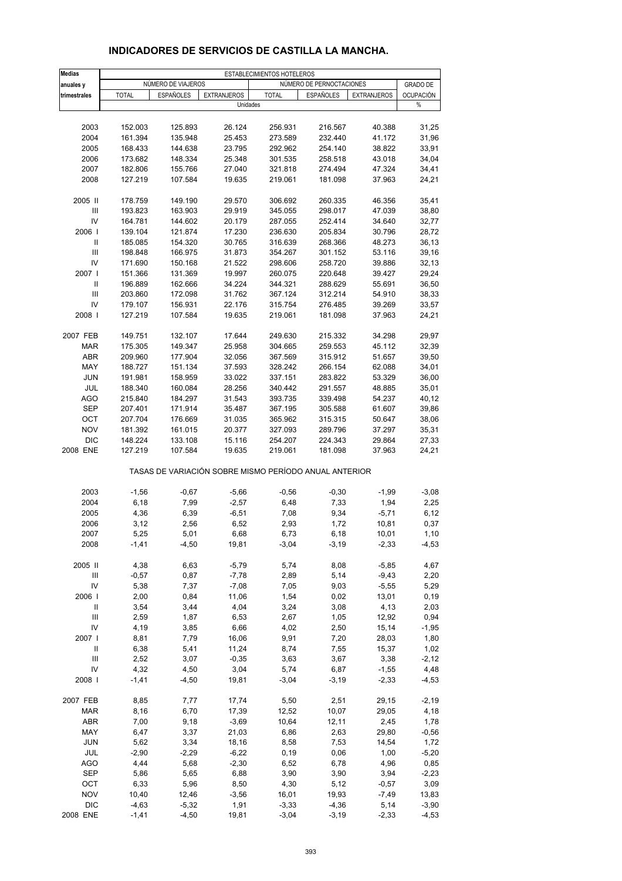| <b>Medias</b>    | ESTABLECIMIENTOS HOTELEROS<br>NÚMERO DE PERNOCTACIONES |                    |                                                       |              |           |                    |                       |
|------------------|--------------------------------------------------------|--------------------|-------------------------------------------------------|--------------|-----------|--------------------|-----------------------|
| anuales y        |                                                        | NÚMERO DE VIAJEROS |                                                       |              |           |                    | <b>GRADO DE</b>       |
| trimestrales     | <b>TOTAL</b>                                           | <b>ESPAÑOLES</b>   | <b>EXTRANJEROS</b><br>Unidades                        | <b>TOTAL</b> | ESPAÑOLES | <b>EXTRANJEROS</b> | <b>OCUPACIÓN</b><br>% |
|                  |                                                        |                    |                                                       |              |           |                    |                       |
| 2003             | 152.003                                                | 125.893            | 26.124                                                | 256.931      | 216.567   | 40.388             | 31,25                 |
| 2004             | 161.394                                                | 135.948            | 25.453                                                | 273.589      | 232.440   | 41.172             | 31,96                 |
| 2005             | 168.433                                                | 144.638            | 23.795                                                | 292.962      | 254.140   | 38.822             | 33,91                 |
| 2006             | 173.682                                                | 148.334            | 25.348                                                | 301.535      | 258.518   | 43.018             | 34,04                 |
| 2007             | 182.806                                                | 155.766            | 27.040                                                | 321.818      | 274.494   | 47.324             | 34,41                 |
| 2008             | 127.219                                                | 107.584            | 19.635                                                | 219.061      | 181.098   | 37.963             | 24,21                 |
| 2005 II          | 178.759                                                | 149.190            | 29.570                                                | 306.692      | 260.335   | 46.356             | 35,41                 |
| $\mathsf{III}\,$ | 193.823                                                | 163.903            | 29.919                                                | 345.055      | 298.017   | 47.039             | 38,80                 |
| IV               | 164.781                                                | 144.602            | 20.179                                                | 287.055      | 252.414   | 34.640             | 32,77                 |
| 2006             | 139.104                                                | 121.874            | 17.230                                                | 236.630      | 205.834   | 30.796             | 28,72                 |
| Ш                | 185.085                                                | 154.320            | 30.765                                                | 316.639      | 268.366   | 48.273             | 36,13                 |
|                  |                                                        |                    |                                                       |              |           |                    |                       |
| $\mathsf{III}\,$ | 198.848                                                | 166.975            | 31.873                                                | 354.267      | 301.152   | 53.116             | 39,16                 |
| IV               | 171.690                                                | 150.168            | 21.522                                                | 298.606      | 258.720   | 39.886             | 32,13                 |
| 2007 l           | 151.366                                                | 131.369            | 19.997                                                | 260.075      | 220.648   | 39.427             | 29,24                 |
| Ш                | 196.889                                                | 162.666            | 34.224                                                | 344.321      | 288.629   | 55.691             | 36,50                 |
| $\mathsf{III}\,$ | 203.860                                                | 172.098            | 31.762                                                | 367.124      | 312.214   | 54.910             | 38,33                 |
| IV               | 179.107                                                | 156.931            | 22.176                                                | 315.754      | 276.485   | 39.269             | 33,57                 |
| 2008             | 127.219                                                | 107.584            | 19.635                                                | 219.061      | 181.098   | 37.963             | 24,21                 |
| 2007 FEB         | 149.751                                                | 132.107            | 17.644                                                | 249.630      | 215.332   | 34.298             | 29,97                 |
| <b>MAR</b>       | 175.305                                                | 149.347            | 25.958                                                | 304.665      | 259.553   | 45.112             | 32,39                 |
| <b>ABR</b>       | 209.960                                                | 177.904            | 32.056                                                | 367.569      | 315.912   | 51.657             | 39,50                 |
| MAY              | 188.727                                                | 151.134            | 37.593                                                | 328.242      | 266.154   | 62.088             | 34,01                 |
| <b>JUN</b>       | 191.981                                                | 158.959            | 33.022                                                | 337.151      | 283.822   | 53.329             | 36,00                 |
| JUL              | 188.340                                                | 160.084            | 28.256                                                | 340.442      | 291.557   | 48.885             | 35,01                 |
|                  |                                                        |                    |                                                       |              |           |                    |                       |
| <b>AGO</b>       | 215.840                                                | 184.297            | 31.543                                                | 393.735      | 339.498   | 54.237             | 40,12                 |
| <b>SEP</b>       | 207.401                                                | 171.914            | 35.487                                                | 367.195      | 305.588   | 61.607             | 39,86                 |
| OCT              | 207.704                                                | 176.669            | 31.035                                                | 365.962      | 315.315   | 50.647             | 38,06                 |
| <b>NOV</b>       | 181.392                                                | 161.015            | 20.377                                                | 327.093      | 289.796   | 37.297             | 35,31                 |
| <b>DIC</b>       | 148.224                                                | 133.108            | 15.116                                                | 254.207      | 224.343   | 29.864             | 27,33                 |
| 2008 ENE         | 127.219                                                | 107.584            | 19.635                                                | 219.061      | 181.098   | 37.963             | 24,21                 |
|                  |                                                        |                    | TASAS DE VARIACIÓN SOBRE MISMO PERÍODO ANUAL ANTERIOR |              |           |                    |                       |
| 2003             | $-1,56$                                                | $-0,67$            | $-5,66$                                               | $-0,56$      | $-0,30$   | $-1,99$            | $-3,08$               |
| 2004             | 6,18                                                   | 7,99               | $-2,57$                                               | 6,48         | 7,33      | 1,94               | 2,25                  |
| 2005             | 4,36                                                   | 6,39               | $-6,51$                                               | 7,08         | 9,34      | $-5,71$            | 6, 12                 |
| 2006             | 3,12                                                   | 2,56               | 6,52                                                  | 2,93         | 1,72      | 10,81              | 0,37                  |
| 2007             | 5,25                                                   | 5,01               | 6,68                                                  | 6,73         | 6,18      | 10,01              | 1,10                  |
| 2008             | $-1,41$                                                | $-4,50$            | 19,81                                                 | $-3,04$      | $-3,19$   | $-2,33$            | $-4,53$               |
| 2005 II          | 4,38                                                   | 6,63               | $-5,79$                                               | 5,74         | 8,08      | $-5,85$            | 4,67                  |
| Ш                | $-0,57$                                                | 0,87               | $-7,78$                                               | 2,89         | 5,14      | $-9,43$            | 2,20                  |
| IV               | 5,38                                                   | 7,37               | $-7,08$                                               | 7,05         | 9,03      | $-5,55$            | 5,29                  |
| 2006             | 2,00                                                   | 0,84               | 11,06                                                 | 1,54         | 0,02      | 13,01              | 0, 19                 |
| Ш                | 3,54                                                   | 3,44               | 4,04                                                  | 3,24         | 3,08      | 4,13               | 2,03                  |
|                  |                                                        |                    |                                                       |              |           |                    |                       |
| Ш                | 2,59                                                   | 1,87               | 6,53                                                  | 2,67         | 1,05      | 12,92              | 0,94                  |
| IV               | 4,19                                                   | 3,85               | 6,66                                                  | 4,02         | 2,50      | 15,14              | $-1,95$               |
| 2007 l           | 8,81                                                   | 7,79               | 16,06                                                 | 9,91         | 7,20      | 28,03              | 1,80                  |
| Ш                | 6,38                                                   | 5,41               | 11,24                                                 | 8,74         | 7,55      | 15,37              | 1,02                  |
| Ш                | 2,52                                                   | 3,07               | $-0,35$                                               | 3,63         | 3,67      | 3,38               | $-2,12$               |
| IV               | 4,32                                                   | 4,50               | 3,04                                                  | 5,74         | 6,87      | $-1,55$            | 4,48                  |
| 2008             | $-1,41$                                                | $-4,50$            | 19,81                                                 | $-3,04$      | $-3,19$   | $-2,33$            | $-4,53$               |
| 2007 FEB         | 8,85                                                   | 7,77               | 17,74                                                 | 5,50         | 2,51      | 29,15              | $-2,19$               |
| MAR              | 8,16                                                   | 6,70               | 17,39                                                 | 12,52        | 10,07     | 29,05              | 4,18                  |
| ABR              | 7,00                                                   | 9,18               | $-3,69$                                               | 10,64        | 12,11     | 2,45               | 1,78                  |
| MAY              | 6,47                                                   | 3,37               | 21,03                                                 | 6,86         | 2,63      | 29,80              | $-0,56$               |
| <b>JUN</b>       | 5,62                                                   | 3,34               | 18,16                                                 | 8,58         | 7,53      | 14,54              | 1,72                  |
| JUL              | $-2,90$                                                | $-2,29$            | $-6,22$                                               | 0, 19        | 0,06      | 1,00               | $-5,20$               |
| <b>AGO</b>       | 4,44                                                   | 5,68               | $-2,30$                                               | 6,52         | 6,78      | 4,96               | 0,85                  |
|                  |                                                        |                    |                                                       |              |           |                    |                       |
| <b>SEP</b>       | 5,86                                                   | 5,65               | 6,88                                                  | 3,90         | 3,90      | 3,94               | $-2,23$               |
| OCT              | 6,33                                                   | 5,96               | 8,50                                                  | 4,30         | 5,12      | $-0,57$            | 3,09                  |
| <b>NOV</b>       | 10,40                                                  | 12,46              | $-3,56$                                               | 16,01        | 19,93     | $-7,49$            | 13,83                 |
| <b>DIC</b>       | $-4,63$                                                | $-5,32$            | 1,91                                                  | $-3,33$      | $-4,36$   | 5,14               | $-3,90$               |
| 2008 ENE         | $-1,41$                                                | $-4,50$            | 19,81                                                 | $-3,04$      | $-3,19$   | $-2,33$            | $-4,53$               |

#### **INDICADORES DE SERVICIOS DE CASTILLA LA MANCHA.**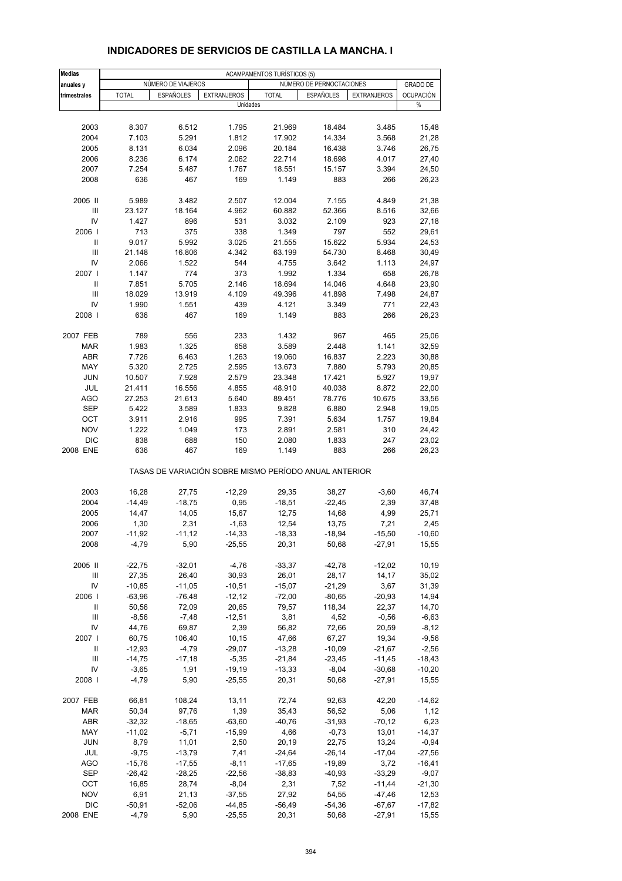| Medias            | <b>ACAMPAMENTOS TURÍSTICOS (5)</b> |                    |                    |                                                       |                          |                    |                  |  |
|-------------------|------------------------------------|--------------------|--------------------|-------------------------------------------------------|--------------------------|--------------------|------------------|--|
| anuales y         |                                    | NUMERO DE VIAJEROS |                    |                                                       | NÚMERO DE PERNOCTACIONES |                    | <b>GRADO DE</b>  |  |
| trimestrales      | <b>TOTAL</b>                       | ESPAÑOLES          | <b>EXTRANJEROS</b> | <b>TOTAL</b>                                          | <b>ESPAÑOLES</b>         | <b>EXTRANJEROS</b> | <b>OCUPACIÓN</b> |  |
|                   |                                    |                    | Unidades           |                                                       |                          |                    | %                |  |
|                   |                                    |                    |                    |                                                       |                          |                    |                  |  |
| 2003              | 8.307                              | 6.512              | 1.795              | 21.969                                                | 18.484                   | 3.485              | 15,48            |  |
| 2004              | 7.103                              | 5.291              | 1.812              | 17.902                                                | 14.334                   | 3.568              | 21,28            |  |
| 2005              | 8.131                              | 6.034              | 2.096              | 20.184                                                | 16.438                   | 3.746              | 26,75            |  |
| 2006              | 8.236                              | 6.174              | 2.062              | 22.714                                                | 18.698                   | 4.017              | 27,40            |  |
| 2007              | 7.254                              | 5.487              | 1.767              | 18.551                                                | 15.157                   | 3.394              | 24,50            |  |
| 2008              | 636                                | 467                | 169                | 1.149                                                 | 883                      | 266                | 26,23            |  |
|                   |                                    |                    |                    |                                                       | 7.155                    |                    |                  |  |
| 2005 II<br>III    | 5.989                              | 3.482              | 2.507              | 12.004                                                |                          | 4.849              | 21,38            |  |
|                   | 23.127                             | 18.164             | 4.962              | 60.882                                                | 52.366                   | 8.516              | 32,66            |  |
| IV                | 1.427                              | 896                | 531                | 3.032                                                 | 2.109                    | 923                | 27,18            |  |
| 2006              | 713                                | 375                | 338                | 1.349                                                 | 797                      | 552                | 29,61            |  |
| Ш                 | 9.017                              | 5.992              | 3.025              | 21.555                                                | 15.622                   | 5.934              | 24,53            |  |
| Ш                 | 21.148                             | 16.806             | 4.342              | 63.199                                                | 54.730                   | 8.468              | 30,49            |  |
| IV                | 2.066                              | 1.522              | 544                | 4.755                                                 | 3.642                    | 1.113              | 24,97            |  |
| 2007 l            | 1.147                              | 774                | 373                | 1.992                                                 | 1.334                    | 658                | 26,78            |  |
| Ш                 | 7.851                              | 5.705              | 2.146              | 18.694                                                | 14.046                   | 4.648              | 23,90            |  |
| $\mathbf{III}$    | 18.029                             | 13.919             | 4.109              | 49.396                                                | 41.898                   | 7.498              | 24,87            |  |
| IV                | 1.990                              | 1.551              | 439                | 4.121                                                 | 3.349                    | 771                | 22,43            |  |
| 2008              | 636                                | 467                | 169                | 1.149                                                 | 883                      | 266                | 26,23            |  |
| 2007 FEB          | 789                                | 556                | 233                | 1.432                                                 | 967                      | 465                | 25,06            |  |
| <b>MAR</b>        | 1.983                              | 1.325              | 658                | 3.589                                                 | 2.448                    | 1.141              | 32,59            |  |
| <b>ABR</b>        | 7.726                              | 6.463              | 1.263              | 19.060                                                | 16.837                   | 2.223              | 30,88            |  |
| MAY               | 5.320                              | 2.725              | 2.595              | 13.673                                                | 7.880                    | 5.793              | 20,85            |  |
|                   |                                    |                    |                    |                                                       |                          |                    |                  |  |
| JUN               | 10.507                             | 7.928              | 2.579              | 23.348                                                | 17.421                   | 5.927              | 19,97            |  |
| JUL               | 21.411                             | 16.556             | 4.855              | 48.910                                                | 40.038                   | 8.872              | 22,00            |  |
| <b>AGO</b>        | 27.253                             | 21.613             | 5.640              | 89.451                                                | 78.776                   | 10.675             | 33,56            |  |
| <b>SEP</b>        | 5.422                              | 3.589              | 1.833              | 9.828                                                 | 6.880                    | 2.948              | 19,05            |  |
| OCT               | 3.911                              | 2.916              | 995                | 7.391                                                 | 5.634                    | 1.757              | 19,84            |  |
| <b>NOV</b>        | 1.222                              | 1.049              | 173                | 2.891                                                 | 2.581                    | 310                | 24,42            |  |
| <b>DIC</b>        | 838                                | 688                | 150                | 2.080                                                 | 1.833                    | 247                | 23,02            |  |
| 2008 ENE          | 636                                | 467                | 169                | 1.149                                                 | 883                      | 266                | 26,23            |  |
|                   |                                    |                    |                    | TASAS DE VARIACIÓN SOBRE MISMO PERÍODO ANUAL ANTERIOR |                          |                    |                  |  |
| 2003              | 16,28                              | 27,75              | $-12,29$           | 29,35                                                 | 38,27                    | $-3,60$            | 46,74            |  |
| 2004              | $-14,49$                           | $-18,75$           | 0,95               | $-18,51$                                              | $-22,45$                 | 2,39               | 37,48            |  |
| 2005              | 14,47                              | 14,05              | 15,67              | 12,75                                                 | 14,68                    | 4,99               | 25,71            |  |
| 2006              | 1,30                               | 2,31               | $-1,63$            | 12,54                                                 | 13,75                    | 7,21               | 2,45             |  |
| 2007              | $-11,92$                           | $-11,12$           | $-14,33$           | $-18,33$                                              | $-18,94$                 | $-15,50$           | $-10,60$         |  |
| 2008              | $-4,79$                            | 5,90               | $-25,55$           | 20,31                                                 | 50,68                    | $-27,91$           | 15,55            |  |
|                   |                                    |                    |                    |                                                       |                          |                    |                  |  |
| 2005 II           | $-22,75$                           | $-32,01$           | $-4,76$            | $-33,37$                                              | $-42,78$                 | $-12,02$           | 10,19            |  |
| Ш                 | 27,35                              | 26,40              | 30,93              | 26,01                                                 | 28,17                    | 14,17              | 35,02            |  |
| IV                | $-10,85$                           | $-11,05$           | $-10,51$           | $-15,07$                                              | $-21,29$                 | 3,67               | 31,39            |  |
| 2006              | $-63,96$                           | $-76,48$           | $-12,12$           | $-72,00$                                              | $-80,65$                 | $-20,93$           | 14,94            |  |
| Ш                 | 50,56                              | 72,09              | 20,65              | 79,57                                                 | 118,34                   | 22,37              | 14,70            |  |
| Ш                 | $-8,56$                            | $-7,48$            | $-12,51$           | 3,81                                                  | 4,52                     | $-0,56$            | $-6,63$          |  |
| IV                | 44,76                              | 69,87              | 2,39               | 56,82                                                 | 72,66                    | 20,59              | $-8,12$          |  |
| 2007 l            | 60,75                              | 106,40             | 10,15              | 47,66                                                 | 67,27                    | 19,34              | $-9,56$          |  |
| Ш                 | $-12,93$                           | $-4,79$            | $-29,07$           | $-13,28$                                              | $-10,09$                 | $-21,67$           | $-2,56$          |  |
| Ш                 | $-14,75$                           | $-17,18$           | $-5,35$            | $-21,84$                                              | $-23,45$                 | $-11,45$           | $-18,43$         |  |
| IV                | $-3,65$                            | 1,91               | $-19,19$           | $-13,33$                                              | $-8,04$                  | $-30,68$           | $-10,20$         |  |
| 2008              | $-4,79$                            | 5,90               | $-25,55$           | 20,31                                                 | 50,68                    | $-27,91$           | 15,55            |  |
| 2007 FEB          | 66,81                              | 108,24             | 13,11              | 72,74                                                 | 92,63                    | 42,20              | $-14,62$         |  |
| <b>MAR</b>        | 50,34                              | 97,76              | 1,39               | 35,43                                                 | 56,52                    | 5,06               | 1,12             |  |
| <b>ABR</b>        | $-32,32$                           | $-18,65$           | $-63,60$           | $-40,76$                                              | $-31,93$                 | $-70,12$           | 6,23             |  |
| MAY               | $-11,02$                           | $-5,71$            | $-15,99$           | 4,66                                                  | $-0,73$                  | 13,01              | $-14,37$         |  |
| <b>JUN</b>        |                                    |                    |                    |                                                       |                          |                    |                  |  |
|                   | 8,79                               | 11,01              | 2,50<br>7,41       | 20,19                                                 | 22,75                    | 13,24              | $-0,94$          |  |
| JUL               | $-9,75$                            | $-13,79$           |                    | $-24,64$                                              | $-26,14$                 | $-17,04$           | $-27,56$         |  |
| AGO               | $-15,76$                           | $-17,55$           | $-8,11$            | $-17,65$                                              | $-19,89$                 | 3,72               | $-16,41$         |  |
| <b>SEP</b>        | $-26,42$                           | $-28,25$           | $-22,56$           | $-38,83$                                              | $-40,93$                 | $-33,29$           | $-9,07$          |  |
| OCT<br><b>NOV</b> | 16,85<br>6,91                      | 28,74              | $-8,04$            | 2,31<br>27,92                                         | 7,52                     | $-11,44$           | $-21,30$         |  |
| <b>DIC</b>        |                                    | 21,13              | $-37,55$           |                                                       | 54,55                    | $-47,46$           | 12,53            |  |
|                   | $-50,91$                           | $-52,06$           | $-44,85$           | $-56,49$                                              | $-54,36$                 | $-67,67$           | $-17,82$         |  |
| 2008 ENE          | $-4,79$                            | 5,90               | $-25,55$           | 20,31                                                 | 50,68                    | $-27,91$           | 15,55            |  |

#### **INDICADORES DE SERVICIOS DE CASTILLA LA MANCHA. I**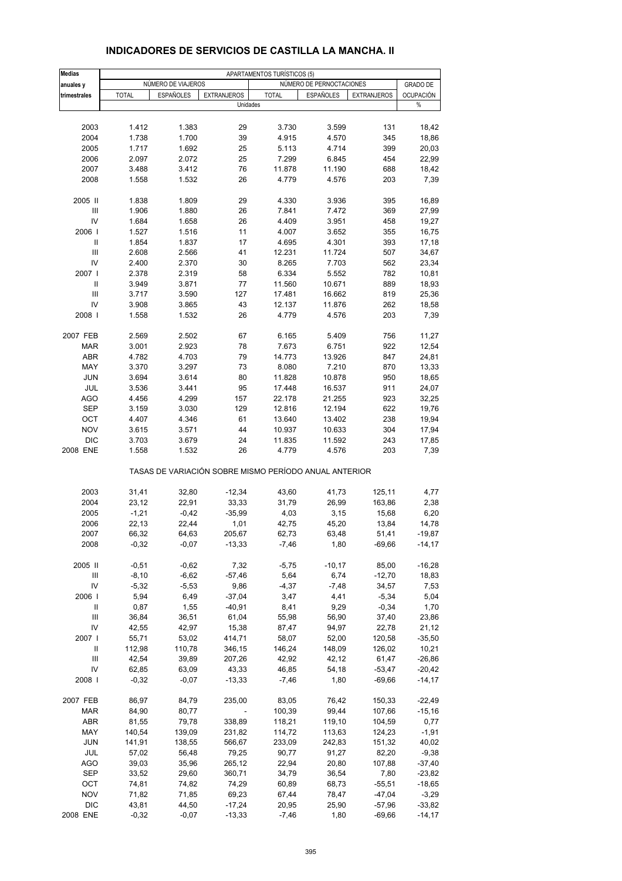| <b>Medias</b>                      |              |                    |                    | APARTAMENTOS TURÍSTICOS (5) |                                                       |                    |                  |
|------------------------------------|--------------|--------------------|--------------------|-----------------------------|-------------------------------------------------------|--------------------|------------------|
| anuales y                          |              | NÚMERO DE VIAJEROS |                    |                             | NÚMERO DE PERNOCTACIONES                              |                    | <b>GRADO DE</b>  |
| trimestrales                       | <b>TOTAL</b> | <b>ESPAÑOLES</b>   | <b>EXTRANJEROS</b> | <b>TOTAL</b>                | <b>ESPAÑOLES</b>                                      | <b>EXTRANJEROS</b> | <b>OCUPACIÓN</b> |
|                                    |              |                    | Unidades           |                             |                                                       |                    | %                |
|                                    |              |                    |                    |                             |                                                       |                    |                  |
| 2003                               | 1.412        | 1.383              | 29                 | 3.730                       | 3.599                                                 | 131                | 18,42            |
| 2004                               | 1.738        | 1.700              | 39                 | 4.915                       | 4.570                                                 | 345                | 18,86            |
| 2005                               | 1.717        | 1.692              | 25                 | 5.113                       | 4.714                                                 | 399                | 20,03            |
| 2006                               | 2.097        | 2.072              | 25                 | 7.299                       | 6.845                                                 | 454                | 22,99            |
| 2007                               | 3.488        | 3.412              | 76                 | 11.878                      | 11.190                                                | 688                | 18,42            |
| 2008                               | 1.558        | 1.532              | 26                 | 4.779                       | 4.576                                                 | 203                | 7,39             |
| 2005 II                            | 1.838        | 1.809              | 29                 | 4.330                       | 3.936                                                 | 395                | 16,89            |
| III                                | 1.906        | 1.880              | 26                 | 7.841                       | 7.472                                                 | 369                | 27,99            |
| IV                                 | 1.684        | 1.658              | 26                 | 4.409                       | 3.951                                                 | 458                | 19,27            |
| 2006                               | 1.527        | 1.516              | 11                 | 4.007                       | 3.652                                                 | 355                | 16,75            |
| Ш                                  | 1.854        | 1.837              | 17                 | 4.695                       | 4.301                                                 | 393                | 17,18            |
| III                                | 2.608        | 2.566              | 41                 | 12.231                      | 11.724                                                | 507                | 34,67            |
| IV                                 | 2.400        | 2.370              | 30                 | 8.265                       | 7.703                                                 | 562                | 23,34            |
| 2007 l                             | 2.378        | 2.319              | 58                 | 6.334                       | 5.552                                                 | 782                | 10,81            |
| $\mathbf{I}$                       | 3.949        | 3.871              | 77                 | 11.560                      | 10.671                                                | 889                | 18,93            |
| III                                | 3.717        | 3.590              | 127                | 17.481                      | 16.662                                                | 819                | 25,36            |
| IV                                 | 3.908        | 3.865              | 43                 | 12.137                      | 11.876                                                | 262                | 18,58            |
| 2008                               | 1.558        | 1.532              | 26                 | 4.779                       | 4.576                                                 | 203                | 7,39             |
|                                    |              |                    |                    |                             |                                                       |                    |                  |
| 2007 FEB                           | 2.569        | 2.502              | 67                 | 6.165                       | 5.409                                                 | 756                | 11,27            |
| <b>MAR</b>                         | 3.001        | 2.923              | 78                 | 7.673                       | 6.751                                                 | 922                | 12,54            |
| <b>ABR</b>                         | 4.782        | 4.703              | 79                 | 14.773                      | 13.926                                                | 847                | 24,81            |
| MAY                                | 3.370        | 3.297              | 73                 | 8.080                       | 7.210                                                 | 870                | 13,33            |
| <b>JUN</b>                         | 3.694        | 3.614              | 80                 | 11.828                      | 10.878                                                | 950                | 18,65            |
| JUL                                | 3.536        | 3.441              | 95                 | 17.448                      | 16.537                                                | 911                | 24,07            |
| <b>AGO</b>                         | 4.456        | 4.299              | 157                | 22.178                      | 21.255                                                | 923                | 32,25            |
| <b>SEP</b>                         | 3.159        | 3.030              | 129                | 12.816                      | 12.194                                                | 622                | 19,76            |
| OCT                                | 4.407        | 4.346              | 61                 | 13.640                      | 13.402                                                | 238                | 19,94            |
| <b>NOV</b>                         | 3.615        | 3.571              | 44                 | 10.937                      | 10.633                                                | 304                | 17,94            |
| <b>DIC</b>                         | 3.703        | 3.679              | 24                 | 11.835                      | 11.592                                                | 243                | 17,85            |
| 2008 ENE                           | 1.558        | 1.532              | 26                 | 4.779                       | 4.576                                                 | 203                | 7,39             |
|                                    |              |                    |                    |                             | TASAS DE VARIACIÓN SOBRE MISMO PERÍODO ANUAL ANTERIOR |                    |                  |
| 2003                               | 31,41        | 32,80              | $-12,34$           | 43,60                       | 41,73                                                 | 125,11             | 4,77             |
| 2004                               | 23,12        | 22,91              | 33,33              | 31,79                       | 26,99                                                 | 163,86             | 2,38             |
| 2005                               | $-1,21$      | $-0,42$            | $-35,99$           | 4,03                        | 3,15                                                  | 15,68              | 6,20             |
| 2006                               | 22,13        | 22,44              | 1,01               | 42,75                       | 45,20                                                 | 13,84              | 14,78            |
| 2007                               | 66,32        | 64,63              | 205,67             | 62,73                       | 63,48                                                 | 51,41              | $-19,87$         |
| 2008                               | $-0,32$      | $-0.07$            | $-13,33$           | $-7,46$                     | 1,80                                                  | $-69,66$           | $-14,17$         |
| 2005 II                            | $-0,51$      | $-0,62$            | 7,32               | $-5,75$                     | $-10,17$                                              | 85,00              | $-16,28$         |
|                                    | $-8,10$      |                    | $-57,46$           | 5,64                        |                                                       |                    |                  |
| Ш                                  |              | $-6,62$            |                    |                             | 6,74                                                  | $-12,70$           | 18,83            |
| IV                                 | $-5,32$      | $-5,53$            | 9,86               | $-4,37$                     | $-7,48$                                               | 34,57              | 7,53             |
| 2006                               | 5,94         | 6,49               | $-37,04$           | 3,47                        | 4,41                                                  | $-5,34$            | 5,04             |
| Ш                                  | 0,87         | 1,55               | -40,91             | 8,41                        | 9,29                                                  | $-0,34$            | 1,70             |
| Ш                                  | 36,84        | 36,51              | 61,04              | 55,98                       | 56,90                                                 | 37,40              | 23,86            |
| IV                                 | 42,55        | 42,97              | 15,38              | 87,47                       | 94,97                                                 | 22,78              | 21,12            |
| 2007 l                             | 55,71        | 53,02              | 414,71             | 58,07                       | 52,00                                                 | 120,58             | $-35,50$         |
| Ш                                  | 112,98       | 110,78             | 346,15             | 146,24                      | 148,09                                                | 126,02             | 10,21            |
| $\ensuremath{\mathsf{III}}\xspace$ | 42,54        | 39,89              | 207,26             | 42,92                       | 42,12                                                 | 61,47              | $-26,86$         |
| IV                                 | 62,85        | 63,09              | 43,33              | 46,85                       | 54,18                                                 | $-53,47$           | $-20,42$         |
| 2008                               | $-0,32$      | $-0,07$            | $-13,33$           | $-7,46$                     | 1,80                                                  | $-69,66$           | $-14,17$         |
| 2007 FEB                           | 86,97        | 84,79              | 235,00             | 83,05                       | 76,42                                                 | 150,33             | $-22,49$         |
| <b>MAR</b>                         | 84,90        | 80,77              | $\blacksquare$     | 100,39                      | 99,44                                                 | 107,66             | $-15,16$         |
| <b>ABR</b>                         | 81,55        | 79,78              | 338,89             | 118,21                      | 119,10                                                | 104,59             | 0,77             |
| MAY                                | 140,54       | 139,09             | 231,82             | 114,72                      | 113,63                                                | 124,23             | $-1,91$          |
| <b>JUN</b>                         | 141,91       | 138,55             | 566,67             | 233,09                      | 242,83                                                | 151,32             | 40,02            |
| JUL                                | 57,02        | 56,48              | 79,25              | 90,77                       | 91,27                                                 | 82,20              | $-9,38$          |
| <b>AGO</b>                         | 39,03        | 35,96              | 265,12             | 22,94                       | 20,80                                                 | 107,88             | $-37,40$         |
| SEP                                | 33,52        |                    |                    |                             |                                                       |                    | $-23,82$         |
|                                    |              | 29,60              | 360,71             | 34,79                       | 36,54                                                 | 7,80               |                  |
| ОСТ                                | 74,81        | 74,82              | 74,29              | 60,89                       | 68,73                                                 | $-55,51$           | $-18,65$         |
| <b>NOV</b>                         | 71,82        | 71,85              | 69,23              | 67,44                       | 78,47                                                 | $-47,04$           | $-3,29$          |
| <b>DIC</b>                         | 43,81        | 44,50              | $-17,24$           | 20,95                       | 25,90                                                 | $-57,96$           | $-33,82$         |
| 2008 ENE                           | $-0,32$      | $-0,07$            | $-13,33$           | $-7,46$                     | 1,80                                                  | $-69,66$           | $-14,17$         |

#### **INDICADORES DE SERVICIOS DE CASTILLA LA MANCHA. II**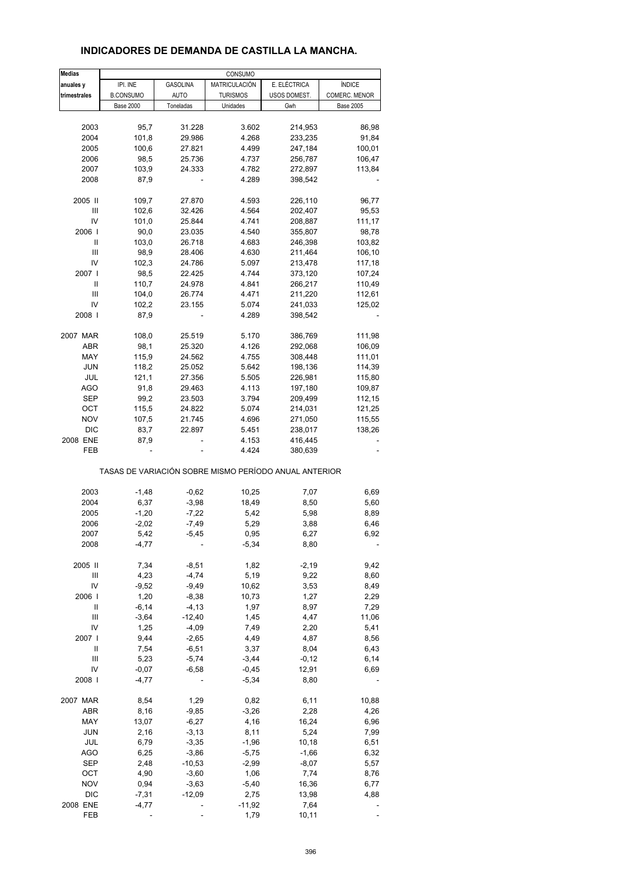#### **Medias anuales y** IPI. INE GASOLINA MATRICULACIÓN E. ELÉCTRICA ÍNDICE **trimestrales B**.CONSUMO AUTO TURISMOS USOS DOMEST. COMERC. MENOR Base 2000 | Toneladas | Unidades | Gwh | Base 2005 2003 95,7 31.228 3.602 214,953 86,98 2004 101,8 29.986 4.268 233,235 91,84 2005 100,6 27.821 4.499 247,184 100,01 2006 98,5 25.736 4.737 256,787 106,47 2007 103,9 24.333 4.782 272,897 113,84 2008 87,9 - 4.289 398,542 - 2005 II 109,7 27.870 4.593 226,110 96,77 III 102,6 32.426 4.564 202,407 95,53 IV 101,0 25.844 4.741 208,887 111,17 2006 I 90,0 23.035 4.540 355,807 98,78 II 103,0 26.718 4.683 246,398 103,82 III 98,9 28.406 4.630 211,464 106,10 IV 102,3 24.786 5.097 213,478 117,18 2007 I 98,5 22.425 4.744 373,120 107,24 II 110,7 24.978 4.841 266,217 110,49 III 104,0 26.774 4.471 211,220 112,61 IV 102,2 23.155 5.074 241,033 125,02 2008 I 87,9 - 4.289 398,542 - 2007 MAR 108,0 25.519 5.170 386,769 111,98 ABR 98,1 25.320 4.126 292,068 106,09 MAY 115,9 24.562 4.755 308,448 111,01 JUN 118,2 25.052 5.642 198,136 114,39 JUL 121,1 27.356 5.505 226,981 115,80 AGO 91,8 29.463 4.113 197,180 109,87 SEP 99,2 23.503 3.794 209,499 112,15 OCT 115,5 24.822 5.074 214,031 121,25 NOV 107,5 21.745 4.696 271,050 115,55 DIC 83,7 22.897 5.451 238,017 138,26 2008 ENE 87,9 - 4.153 416,445 FEB - - 4.424 380,639 - 2003 -1,48 -0,62 10,25 7,07 6,69 2004 6,37 -3,98 18,49 8,50 5,60 2005 -1,20 -7,22 5,42 5,98 8,89 2006 -2,02 -7,49 5,29 3,88 6,46 2007 5,42 -5,45 0,95 6,27 6,92 2008 -4,77 - - 5,34 8,80 -2005 II 7,34 -8,51 1,82 -2,19 9,42 III 4,23 -4,74 5,19 9,22 8,60 IV -9,52 -9,49 10,62 3,53 8,49 2006 I 1,20 -8,38 10,73 1,27 2,29 II -6,14 -4,13 1,97 8,97 7,29 III -3,64 -12,40 1,45 4,47 11,06 IV 1,25 -4,09 7,49 2,20 5,41 2007 I 9,44 -2,65 4,49 4,87 8,56 II 7,54 -6,51 3,37 8,04 6,43  $III$  5,23 -5,74 -3,44 -0,12 -6,14 IV -0,07 -6,58 -0,45 12,91 6,69 2008 I -4,77 - -5,34 8,80 -2007 MAR 8,54 1,29 0,82 6,11 10,88 ABR 8,16 -9,85 -3,26 2,28 4,26 MAY 13,07 -6,27 4,16 16,24 6,96 JUN 2,16 -3,13 8,11 5,24 7,99 JUL 6,79 -3,35 -1,96 10,18 6,51 AGO 6,25 -3,86 -5,75 -1,66 -6,32 SEP 2,48 -10,53 -2,99 -8,07 5,57 OCT 4,90 -3,60 1,06 7,74 8,76 NOV 0,94 -3,63 -5,40 16,36 6,77 DIC -7,31 -12,09 2,75 13,98 4,88 2008 ENE -4,77 - -11,92 7,64 TASAS DE VARIACIÓN SOBRE MISMO PERÍODO ANUAL ANTERIOR CONSUMO

FEB - - 1,79 10,11 -

#### **INDICADORES DE DEMANDA DE CASTILLA LA MANCHA.**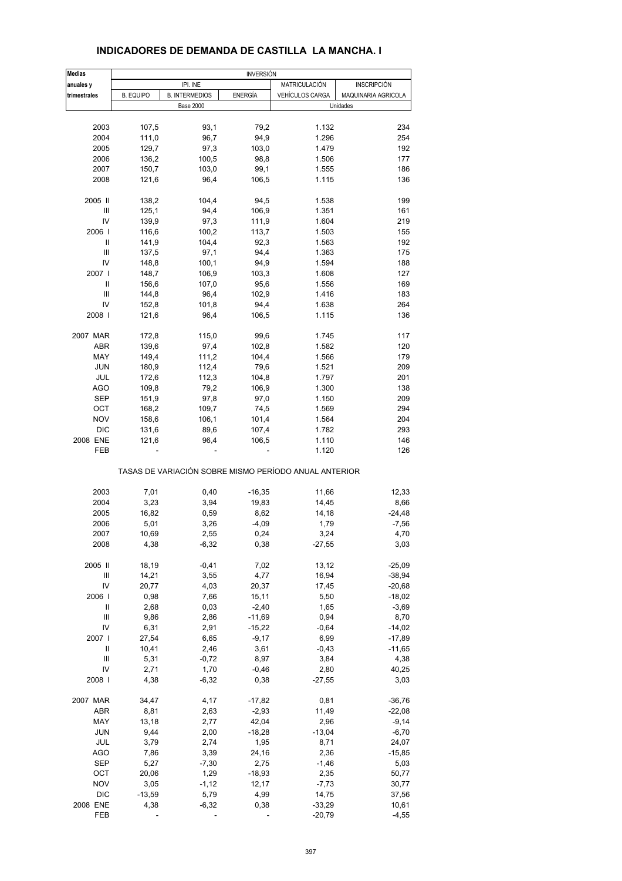| <b>Medias</b>              | <b>INVERSIÓN</b> |                       |                |                                                                |                     |  |  |  |  |  |
|----------------------------|------------------|-----------------------|----------------|----------------------------------------------------------------|---------------------|--|--|--|--|--|
| anuales y                  |                  | IPI. INE              |                | MATRICULACIÓN                                                  | <b>INSCRIPCIÓN</b>  |  |  |  |  |  |
| trimestrales               | <b>B. EQUIPO</b> | <b>B. INTERMEDIOS</b> | <b>ENERGÍA</b> | VEHÍCULOS CARGA                                                | MAQUINARIA AGRICOLA |  |  |  |  |  |
|                            |                  | <b>Base 2000</b>      |                |                                                                | Unidades            |  |  |  |  |  |
| 2003                       | 107,5            | 93,1                  | 79,2           | 1.132                                                          | 234                 |  |  |  |  |  |
| 2004                       | 111,0            | 96,7                  | 94,9           | 1.296                                                          | 254                 |  |  |  |  |  |
| 2005                       | 129,7            | 97,3                  | 103,0          | 1.479                                                          | 192                 |  |  |  |  |  |
| 2006                       | 136,2            |                       | 98,8           |                                                                | 177                 |  |  |  |  |  |
|                            |                  | 100,5                 |                | 1.506                                                          |                     |  |  |  |  |  |
| 2007                       | 150,7            | 103,0                 | 99,1           | 1.555                                                          | 186                 |  |  |  |  |  |
| 2008                       | 121,6            | 96,4                  | 106,5          | 1.115                                                          | 136                 |  |  |  |  |  |
| 2005 II                    | 138,2            | 104,4                 | 94,5           | 1.538                                                          | 199                 |  |  |  |  |  |
| Ш                          | 125,1            | 94,4                  | 106,9          | 1.351                                                          | 161                 |  |  |  |  |  |
| IV                         | 139,9            | 97,3                  | 111,9          | 1.604                                                          | 219                 |  |  |  |  |  |
| 2006                       | 116,6            | 100,2                 | 113,7          | 1.503                                                          | 155                 |  |  |  |  |  |
| Ш                          | 141,9            | 104,4                 | 92,3           | 1.563                                                          | 192                 |  |  |  |  |  |
| Ш                          | 137,5            | 97,1                  | 94,4           | 1.363                                                          | 175                 |  |  |  |  |  |
| IV                         | 148,8            | 100,1                 | 94,9           | 1.594                                                          | 188                 |  |  |  |  |  |
| 2007 l                     | 148,7            | 106,9                 | 103,3          | 1.608                                                          | 127                 |  |  |  |  |  |
| $\mathsf{I}$               | 156,6            | 107,0                 | 95,6           | 1.556                                                          | 169                 |  |  |  |  |  |
| Ш                          | 144,8            | 96,4                  | 102,9          | 1.416                                                          | 183                 |  |  |  |  |  |
| IV                         |                  |                       | 94,4           |                                                                |                     |  |  |  |  |  |
|                            | 152,8            | 101,8                 |                | 1.638                                                          | 264                 |  |  |  |  |  |
| 2008                       | 121,6            | 96,4                  | 106,5          | 1.115                                                          | 136                 |  |  |  |  |  |
| 2007 MAR                   | 172,8            | 115,0                 | 99,6           | 1.745                                                          | 117                 |  |  |  |  |  |
| ABR                        | 139,6            | 97,4                  | 102,8          | 1.582                                                          | 120                 |  |  |  |  |  |
| MAY                        | 149,4            | 111,2                 | 104,4          | 1.566                                                          | 179                 |  |  |  |  |  |
| <b>JUN</b>                 | 180,9            | 112,4                 | 79,6           | 1.521                                                          | 209                 |  |  |  |  |  |
| JUL                        | 172,6            | 112,3                 | 104,8          | 1.797                                                          | 201                 |  |  |  |  |  |
| <b>AGO</b>                 | 109,8            | 79,2                  | 106,9          | 1.300                                                          | 138                 |  |  |  |  |  |
| SEP                        | 151,9            | 97,8                  | 97,0           | 1.150                                                          | 209                 |  |  |  |  |  |
| OCT                        | 168,2            | 109,7                 | 74,5           | 1.569                                                          | 294                 |  |  |  |  |  |
| <b>NOV</b>                 | 158,6            | 106,1                 | 101,4          | 1.564                                                          | 204                 |  |  |  |  |  |
| <b>DIC</b>                 | 131,6            | 89,6                  | 107,4          | 1.782                                                          | 293                 |  |  |  |  |  |
|                            |                  |                       |                |                                                                |                     |  |  |  |  |  |
| 2008 ENE<br>FEB            | 121,6            | 96,4                  | 106,5          | 1.110                                                          | 146<br>126          |  |  |  |  |  |
|                            |                  |                       |                | 1.120<br>TASAS DE VARIACIÓN SOBRE MISMO PERÍODO ANUAL ANTERIOR |                     |  |  |  |  |  |
|                            |                  |                       |                |                                                                |                     |  |  |  |  |  |
| 2003                       | 7,01             | 0,40                  | $-16,35$       | 11,66                                                          | 12,33               |  |  |  |  |  |
| 2004                       | 3,23             | 3,94                  | 19,83          | 14,45                                                          | 8,66                |  |  |  |  |  |
| 2005                       | 16,82            | 0,59                  | 8,62           | 14,18                                                          | $-24,48$            |  |  |  |  |  |
| 2006                       | 5,01             | 3,26                  | $-4,09$        | 1,79                                                           | $-7,56$             |  |  |  |  |  |
| 2007                       | 10,69            | 2.55                  | 0,24           | 3,24                                                           | 4,70                |  |  |  |  |  |
| 2008                       | 4,38             | $-6,32$               | 0,38           | $-27,55$                                                       | 3,03                |  |  |  |  |  |
| 2005 II                    | 18,19            | $-0,41$               | 7,02           | 13,12                                                          | $-25,09$            |  |  |  |  |  |
| Ш                          | 14,21            | 3,55                  | 4,77           | 16,94                                                          | $-38,94$            |  |  |  |  |  |
| IV                         | 20,77            | 4,03                  | 20,37          | 17,45                                                          | $-20,68$            |  |  |  |  |  |
| 2006                       | 0,98             | 7,66                  | 15,11          | 5,50                                                           | $-18,02$            |  |  |  |  |  |
|                            |                  |                       |                |                                                                |                     |  |  |  |  |  |
| $\label{eq:1} \mathsf{II}$ | 2,68             | 0,03                  | $-2,40$        | 1,65                                                           | $-3,69$             |  |  |  |  |  |
| Ш                          | 9,86             | 2,86                  | $-11,69$       | 0,94                                                           | 8,70                |  |  |  |  |  |
| IV                         | 6,31             | 2,91                  | $-15,22$       | $-0,64$                                                        | $-14,02$            |  |  |  |  |  |
| 2007                       | 27,54            | 6,65                  | $-9,17$        | 6,99                                                           | $-17,89$            |  |  |  |  |  |
| Ш                          | 10,41            | 2,46                  | 3,61           | $-0,43$                                                        | $-11,65$            |  |  |  |  |  |
| Ш                          | 5,31             | $-0,72$               | 8,97           | 3,84                                                           | 4,38                |  |  |  |  |  |
| IV                         | 2,71             | 1,70                  | $-0,46$        | 2,80                                                           | 40,25               |  |  |  |  |  |
| 2008                       | 4,38             | $-6,32$               | 0,38           | $-27,55$                                                       | 3,03                |  |  |  |  |  |
| 2007 MAR                   | 34,47            | 4,17                  | $-17,82$       | 0,81                                                           | $-36,76$            |  |  |  |  |  |
| ABR                        | 8,81             | 2,63                  | $-2,93$        | 11,49                                                          | $-22,08$            |  |  |  |  |  |
| MAY                        | 13,18            | 2,77                  | 42,04          | 2,96                                                           | $-9,14$             |  |  |  |  |  |
| <b>JUN</b>                 | 9,44             | 2,00                  | $-18,28$       | $-13,04$                                                       | $-6,70$             |  |  |  |  |  |
|                            |                  |                       |                |                                                                |                     |  |  |  |  |  |
| JUL                        | 3,79             | 2,74                  | 1,95           | 8,71                                                           | 24,07               |  |  |  |  |  |
| <b>AGO</b>                 | 7,86             | 3,39                  | 24,16          | 2,36                                                           | $-15,85$            |  |  |  |  |  |
| <b>SEP</b>                 | 5,27             | $-7,30$               | 2,75           | $-1,46$                                                        | 5,03                |  |  |  |  |  |
| ОСТ                        | 20,06            | 1,29                  | $-18,93$       | 2,35                                                           | 50,77               |  |  |  |  |  |
| <b>NOV</b>                 | 3,05             | $-1, 12$              | 12,17          | $-7,73$                                                        | 30,77               |  |  |  |  |  |
| <b>DIC</b>                 | $-13,59$         | 5,79                  | 4,99           | 14,75                                                          | 37,56               |  |  |  |  |  |
| 2008 ENE                   | 4,38             | $-6,32$               | 0,38           | $-33,29$                                                       | 10,61               |  |  |  |  |  |
| FEB                        |                  |                       |                | $-20,79$                                                       | $-4,55$             |  |  |  |  |  |
|                            |                  |                       |                |                                                                |                     |  |  |  |  |  |

#### **INDICADORES DE DEMANDA DE CASTILLA LA MANCHA. I**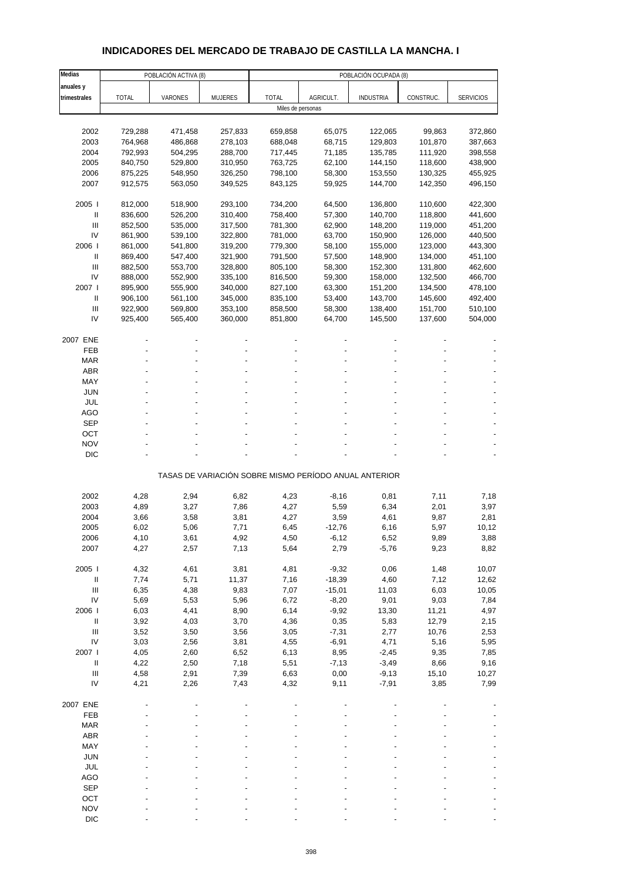## **INDICADORES DEL MERCADO DE TRABAJO DE CASTILLA LA MANCHA. I**

| Medias                                |                    | POBLACIÓN ACTIVA (8) |                    |                    |                  | POBLACIÓN OCUPADA (8)                                 |                    |                    |
|---------------------------------------|--------------------|----------------------|--------------------|--------------------|------------------|-------------------------------------------------------|--------------------|--------------------|
| anuales y                             |                    |                      |                    |                    |                  |                                                       |                    |                    |
| trimestrales                          | <b>TOTAL</b>       | VARONES              | MUJERES            | <b>TOTAL</b>       | AGRICULT.        | <b>INDUSTRIA</b>                                      | CONSTRUC.          | <b>SERVICIOS</b>   |
|                                       |                    |                      |                    | Miles de personas  |                  |                                                       |                    |                    |
|                                       |                    |                      |                    |                    |                  |                                                       |                    |                    |
| 2002                                  | 729,288            | 471,458              | 257,833            | 659,858            | 65,075           | 122,065                                               | 99,863             | 372,860            |
| 2003                                  | 764,968            | 486,868              | 278,103            | 688,048            | 68,715           | 129,803                                               | 101,870            | 387,663            |
| 2004                                  | 792,993            | 504,295              | 288,700            | 717,445            | 71,185           | 135,785                                               | 111,920            | 398,558            |
| 2005                                  | 840,750            | 529,800              | 310,950            | 763,725            | 62,100           | 144,150                                               | 118,600            | 438,900            |
| 2006                                  | 875,225            | 548,950              | 326,250            | 798,100            | 58,300           | 153,550                                               | 130,325            | 455,925            |
| 2007                                  | 912,575            | 563,050              | 349,525            | 843,125            | 59,925           | 144,700                                               | 142,350            | 496,150            |
|                                       |                    |                      |                    |                    |                  |                                                       |                    |                    |
| 2005                                  | 812,000            | 518,900              | 293,100            | 734,200            | 64,500           | 136,800                                               | 110,600            | 422,300            |
| $\mathbf{II}$                         | 836,600            | 526,200              | 310,400            | 758,400            | 57,300           | 140,700                                               | 118,800            | 441,600            |
| Ш                                     | 852,500            | 535,000              | 317,500            | 781,300            | 62,900           | 148,200                                               | 119,000            | 451,200            |
| IV<br>2006                            | 861,900            | 539,100              | 322,800            | 781,000            | 63,700           | 150,900<br>155,000                                    | 126,000            | 440,500            |
| Ш                                     | 861,000            | 541,800              | 319,200            | 779,300            | 58,100           |                                                       | 123,000            | 443,300<br>451,100 |
| Ш                                     | 869,400            | 547,400              | 321,900            | 791,500            | 57,500           | 148,900                                               | 134,000            |                    |
| IV                                    | 882,500<br>888,000 | 553,700              | 328,800<br>335,100 | 805,100<br>816,500 | 58,300<br>59,300 | 152,300<br>158,000                                    | 131,800<br>132,500 | 462,600<br>466,700 |
| 2007 l                                | 895,900            | 552,900              | 340,000            | 827,100            | 63,300           |                                                       | 134,500            | 478,100            |
| $\mathbf{II}$                         | 906,100            | 555,900<br>561,100   | 345,000            | 835,100            | 53,400           | 151,200<br>143,700                                    | 145,600            | 492,400            |
| III                                   | 922,900            | 569,800              | 353,100            | 858,500            | 58,300           | 138,400                                               | 151,700            | 510,100            |
| IV                                    | 925,400            | 565,400              | 360,000            | 851,800            | 64,700           | 145,500                                               | 137,600            | 504,000            |
|                                       |                    |                      |                    |                    |                  |                                                       |                    |                    |
| 2007 ENE                              |                    |                      |                    |                    |                  |                                                       |                    |                    |
| <b>FEB</b>                            |                    |                      |                    |                    |                  |                                                       |                    |                    |
| <b>MAR</b>                            |                    |                      |                    |                    |                  |                                                       |                    |                    |
| <b>ABR</b>                            |                    |                      |                    |                    |                  |                                                       |                    |                    |
| MAY                                   |                    |                      |                    |                    |                  |                                                       |                    |                    |
| JUN                                   |                    |                      |                    |                    |                  |                                                       |                    |                    |
| JUL                                   |                    |                      |                    |                    |                  |                                                       |                    |                    |
| <b>AGO</b>                            |                    |                      |                    |                    |                  |                                                       |                    |                    |
| <b>SEP</b>                            |                    |                      |                    |                    |                  |                                                       |                    |                    |
| OCT                                   |                    |                      |                    |                    |                  |                                                       |                    |                    |
| <b>NOV</b>                            |                    |                      |                    |                    |                  |                                                       |                    |                    |
| <b>DIC</b>                            |                    |                      |                    |                    |                  |                                                       |                    |                    |
|                                       |                    |                      |                    |                    |                  | TASAS DE VARIACIÓN SOBRE MISMO PERÍODO ANUAL ANTERIOR |                    |                    |
|                                       |                    |                      |                    |                    |                  |                                                       |                    |                    |
| 2002                                  | 4,28               | 2,94                 | 6,82               | 4,23               | $-8,16$          | 0,81                                                  | 7,11               | 7,18               |
| 2003                                  | 4,89               | 3,27                 | 7,86               | 4,27               | 5,59             | 6,34                                                  | 2,01               | 3,97               |
| 2004                                  | 3,66               | 3,58                 | 3,81               | 4,27               | 3,59             | 4,61                                                  | 9,87               | 2,81               |
| 2005                                  | 6,02               | 5,06                 | 7,71               | 6,45               | $-12,76$         | 6,16                                                  | 5,97               | 10,12              |
| 2006<br>2007                          | 4,10<br>4,27       | 3,61<br>2,57         | 4,92<br>7,13       | 4,50<br>5,64       | -6,12<br>2,79    | 6,52<br>$-5,76$                                       | 9,89<br>9,23       | 3,88<br>8,82       |
|                                       |                    |                      |                    |                    |                  |                                                       |                    |                    |
| 2005 l                                | 4,32               | 4,61                 | 3,81               | 4,81               | $-9,32$          | 0,06                                                  | 1,48               | 10,07              |
| $\, \parallel$                        | 7,74               | 5,71                 | 11,37              | 7,16               | $-18,39$         | 4,60                                                  | 7,12               | 12,62              |
| $\begin{array}{c} \hline \end{array}$ | 6,35               | 4,38                 | 9,83               | 7,07               | $-15,01$         | 11,03                                                 | 6,03               | 10,05              |
| IV                                    | 5,69               | 5,53                 | 5,96               | 6,72               | $-8,20$          | 9,01                                                  | 9,03               | 7,84               |
| 2006                                  | 6,03               | 4,41                 | 8,90               | 6,14               | $-9,92$          | 13,30                                                 | 11,21              | 4,97               |
| $\, \parallel$                        | 3,92               | 4,03                 | 3,70               | 4,36               | 0,35             | 5,83                                                  | 12,79              | 2,15               |
| $\ensuremath{\mathsf{III}}\xspace$    | 3,52               | 3,50                 | 3,56               | 3,05               | $-7,31$          | 2,77                                                  | 10,76              | 2,53               |
| IV                                    | 3,03               | 2,56                 | 3,81               | 4,55               | $-6,91$          | 4,71                                                  | 5,16               | 5,95               |
| 2007 l                                | 4,05               | 2,60                 | 6,52               | 6,13               | 8,95             | $-2,45$                                               | 9,35               | 7,85               |
| $\mathbf{II}$                         | 4,22               | 2,50                 | 7,18               | 5,51               | $-7,13$          | $-3,49$                                               | 8,66               | 9,16               |
| $\ensuremath{\mathsf{III}}\xspace$    | 4,58               | 2,91                 | 7,39               | 6,63               | 0,00             | $-9,13$                                               | 15,10              | 10,27              |
| IV                                    | 4,21               | 2,26                 | 7,43               | 4,32               | 9,11             | $-7,91$                                               | 3,85               | 7,99               |
|                                       |                    |                      |                    |                    |                  |                                                       |                    |                    |
| 2007 ENE<br>FEB                       |                    |                      |                    |                    |                  |                                                       |                    |                    |
| <b>MAR</b>                            |                    |                      |                    |                    |                  |                                                       |                    |                    |
| ABR                                   |                    |                      |                    |                    |                  |                                                       |                    |                    |
| MAY                                   |                    |                      |                    |                    |                  |                                                       |                    |                    |
| <b>JUN</b>                            |                    |                      |                    |                    |                  |                                                       |                    |                    |
| JUL                                   |                    |                      |                    |                    |                  |                                                       |                    |                    |
| <b>AGO</b>                            |                    |                      |                    |                    |                  |                                                       |                    |                    |
| <b>SEP</b>                            |                    |                      |                    |                    |                  |                                                       |                    |                    |
| OCT                                   |                    |                      |                    |                    |                  |                                                       |                    |                    |
| <b>NOV</b>                            |                    |                      |                    |                    |                  |                                                       |                    |                    |
| <b>DIC</b>                            |                    |                      |                    |                    |                  |                                                       |                    |                    |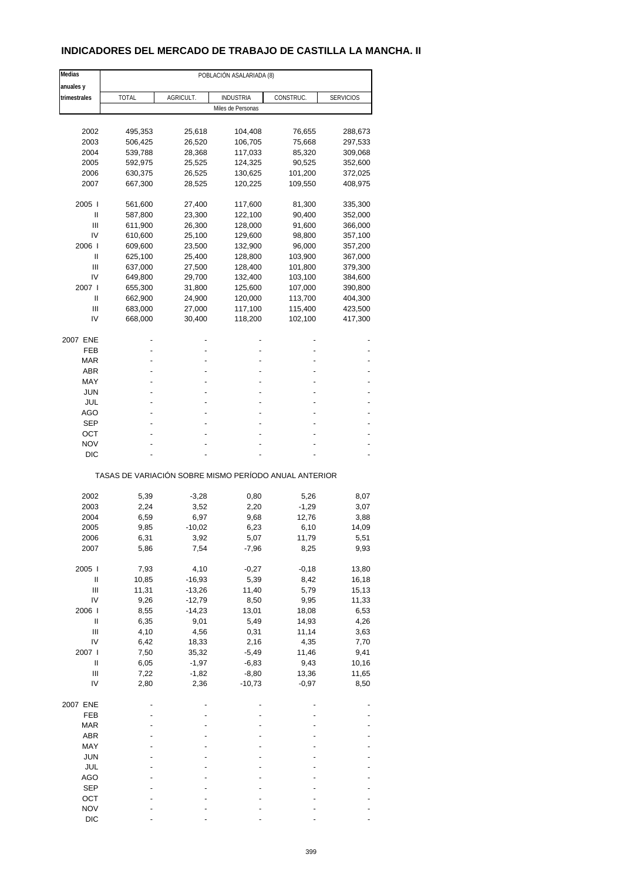### **INDICADORES DEL MERCADO DE TRABAJO DE CASTILLA LA MANCHA. II**

| Medias       |                                                       |           |                   |           |                  |
|--------------|-------------------------------------------------------|-----------|-------------------|-----------|------------------|
| anuales y    |                                                       |           |                   |           |                  |
| trimestrales | <b>TOTAL</b>                                          | AGRICULT. | INDUSTRIA         | CONSTRUC. | <b>SERVICIOS</b> |
|              |                                                       |           | Miles de Personas |           |                  |
|              |                                                       |           |                   |           |                  |
| 2002         | 495,353                                               | 25,618    | 104,408           | 76,655    | 288,673          |
| 2003         | 506,425                                               | 26,520    | 106,705           | 75,668    | 297,533          |
| 2004         | 539,788                                               | 28,368    | 117,033           | 85,320    | 309,068          |
| 2005         | 592,975                                               | 25,525    | 124,325           | 90,525    | 352,600          |
| 2006         | 630,375                                               | 26,525    | 130,625           | 101,200   | 372,025          |
| 2007         | 667,300                                               | 28,525    | 120,225           | 109,550   | 408,975          |
| 2005         | 561,600                                               | 27,400    | 117,600           | 81,300    | 335,300          |
| Ш            | 587,800                                               | 23,300    | 122,100           | 90,400    | 352,000          |
| Ш            | 611,900                                               | 26,300    | 128,000           | 91,600    | 366,000          |
| IV           | 610,600                                               | 25,100    | 129,600           | 98,800    | 357,100          |
| 2006         | 609,600                                               | 23,500    | 132,900           | 96,000    | 357,200          |
| Ш            | 625,100                                               | 25,400    | 128,800           | 103,900   | 367,000          |
|              |                                                       |           |                   |           |                  |
| Ш            | 637,000                                               | 27,500    | 128,400           | 101,800   | 379,300          |
| IV           | 649,800                                               | 29,700    | 132,400           | 103,100   | 384,600          |
| 2007 l       | 655,300                                               | 31,800    | 125,600           | 107,000   | 390,800          |
| Ш            | 662,900                                               | 24,900    | 120,000           | 113,700   | 404,300          |
| Ш            | 683,000                                               | 27,000    | 117,100           | 115,400   | 423,500          |
| IV           | 668,000                                               | 30,400    | 118,200           | 102,100   | 417,300          |
| 2007 ENE     |                                                       |           |                   |           |                  |
| FEB          |                                                       |           |                   |           |                  |
| <b>MAR</b>   |                                                       |           |                   |           |                  |
| ABR          |                                                       |           |                   |           |                  |
| MAY          |                                                       |           |                   |           |                  |
|              |                                                       |           |                   |           |                  |
| JUN          |                                                       |           |                   |           |                  |
| JUL          |                                                       |           |                   |           |                  |
| AGO          |                                                       |           |                   |           |                  |
| SEP          |                                                       |           |                   |           |                  |
| ОСТ          |                                                       |           |                   |           |                  |
| <b>NOV</b>   |                                                       |           |                   |           |                  |
| DIC          |                                                       |           |                   |           |                  |
|              | TASAS DE VARIACIÓN SOBRE MISMO PERÍODO ANUAL ANTERIOR |           |                   |           |                  |
| 2002         | 5,39                                                  | $-3,28$   | 0,80              | 5,26      | 8,07             |
| 2003         |                                                       |           |                   |           |                  |
|              | 2,24                                                  | 3,52      | 2,20              | $-1,29$   | 3,07             |
| 2004         | 6,59                                                  | 6,97      | 9,68              | 12,76     | 3,88             |
| 2005         | 9,85                                                  | $-10,02$  | 6,23              | 6,10      | 14,09            |
| 2006         | 6,31                                                  | 3,92      | 5,07              | 11,79     | 5,51             |
| 2007         | 5,86                                                  | 7,54      | $-7,96$           | 8,25      | 9,93             |
| 2005 l       | 7,93                                                  | 4,10      | $-0,27$           | $-0,18$   | 13,80            |
| $\sf II$     | 10,85                                                 | $-16,93$  | 5,39              | 8,42      | 16,18            |
| Ш            | 11,31                                                 | $-13,26$  | 11,40             | 5,79      | 15,13            |
| IV           | 9,26                                                  | $-12,79$  | 8,50              | 9,95      | 11,33            |
| 2006         | 8,55                                                  | $-14,23$  | 13,01             | 18,08     | 6,53             |
| Ш            | 6,35                                                  | 9,01      | 5,49              | 14,93     | 4,26             |
| Ш            | 4,10                                                  | 4,56      | 0,31              | 11,14     | 3,63             |
| IV           | 6,42                                                  |           | 2,16              |           | 7,70             |
|              |                                                       | 18,33     |                   | 4,35      |                  |
| 2007 l       | 7,50                                                  | 35,32     | $-5,49$           | 11,46     | 9,41             |
| Ш            | 6,05                                                  | $-1,97$   | $-6,83$           | 9,43      | 10,16            |
| Ш            | 7,22                                                  | $-1,82$   | $-8,80$           | 13,36     | 11,65            |
| IV           | 2,80                                                  | 2,36      | $-10,73$          | $-0,97$   | 8,50             |
| 2007 ENE     |                                                       |           |                   |           |                  |
| FEB          |                                                       |           |                   |           |                  |
| <b>MAR</b>   |                                                       |           |                   |           |                  |
| ABR          |                                                       |           |                   |           |                  |
| MAY          |                                                       |           |                   |           |                  |
| <b>JUN</b>   |                                                       |           |                   |           |                  |
| JUL          |                                                       |           |                   |           |                  |
|              |                                                       |           |                   |           |                  |
| AGO          |                                                       |           |                   |           |                  |
| SEP          |                                                       |           |                   |           |                  |
| OCT          |                                                       |           |                   |           |                  |
| <b>NOV</b>   |                                                       |           |                   |           |                  |
| <b>DIC</b>   |                                                       |           |                   |           |                  |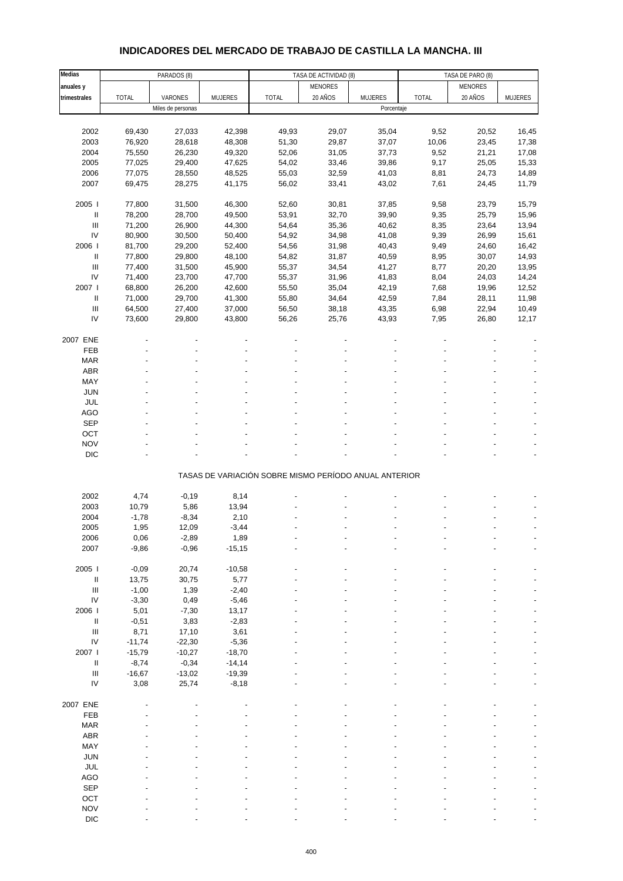## **INDICADORES DEL MERCADO DE TRABAJO DE CASTILLA LA MANCHA. III**

| Medias                             |              | PARADOS (8)       |          |                                                       | TASA DE ACTIVIDAD (8) |                |       | TASA DE PARO (8) |                |
|------------------------------------|--------------|-------------------|----------|-------------------------------------------------------|-----------------------|----------------|-------|------------------|----------------|
| anuales y                          |              |                   |          |                                                       | <b>MENORES</b>        |                |       | <b>MENORES</b>   |                |
| trimestrales                       | <b>TOTAL</b> | VARONES           | MUJERES  | <b>TOTAL</b>                                          | 20 AÑOS               | <b>MUJERES</b> | TOTAL | 20 AÑOS          | <b>MUJERES</b> |
|                                    |              | Miles de personas |          |                                                       |                       | Porcentaje     |       |                  |                |
|                                    |              |                   |          |                                                       |                       |                |       |                  |                |
| 2002                               | 69,430       | 27,033            | 42,398   | 49,93                                                 | 29,07                 | 35,04          | 9,52  | 20,52            | 16,45          |
| 2003                               | 76,920       | 28,618            | 48,308   | 51,30                                                 | 29,87                 | 37,07          | 10,06 | 23,45            | 17,38          |
| 2004                               | 75,550       | 26,230            | 49,320   | 52,06                                                 | 31,05                 | 37,73          | 9,52  | 21,21            | 17,08          |
| 2005                               | 77,025       | 29,400            | 47,625   | 54,02                                                 | 33,46                 | 39,86          | 9,17  | 25,05            | 15,33          |
| 2006                               | 77,075       | 28,550            | 48,525   | 55,03                                                 | 32,59                 | 41,03          | 8,81  | 24,73            | 14,89          |
| 2007                               | 69,475       | 28,275            | 41,175   | 56,02                                                 | 33,41                 | 43,02          | 7,61  | 24,45            | 11,79          |
|                                    |              |                   |          |                                                       |                       |                |       |                  |                |
| 2005 l                             | 77,800       | 31,500            | 46,300   | 52,60                                                 | 30,81                 | 37,85          | 9,58  | 23,79            | 15,79          |
| Ш                                  | 78,200       | 28,700            | 49,500   | 53,91                                                 | 32,70                 | 39,90          | 9,35  | 25,79            | 15,96          |
| $\mathsf{III}$                     | 71,200       | 26,900            | 44,300   | 54,64                                                 | 35,36                 | 40,62          | 8,35  | 23,64            | 13,94          |
| IV                                 | 80,900       | 30,500            | 50,400   | 54,92                                                 | 34,98                 | 41,08          | 9,39  | 26,99            | 15,61          |
| 2006                               | 81,700       | 29,200            | 52,400   | 54,56                                                 | 31,98                 | 40,43          | 9,49  | 24,60            | 16,42          |
|                                    |              |                   |          |                                                       |                       |                |       |                  |                |
| Ш                                  | 77,800       | 29,800            | 48,100   | 54,82                                                 | 31,87                 | 40,59          | 8,95  | 30,07            | 14,93          |
| $\ensuremath{\mathsf{III}}\xspace$ | 77,400       | 31,500            | 45,900   | 55,37                                                 | 34,54                 | 41,27          | 8,77  | 20,20            | 13,95          |
| IV                                 | 71,400       | 23,700            | 47,700   | 55,37                                                 | 31,96                 | 41,83          | 8,04  | 24,03            | 14,24          |
| 2007 l                             | 68,800       | 26,200            | 42,600   | 55,50                                                 | 35,04                 | 42,19          | 7,68  | 19,96            | 12,52          |
| $\ensuremath{\mathsf{II}}$         | 71,000       | 29,700            | 41,300   | 55,80                                                 | 34,64                 | 42,59          | 7,84  | 28,11            | 11,98          |
| $\ensuremath{\mathsf{III}}\xspace$ | 64,500       | 27,400            | 37,000   | 56,50                                                 | 38,18                 | 43,35          | 6,98  | 22,94            | 10,49          |
| IV                                 | 73,600       | 29,800            | 43,800   | 56,26                                                 | 25,76                 | 43,93          | 7,95  | 26,80            | 12,17          |
|                                    |              |                   |          |                                                       |                       |                |       |                  |                |
| 2007 ENE                           |              |                   |          |                                                       |                       |                |       |                  |                |
| FEB                                |              |                   |          |                                                       |                       |                |       |                  |                |
| <b>MAR</b>                         |              |                   |          |                                                       |                       |                |       |                  |                |
| ABR                                |              |                   |          |                                                       |                       |                |       |                  |                |
| MAY                                |              |                   |          |                                                       |                       |                |       |                  |                |
| <b>JUN</b>                         |              |                   |          |                                                       |                       |                |       |                  |                |
| JUL                                |              |                   |          |                                                       |                       |                |       |                  |                |
| <b>AGO</b>                         |              |                   |          |                                                       |                       |                |       |                  |                |
| SEP                                |              |                   |          |                                                       |                       |                |       |                  |                |
| OCT                                |              |                   |          |                                                       |                       |                |       |                  |                |
| <b>NOV</b>                         |              |                   |          |                                                       |                       |                |       |                  |                |
| <b>DIC</b>                         |              |                   |          |                                                       |                       |                |       |                  |                |
|                                    |              |                   |          |                                                       |                       |                |       |                  |                |
|                                    |              |                   |          | TASAS DE VARIACIÓN SOBRE MISMO PERÍODO ANUAL ANTERIOR |                       |                |       |                  |                |
|                                    |              |                   |          |                                                       |                       |                |       |                  |                |
| 2002                               | 4,74         | $-0,19$           | 8,14     |                                                       |                       |                |       |                  |                |
| 2003                               | 10,79        | 5,86              | 13,94    |                                                       |                       |                |       |                  |                |
| 2004                               | $-1,78$      | $-8,34$           | 2,10     |                                                       |                       |                |       |                  |                |
| 2005                               | 1,95         | 12,09             | $-3,44$  |                                                       |                       |                |       |                  |                |
| 2006                               | 0,06         | $-2,89$           | 1,89     |                                                       |                       |                |       |                  |                |
| 2007                               | $-9,86$      | $-0,96$           | $-15,15$ |                                                       |                       |                |       |                  |                |
|                                    |              |                   |          |                                                       |                       |                |       |                  |                |
| 2005 l                             | $-0,09$      | 20,74             | $-10,58$ |                                                       |                       |                |       |                  |                |
| Ш                                  | 13,75        | 30,75             | 5,77     |                                                       |                       |                |       |                  |                |
| $\ensuremath{\mathsf{III}}\xspace$ | $-1,00$      | 1,39              | $-2,40$  |                                                       |                       |                |       |                  |                |
| ${\sf IV}$                         | $-3,30$      | 0,49              | $-5,46$  |                                                       |                       |                |       |                  |                |
| 2006                               | 5,01         | $-7,30$           | 13,17    |                                                       |                       |                |       |                  |                |
| $\ensuremath{\mathsf{II}}$         | $-0,51$      | 3,83              | $-2,83$  |                                                       |                       |                |       |                  |                |
| $\ensuremath{\mathsf{III}}\xspace$ | 8,71         | 17,10             | 3,61     |                                                       |                       |                |       |                  |                |
| IV                                 | $-11,74$     | $-22,30$          | $-5,36$  |                                                       |                       |                |       |                  |                |
| 2007 l                             | $-15,79$     | $-10,27$          | $-18,70$ |                                                       |                       |                |       |                  |                |
| $\ensuremath{\mathsf{II}}$         | $-8,74$      | $-0,34$           | $-14,14$ |                                                       |                       |                |       |                  |                |
| $\ensuremath{\mathsf{III}}\xspace$ | $-16,67$     | $-13,02$          | $-19,39$ |                                                       |                       |                |       |                  |                |
| IV                                 | 3,08         | 25,74             | $-8,18$  |                                                       |                       |                |       |                  |                |
|                                    |              |                   |          |                                                       |                       |                |       |                  |                |
| 2007 ENE                           |              |                   |          |                                                       |                       |                |       |                  |                |
| FEB                                |              |                   |          |                                                       |                       |                |       |                  |                |
| <b>MAR</b>                         |              |                   |          |                                                       |                       |                |       |                  |                |
| ABR                                |              |                   |          |                                                       |                       |                |       |                  |                |
| MAY                                |              |                   |          |                                                       |                       |                |       |                  |                |
|                                    |              |                   |          |                                                       |                       |                |       |                  |                |
| <b>JUN</b>                         |              |                   |          |                                                       |                       |                |       |                  |                |
| JUL                                |              |                   |          |                                                       |                       |                |       |                  |                |
| <b>AGO</b>                         |              |                   |          |                                                       |                       |                |       |                  |                |
| SEP                                |              |                   |          |                                                       |                       |                |       |                  |                |
| OCT                                |              |                   |          |                                                       |                       |                |       |                  |                |
| <b>NOV</b>                         |              |                   |          |                                                       |                       |                |       |                  |                |
| <b>DIC</b>                         |              |                   |          |                                                       |                       |                |       |                  |                |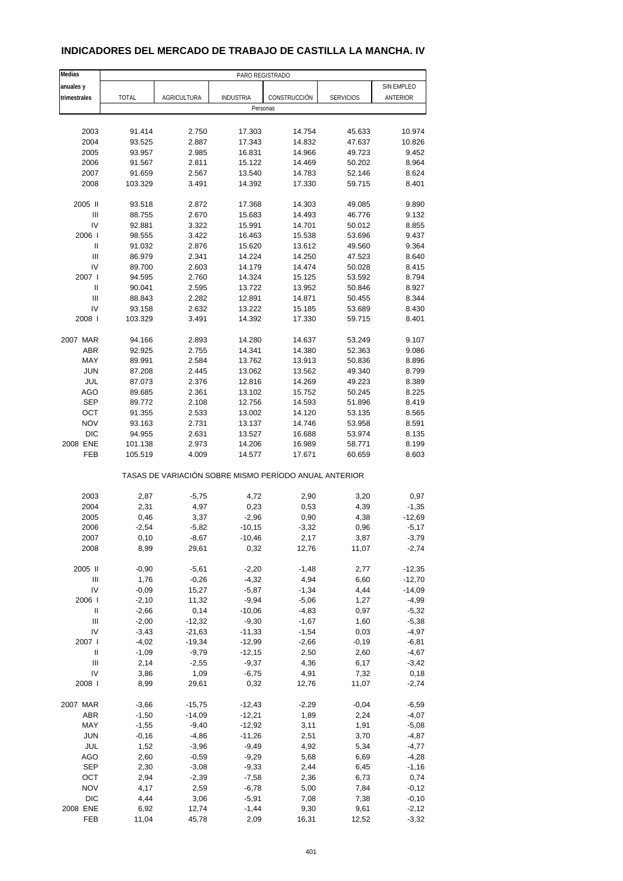| Medias                     |              |                    | PARO REGISTRADO                                       |              |                  |            |
|----------------------------|--------------|--------------------|-------------------------------------------------------|--------------|------------------|------------|
| anuales y                  |              |                    |                                                       |              |                  | SIN EMPLEO |
| trimestrales               | <b>TOTAL</b> | <b>AGRICULTURA</b> | <b>INDUSTRIA</b>                                      | CONSTRUCCIÓN | <b>SERVICIOS</b> | ANTERIOR   |
|                            |              |                    | Personas                                              |              |                  |            |
|                            |              |                    |                                                       |              |                  |            |
| 2003                       | 91.414       | 2.750              | 17.303                                                | 14.754       | 45.633           | 10.974     |
| 2004                       | 93.525       | 2.887              | 17.343                                                | 14.832       | 47.637           | 10.826     |
| 2005                       | 93.957       | 2.985              | 16.831                                                | 14.966       | 49.723           | 9.452      |
| 2006                       |              | 2.811              | 15.122                                                |              | 50.202           | 8.964      |
|                            | 91.567       |                    |                                                       | 14.469       |                  |            |
| 2007                       | 91.659       | 2.567              | 13.540                                                | 14.783       | 52.146           | 8.624      |
| 2008                       | 103.329      | 3.491              | 14.392                                                | 17.330       | 59.715           | 8.401      |
| 2005 II                    | 93.518       | 2.872              | 17.368                                                | 14.303       | 49.085           | 9.890      |
| Ш                          | 88.755       | 2.670              | 15.683                                                | 14.493       | 46.776           | 9.132      |
| IV                         | 92.881       | 3.322              | 15.991                                                | 14.701       | 50.012           | 8.855      |
| 2006                       | 98.555       | 3.422              | 16.463                                                | 15.538       | 53.696           | 9.437      |
| Ш                          | 91.032       | 2.876              | 15.620                                                | 13.612       | 49.560           | 9.364      |
| Ш                          | 86.979       | 2.341              | 14.224                                                | 14.250       | 47.523           | 8.640      |
| IV                         |              |                    | 14.179                                                |              |                  |            |
|                            | 89.700       | 2.603              |                                                       | 14.474       | 50.028           | 8.415      |
| 2007 l                     | 94.595       | 2.760              | 14.324                                                | 15.125       | 53.592           | 8.794      |
| $\ensuremath{\mathsf{II}}$ | 90.041       | 2.595              | 13.722                                                | 13.952       | 50.846           | 8.927      |
| Ш                          | 88.843       | 2.282              | 12.891                                                | 14.871       | 50.455           | 8.344      |
| IV                         | 93.158       | 2.632              | 13.222                                                | 15.185       | 53.689           | 8.430      |
| 2008                       | 103.329      | 3.491              | 14.392                                                | 17.330       | 59.715           | 8.401      |
| 2007 MAR                   | 94.166       | 2.893              | 14.280                                                | 14.637       | 53.249           | 9.107      |
| <b>ABR</b>                 | 92.925       | 2.755              | 14.341                                                | 14.380       | 52.363           | 9.086      |
|                            |              |                    |                                                       |              |                  |            |
| MAY                        | 89.991       | 2.584              | 13.762                                                | 13.913       | 50.836           | 8.896      |
| <b>JUN</b>                 | 87.208       | 2.445              | 13.062                                                | 13.562       | 49.340           | 8.799      |
| JUL                        | 87.073       | 2.376              | 12.816                                                | 14.269       | 49.223           | 8.389      |
| <b>AGO</b>                 | 89.685       | 2.361              | 13.102                                                | 15.752       | 50.245           | 8.225      |
| <b>SEP</b>                 | 89.772       | 2.108              | 12.756                                                | 14.593       | 51.896           | 8.419      |
| OCT                        | 91.355       | 2.533              | 13.002                                                | 14.120       | 53.135           | 8.565      |
| <b>NOV</b>                 | 93.163       | 2.731              | 13.137                                                | 14.746       | 53.958           | 8.591      |
| <b>DIC</b>                 | 94.955       | 2.631              | 13.527                                                | 16.688       | 53.974           | 8.135      |
| 2008 ENE                   | 101.138      | 2.973              | 14.206                                                | 16.989       | 58.771           | 8.199      |
| FEB                        | 105.519      | 4.009              | 14.577                                                | 17.671       | 60.659           | 8.603      |
|                            |              |                    | TASAS DE VARIACIÓN SOBRE MISMO PERÍODO ANUAL ANTERIOR |              |                  |            |
| 2003                       | 2,87         | $-5,75$            | 4,72                                                  | 2,90         | 3,20             | 0,97       |
| 2004                       | 2,31         | 4,97               | 0,23                                                  | 0,53         | 4,39             | $-1,35$    |
| 2005                       |              |                    | $-2,96$                                               | $0,\!90$     | 4,38             | $-12,69$   |
|                            | 0,46         | 3,37               |                                                       |              |                  |            |
| 2006                       | $-2,54$      | $-5,82$            | $-10,15$                                              | $-3,32$      | 0,96             | $-5,17$    |
| 2007                       | 0, 10        | $-8,67$            | $-10,46$                                              | 2,17         | 3,87             | $-3,79$    |
| 2008                       | 8,99         | 29,61              | 0,32                                                  | 12,76        | 11,07            | $-2,74$    |
| 2005 II                    | $-0,90$      | $-5,61$            | $-2,20$                                               | $-1,48$      | 2,77             | $-12,35$   |
| Ш                          | 1,76         | $-0,26$            | $-4,32$                                               | 4,94         | 6,60             | $-12,70$   |
| IV                         | $-0,09$      | 15,27              | $-5,87$                                               | $-1,34$      | 4,44             | $-14,09$   |
| 2006                       | $-2,10$      | 11,32              | $-9,94$                                               | $-5,06$      | 1,27             | $-4,99$    |
| Ш                          | $-2,66$      | 0,14               | $-10,06$                                              | $-4,83$      | 0,97             | $-5,32$    |
| Ш                          | $-2,00$      |                    | $-9,30$                                               |              | 1,60             | $-5,38$    |
| IV                         |              | $-12,32$           |                                                       | $-1,67$      |                  |            |
|                            | $-3,43$      | $-21,63$           | $-11,33$                                              | $-1,54$      | 0,03             | $-4,97$    |
| 2007 l                     | $-4,02$      | $-19,34$           | $-12,99$                                              | $-2,66$      | $-0,19$          | $-6, 81$   |
| Ш                          | $-1,09$      | $-9,79$            | $-12,15$                                              | 2,50         | 2,60             | $-4,67$    |
| Ш                          | 2,14         | $-2,55$            | $-9,37$                                               | 4,36         | 6,17             | $-3,42$    |
| IV                         | 3,86         | 1,09               | $-6,75$                                               | 4,91         | 7,32             | 0,18       |
| 2008                       | 8,99         | 29,61              | 0,32                                                  | 12,76        | 11,07            | $-2,74$    |
| 2007 MAR                   | $-3,66$      | $-15,75$           | $-12,43$                                              | $-2,29$      | $-0,04$          | $-6,59$    |
|                            |              |                    |                                                       |              |                  |            |
| <b>ABR</b>                 | $-1,50$      | $-14,09$           | $-12,21$                                              | 1,89         | 2,24             | $-4,07$    |
| MAY                        | $-1,55$      | $-9,40$            | $-12,92$                                              | 3,11         | 1,91             | $-5,08$    |
| <b>JUN</b>                 | $-0,16$      | $-4,86$            | $-11,26$                                              | 2,51         | 3,70             | $-4,87$    |
| JUL                        | 1,52         | $-3,96$            | $-9,49$                                               | 4,92         | 5,34             | $-4,77$    |
| <b>AGO</b>                 | 2,60         | $-0,59$            | $-9,29$                                               | 5,68         | 6,69             | $-4,28$    |
| <b>SEP</b>                 | 2,30         | $-3,08$            | $-9,33$                                               | 2,44         | 6,45             | $-1,16$    |
| OCT                        | 2,94         | $-2,39$            | $-7,58$                                               | 2,36         | 6,73             | 0,74       |
| <b>NOV</b>                 | 4,17         | 2,59               | $-6,78$                                               | 5,00         | 7,84             | $-0,12$    |
| DIC                        | 4,44         | 3,06               | $-5,91$                                               | 7,08         | 7,38             | $-0,10$    |
| 2008 ENE                   | 6,92         | 12,74              | $-1,44$                                               | 9,30         | 9,61             | $-2,12$    |
| FEB                        | 11,04        | 45,78              | 2,09                                                  | 16,31        | 12,52            | $-3,32$    |
|                            |              |                    |                                                       |              |                  |            |

#### **INDICADORES DEL MERCADO DE TRABAJO DE CASTILLA LA MANCHA. IV**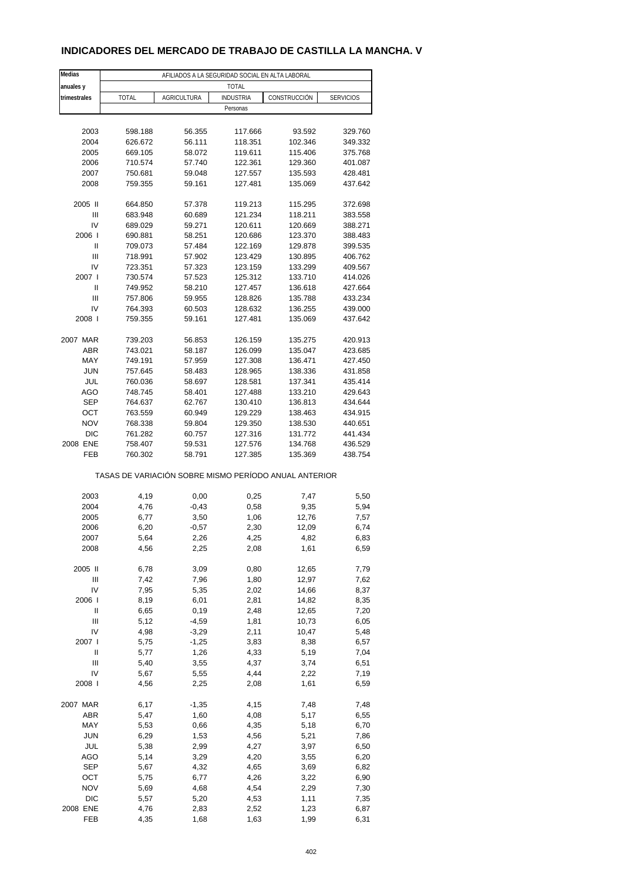### **INDICADORES DEL MERCADO DE TRABAJO DE CASTILLA LA MANCHA. V**

| Medias         |                                                       |                    | AFILIADOS A LA SEGURIDAD SOCIAL EN ALTA LABORAL |              |                  |
|----------------|-------------------------------------------------------|--------------------|-------------------------------------------------|--------------|------------------|
| anuales y      |                                                       |                    | <b>TOTAL</b>                                    |              |                  |
| trimestrales   | TOTAL                                                 | <b>AGRICULTURA</b> | <b>INDUSTRIA</b>                                | CONSTRUCCIÓN | <b>SERVICIOS</b> |
|                |                                                       |                    | Personas                                        |              |                  |
|                |                                                       |                    |                                                 |              |                  |
| 2003           | 598.188                                               | 56.355             | 117.666                                         | 93.592       | 329.760          |
| 2004           | 626.672                                               | 56.111             | 118.351                                         | 102.346      | 349.332          |
| 2005           | 669.105                                               | 58.072             | 119.611                                         | 115.406      | 375.768          |
| 2006           | 710.574                                               | 57.740             | 122.361                                         | 129.360      | 401.087          |
| 2007           | 750.681                                               | 59.048             | 127.557                                         | 135.593      | 428.481          |
| 2008           | 759.355                                               | 59.161             | 127.481                                         | 135.069      | 437.642          |
|                |                                                       |                    |                                                 |              |                  |
| 2005 II        | 664.850                                               | 57.378             | 119.213                                         | 115.295      | 372.698          |
| Ш              | 683.948                                               | 60.689             | 121.234                                         | 118.211      | 383.558          |
| IV             | 689.029                                               | 59.271             | 120.611                                         | 120.669      | 388.271          |
| 2006           | 690.881                                               | 58.251             | 120.686                                         | 123.370      | 388.483          |
| Ш              | 709.073                                               | 57.484             | 122.169                                         | 129.878      | 399.535          |
| Ш              | 718.991                                               | 57.902             | 123.429                                         | 130.895      | 406.762          |
| IV             | 723.351                                               | 57.323             | 123.159                                         | 133.299      | 409.567          |
| 2007 l         | 730.574                                               | 57.523             | 125.312                                         | 133.710      | 414.026          |
| Ш              | 749.952                                               | 58.210             | 127.457                                         | 136.618      | 427.664          |
| Ш              | 757.806                                               | 59.955             | 128.826                                         | 135.788      | 433.234          |
| IV             | 764.393                                               | 60.503             | 128.632                                         | 136.255      | 439.000          |
| 2008           | 759.355                                               | 59.161             | 127.481                                         | 135.069      | 437.642          |
|                |                                                       |                    |                                                 |              |                  |
| 2007 MAR       | 739.203                                               | 56.853             | 126.159                                         | 135.275      | 420.913          |
| ABR            | 743.021                                               | 58.187             | 126.099                                         | 135.047      | 423.685          |
| MAY            | 749.191                                               | 57.959             | 127.308                                         | 136.471      | 427.450          |
| <b>JUN</b>     | 757.645                                               | 58.483             | 128.965                                         | 138.336      | 431.858          |
| JUL            | 760.036                                               | 58.697             | 128.581                                         | 137.341      | 435.414          |
| AGO            | 748.745                                               | 58.401             | 127.488                                         | 133.210      | 429.643          |
| <b>SEP</b>     | 764.637                                               | 62.767             | 130.410                                         | 136.813      | 434.644          |
| OCT            | 763.559                                               | 60.949             | 129.229                                         | 138.463      | 434.915          |
| <b>NOV</b>     | 768.338                                               | 59.804             | 129.350                                         | 138.530      | 440.651          |
| <b>DIC</b>     | 761.282                                               | 60.757             | 127.316                                         | 131.772      | 441.434          |
| 2008 ENE       | 758.407                                               | 59.531             | 127.576                                         | 134.768      | 436.529          |
| FEB            | 760.302                                               | 58.791             | 127.385                                         | 135.369      | 438.754          |
|                |                                                       |                    |                                                 |              |                  |
|                | TASAS DE VARIACIÓN SOBRE MISMO PERÍODO ANUAL ANTERIOR |                    |                                                 |              |                  |
|                |                                                       |                    |                                                 |              |                  |
| 2003           | 4,19                                                  | 0,00               | 0,25                                            | 7,47         | 5,50             |
| 2004           | 4,76                                                  | $-0,43$            | 0,58                                            | 9,35         | 5,94             |
| 2005           | 6,77                                                  | 3,50               | 1,06                                            | 12,76        | 7,57             |
| 2006           | 6,20                                                  | $-0,57$            | 2,30                                            | 12,09        | 6,74             |
| 2007           | 5,64                                                  | 2,26               | 4,25                                            | 4,82         | 6,83             |
| 2008           | 4,56                                                  | 2,25               | 2,08                                            | 1,61         | 6,59             |
|                |                                                       |                    |                                                 |              |                  |
| 2005 II        | 6,78                                                  | 3,09               | 0,80                                            | 12,65        | 7,79             |
| $\mathsf{III}$ | 7,42                                                  | 7,96               | 1,80                                            | 12,97        | 7,62             |
| IV             | 7,95                                                  | 5,35               | 2,02                                            | 14,66        | 8,37             |
| 2006           | 8,19                                                  | 6,01               | 2,81                                            | 14,82        | 8,35             |
| Ш              | 6,65                                                  | 0,19               | 2,48                                            | 12,65        | 7,20             |
| Ш              | 5,12                                                  | $-4,59$            | 1,81                                            | 10,73        | 6,05             |
| IV             | 4,98                                                  | $-3,29$            | 2,11                                            | 10,47        | 5,48             |
| 2007 l         | 5,75                                                  | $-1,25$            | 3,83                                            | 8,38         | 6,57             |
| Ш              | 5,77                                                  | 1,26               | 4,33                                            | 5,19         | 7,04             |
| Ш              | 5,40                                                  | 3,55               | 4,37                                            | 3,74         | 6,51             |
| IV             | 5,67                                                  | 5,55               | 4,44                                            | 2,22         | 7,19             |
| 2008           | 4,56                                                  | 2,25               | 2,08                                            | 1,61         | 6,59             |
|                |                                                       |                    |                                                 |              |                  |
| 2007 MAR       | 6,17                                                  | $-1,35$            | 4,15                                            | 7,48         | 7,48             |
| <b>ABR</b>     | 5,47                                                  | 1,60               | 4,08                                            | 5,17         | 6,55             |
| MAY            | 5,53                                                  | 0,66               | 4,35                                            | 5,18         | 6,70             |
| <b>JUN</b>     | 6,29                                                  | 1,53               | 4,56                                            | 5,21         | 7,86             |
| JUL            | 5,38                                                  | 2,99               | 4,27                                            | 3,97         | 6,50             |
| AGO            | 5,14                                                  | 3,29               | 4,20                                            | 3,55         | 6,20             |
| SEP            | 5,67                                                  | 4,32               | 4,65                                            | 3,69         | 6,82             |
| OCT            | 5,75                                                  | 6,77               | 4,26                                            | 3,22         | 6,90             |
| <b>NOV</b>     | 5,69                                                  | 4,68               | 4,54                                            | 2,29         | 7,30             |
| DIC            | 5,57                                                  | 5,20               | 4,53                                            | 1,11         | 7,35             |
| 2008 ENE       | 4,76                                                  | 2,83               | 2,52                                            | 1,23         | 6,87             |
| FEB            | 4,35                                                  | 1,68               | 1,63                                            | 1,99         | 6,31             |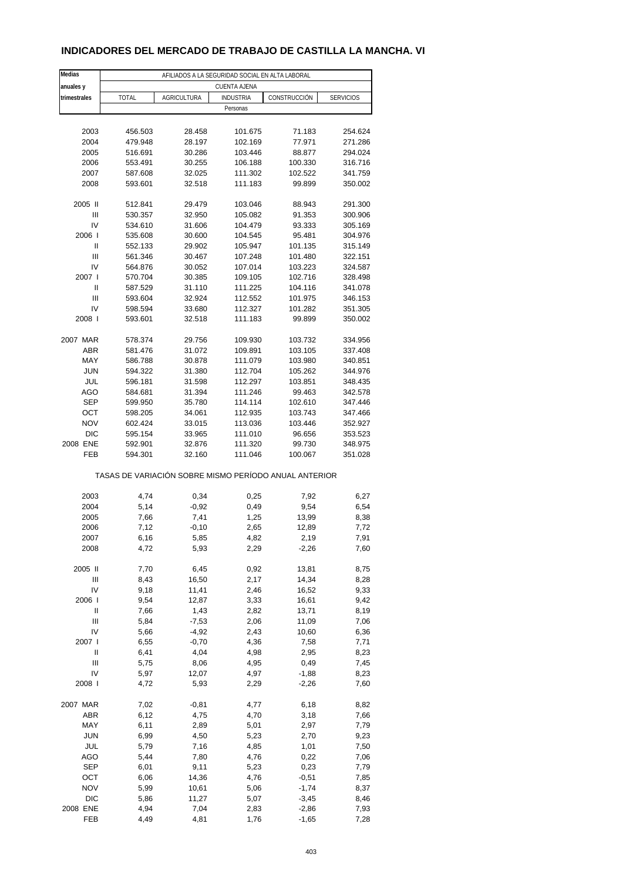### **INDICADORES DEL MERCADO DE TRABAJO DE CASTILLA LA MANCHA. VI**

| Medias         | AFILIADOS A LA SEGURIDAD SOCIAL EN ALTA LABORAL       |                    |                  |                    |                    |  |  |  |  |  |
|----------------|-------------------------------------------------------|--------------------|------------------|--------------------|--------------------|--|--|--|--|--|
| anuales y      | <b>CUENTA AJENA</b>                                   |                    |                  |                    |                    |  |  |  |  |  |
| trimestrales   | TOTAL                                                 | <b>AGRICULTURA</b> | <b>INDUSTRIA</b> | CONSTRUCCIÓN       | <b>SERVICIOS</b>   |  |  |  |  |  |
|                |                                                       |                    | Personas         |                    |                    |  |  |  |  |  |
|                |                                                       |                    |                  |                    |                    |  |  |  |  |  |
| 2003           | 456.503                                               | 28.458             | 101.675          | 71.183             | 254.624            |  |  |  |  |  |
| 2004           | 479.948                                               | 28.197             | 102.169          | 77.971             | 271.286            |  |  |  |  |  |
| 2005           | 516.691                                               | 30.286             | 103.446          | 88.877             | 294.024            |  |  |  |  |  |
| 2006           | 553.491                                               | 30.255             | 106.188          | 100.330            | 316.716            |  |  |  |  |  |
| 2007           | 587.608                                               | 32.025             | 111.302          | 102.522            | 341.759            |  |  |  |  |  |
| 2008           | 593.601                                               | 32.518             | 111.183          | 99.899             | 350.002            |  |  |  |  |  |
|                |                                                       |                    |                  |                    |                    |  |  |  |  |  |
| 2005 II        | 512.841                                               | 29.479             | 103.046          | 88.943             | 291.300            |  |  |  |  |  |
| Ш              | 530.357                                               | 32.950             | 105.082          | 91.353             | 300.906            |  |  |  |  |  |
| IV             | 534.610                                               | 31.606             | 104.479          | 93.333             | 305.169            |  |  |  |  |  |
| 2006           | 535.608                                               | 30.600             | 104.545          | 95.481             | 304.976            |  |  |  |  |  |
| Ш              | 552.133                                               | 29.902             | 105.947          | 101.135            | 315.149            |  |  |  |  |  |
| Ш              | 561.346                                               | 30.467             | 107.248          | 101.480            | 322.151            |  |  |  |  |  |
| IV             | 564.876                                               | 30.052             | 107.014          | 103.223            | 324.587            |  |  |  |  |  |
| 2007 l         | 570.704                                               | 30.385             | 109.105          | 102.716            | 328.498            |  |  |  |  |  |
| Ш              | 587.529                                               | 31.110             | 111.225          | 104.116            | 341.078            |  |  |  |  |  |
| $\mathsf{III}$ | 593.604                                               | 32.924             | 112.552          | 101.975            | 346.153            |  |  |  |  |  |
| IV             | 598.594                                               | 33.680             | 112.327          | 101.282            | 351.305            |  |  |  |  |  |
| 2008           | 593.601                                               | 32.518             | 111.183          | 99.899             | 350.002            |  |  |  |  |  |
|                |                                                       |                    |                  |                    |                    |  |  |  |  |  |
| 2007 MAR       | 578.374                                               | 29.756             | 109.930          | 103.732            | 334.956            |  |  |  |  |  |
| <b>ABR</b>     | 581.476<br>586.788                                    | 31.072             | 109.891          | 103.105<br>103.980 | 337.408<br>340.851 |  |  |  |  |  |
| MAY            |                                                       | 30.878             | 111.079          |                    |                    |  |  |  |  |  |
| <b>JUN</b>     | 594.322                                               | 31.380             | 112.704          | 105.262            | 344.976            |  |  |  |  |  |
| JUL            | 596.181                                               | 31.598             | 112.297          | 103.851            | 348.435            |  |  |  |  |  |
| AGO            | 584.681                                               | 31.394             | 111.246          | 99.463             | 342.578            |  |  |  |  |  |
| <b>SEP</b>     | 599.950                                               | 35.780             | 114.114          | 102.610            | 347.446            |  |  |  |  |  |
| OCT            | 598.205                                               | 34.061             | 112.935          | 103.743            | 347.466            |  |  |  |  |  |
| <b>NOV</b>     | 602.424                                               | 33.015             | 113.036          | 103.446            | 352.927            |  |  |  |  |  |
| <b>DIC</b>     | 595.154                                               | 33.965             | 111.010          | 96.656             | 353.523            |  |  |  |  |  |
| 2008 ENE       | 592.901                                               | 32.876             | 111.320          | 99.730             | 348.975            |  |  |  |  |  |
| FEB            | 594.301                                               | 32.160             | 111.046          | 100.067            | 351.028            |  |  |  |  |  |
|                | TASAS DE VARIACIÓN SOBRE MISMO PERÍODO ANUAL ANTERIOR |                    |                  |                    |                    |  |  |  |  |  |
| 2003           | 4,74                                                  | 0,34               | 0,25             | 7,92               | 6,27               |  |  |  |  |  |
| 2004           | 5,14                                                  | $-0.92$            | 0,49             | 9,54               | 6,54               |  |  |  |  |  |
| 2005           | 7,66                                                  | 7,41               | 1,25             | 13,99              | 8,38               |  |  |  |  |  |
| 2006           | 7,12                                                  | $-0,10$            | 2,65             | 12,89              | 7,72               |  |  |  |  |  |
| 2007           | 6,16                                                  | 5,85               | 4,82             | 2,19               | 7,91               |  |  |  |  |  |
| 2008           | 4,72                                                  | 5,93               | 2,29             | $-2,26$            | 7,60               |  |  |  |  |  |
|                |                                                       |                    |                  |                    |                    |  |  |  |  |  |
| 2005 II        | 7,70                                                  | 6,45               | 0,92             | 13,81              | 8,75               |  |  |  |  |  |
| Ш              | 8,43                                                  | 16,50              | 2,17             | 14,34              | 8,28               |  |  |  |  |  |
| IV             | 9,18                                                  | 11,41              | 2,46             | 16,52              | 9,33               |  |  |  |  |  |
| 2006           | 9,54                                                  | 12,87              | 3,33             | 16,61              | 9,42               |  |  |  |  |  |
| Ш              | 7,66                                                  | 1,43               | 2,82             | 13,71              | 8,19               |  |  |  |  |  |
| Ш              | 5,84                                                  | $-7,53$            | 2,06             | 11,09              | 7,06               |  |  |  |  |  |
| IV             | 5,66                                                  | $-4,92$            | 2,43             | 10,60              | 6,36               |  |  |  |  |  |
| 2007 l         | 6,55                                                  | $-0,70$            | 4,36             | 7,58               | 7,71               |  |  |  |  |  |
| Ш              | 6,41                                                  | 4,04               | 4,98             | 2,95               | 8,23               |  |  |  |  |  |
| Ш              | 5,75                                                  | 8,06               | 4,95             | 0,49               | 7,45               |  |  |  |  |  |
| IV             | 5,97                                                  | 12,07              | 4,97             | $-1,88$            | 8,23               |  |  |  |  |  |
| 2008           | 4,72                                                  | 5,93               | 2,29             | $-2,26$            | 7,60               |  |  |  |  |  |
|                |                                                       |                    |                  |                    |                    |  |  |  |  |  |
| 2007 MAR       | 7,02                                                  | $-0,81$            | 4,77             | 6,18               | 8,82               |  |  |  |  |  |
| ABR            | 6,12                                                  | 4,75               | 4,70             | 3,18               | 7,66               |  |  |  |  |  |
| MAY            | 6,11                                                  | 2,89               | 5,01             | 2,97               | 7,79               |  |  |  |  |  |
| <b>JUN</b>     | 6,99                                                  | 4,50               | 5,23             | 2,70               | 9,23               |  |  |  |  |  |
| JUL            | 5,79                                                  | 7,16               | 4,85             | 1,01               | 7,50               |  |  |  |  |  |
| AGO            | 5,44                                                  | 7,80               | 4,76             | 0,22               | 7,06               |  |  |  |  |  |
| SEP            | 6,01                                                  | 9,11               | 5,23             | 0,23               | 7,79               |  |  |  |  |  |
| OCT            | 6,06                                                  | 14,36              | 4,76             | $-0,51$            | 7,85               |  |  |  |  |  |
| <b>NOV</b>     | 5,99                                                  | 10,61              | 5,06             | $-1,74$            | 8,37               |  |  |  |  |  |
| DIC            | 5,86                                                  | 11,27              | 5,07             | $-3,45$            | 8,46               |  |  |  |  |  |
| 2008 ENE       | 4,94                                                  | 7,04               | 2,83             | $-2,86$            | 7,93               |  |  |  |  |  |
| FEB            | 4,49                                                  | 4,81               | 1,76             | $-1,65$            | 7,28               |  |  |  |  |  |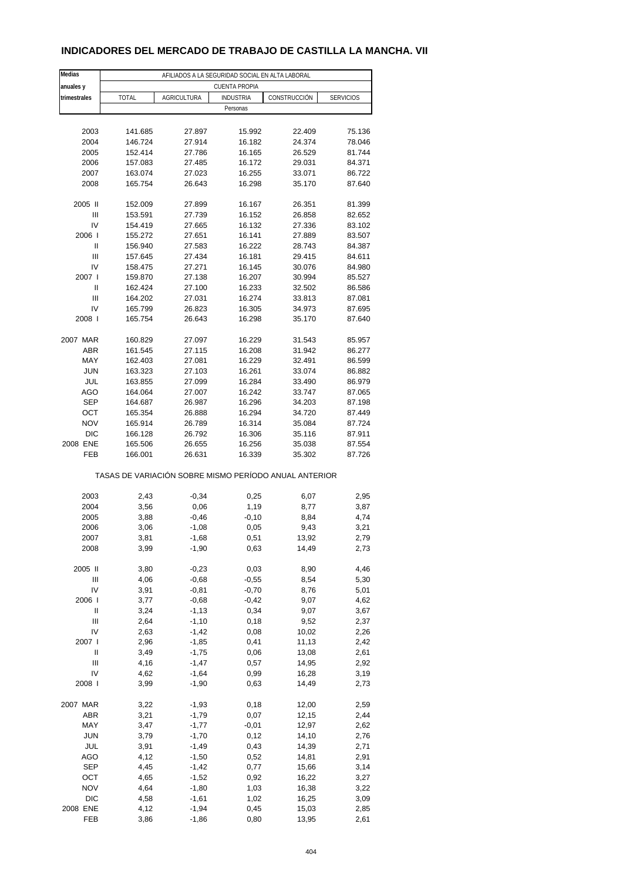### **INDICADORES DEL MERCADO DE TRABAJO DE CASTILLA LA MANCHA. VII**

| Medias         | AFILIADOS A LA SEGURIDAD SOCIAL EN ALTA LABORAL |                    |                                                       |              |                  |  |  |  |  |  |
|----------------|-------------------------------------------------|--------------------|-------------------------------------------------------|--------------|------------------|--|--|--|--|--|
| anuales y      | <b>CUENTA PROPIA</b>                            |                    |                                                       |              |                  |  |  |  |  |  |
| trimestrales   | <b>TOTAL</b>                                    | <b>AGRICULTURA</b> | <b>INDUSTRIA</b>                                      | CONSTRUCCIÓN | <b>SERVICIOS</b> |  |  |  |  |  |
|                |                                                 |                    | Personas                                              |              |                  |  |  |  |  |  |
|                |                                                 |                    |                                                       |              |                  |  |  |  |  |  |
| 2003           | 141.685                                         | 27.897             | 15.992                                                | 22.409       | 75.136           |  |  |  |  |  |
| 2004           | 146.724                                         | 27.914             | 16.182                                                | 24.374       | 78.046           |  |  |  |  |  |
| 2005           | 152.414                                         | 27.786             | 16.165                                                | 26.529       | 81.744           |  |  |  |  |  |
| 2006           | 157.083                                         | 27.485             | 16.172                                                | 29.031       | 84.371           |  |  |  |  |  |
| 2007           | 163.074                                         | 27.023             | 16.255                                                | 33.071       | 86.722           |  |  |  |  |  |
| 2008           | 165.754                                         | 26.643             | 16.298                                                | 35.170       | 87.640           |  |  |  |  |  |
|                |                                                 |                    |                                                       |              |                  |  |  |  |  |  |
| 2005 II        | 152.009                                         | 27.899             | 16.167                                                | 26.351       | 81.399           |  |  |  |  |  |
| $\mathsf{III}$ | 153.591                                         | 27.739             | 16.152                                                | 26.858       | 82.652           |  |  |  |  |  |
| IV             | 154.419                                         | 27.665             | 16.132                                                | 27.336       | 83.102           |  |  |  |  |  |
| 2006           | 155.272                                         | 27.651             | 16.141                                                | 27.889       | 83.507           |  |  |  |  |  |
| Ш              | 156.940                                         | 27.583             | 16.222                                                | 28.743       | 84.387           |  |  |  |  |  |
| Ш              | 157.645                                         | 27.434             | 16.181                                                | 29.415       | 84.611           |  |  |  |  |  |
| IV             | 158.475                                         | 27.271             | 16.145                                                | 30.076       | 84.980           |  |  |  |  |  |
| 2007 l         | 159.870                                         | 27.138             | 16.207                                                | 30.994       | 85.527           |  |  |  |  |  |
| Ш              | 162.424                                         | 27.100             | 16.233                                                | 32.502       | 86.586           |  |  |  |  |  |
| $\mathsf{III}$ | 164.202                                         | 27.031             | 16.274                                                | 33.813       | 87.081           |  |  |  |  |  |
| IV             | 165.799                                         | 26.823             | 16.305                                                | 34.973       | 87.695           |  |  |  |  |  |
| 2008           | 165.754                                         | 26.643             | 16.298                                                | 35.170       | 87.640           |  |  |  |  |  |
|                |                                                 |                    |                                                       |              |                  |  |  |  |  |  |
| 2007 MAR       | 160.829                                         | 27.097             | 16.229                                                | 31.543       | 85.957           |  |  |  |  |  |
| <b>ABR</b>     | 161.545                                         | 27.115             | 16.208                                                | 31.942       | 86.277           |  |  |  |  |  |
| MAY            | 162.403                                         | 27.081             | 16.229                                                | 32.491       | 86.599           |  |  |  |  |  |
| <b>JUN</b>     | 163.323                                         | 27.103             | 16.261                                                | 33.074       | 86.882           |  |  |  |  |  |
| JUL            | 163.855                                         | 27.099             | 16.284                                                | 33.490       | 86.979           |  |  |  |  |  |
| AGO            | 164.064                                         | 27.007             | 16.242                                                | 33.747       | 87.065           |  |  |  |  |  |
| <b>SEP</b>     | 164.687                                         | 26.987             | 16.296                                                | 34.203       | 87.198           |  |  |  |  |  |
| OCT            | 165.354                                         | 26.888             | 16.294                                                | 34.720       | 87.449           |  |  |  |  |  |
| <b>NOV</b>     | 165.914                                         | 26.789             | 16.314                                                | 35.084       | 87.724           |  |  |  |  |  |
| <b>DIC</b>     | 166.128                                         | 26.792             | 16.306                                                | 35.116       | 87.911           |  |  |  |  |  |
| 2008 ENE       | 165.506                                         | 26.655             | 16.256                                                | 35.038       | 87.554           |  |  |  |  |  |
| FEB            | 166.001                                         | 26.631             | 16.339                                                | 35.302       | 87.726           |  |  |  |  |  |
|                |                                                 |                    | TASAS DE VARIACIÓN SOBRE MISMO PERÍODO ANUAL ANTERIOR |              |                  |  |  |  |  |  |
|                |                                                 |                    |                                                       |              |                  |  |  |  |  |  |
| 2003           | 2,43                                            | $-0,34$            | 0,25                                                  | 6,07         | 2,95             |  |  |  |  |  |
| 2004           | 3,56                                            | 0,06               | 1,19                                                  | 8,77         | 3,87             |  |  |  |  |  |
| 2005           | 3,88                                            | $-0,46$            | $-0,10$                                               | 8,84         | 4,74             |  |  |  |  |  |
| 2006           | 3,06                                            | $-1,08$            | 0,05                                                  | 9,43         | 3,21             |  |  |  |  |  |
| 2007           | 3,81                                            | -1,68              | 0,51                                                  | 13,92        | 2,79             |  |  |  |  |  |
| 2008           | 3,99                                            | $-1,90$            | 0,63                                                  | 14,49        | 2,73             |  |  |  |  |  |
|                |                                                 |                    |                                                       |              |                  |  |  |  |  |  |
| 2005 II        | 3,80                                            | $-0,23$            | 0,03                                                  | 8,90         | 4,46             |  |  |  |  |  |
| Ш              | 4,06                                            | $-0,68$            | $-0,55$                                               | 8,54         | 5,30             |  |  |  |  |  |
| IV             | 3,91                                            | $-0,81$            | $-0,70$                                               | 8,76         | 5,01             |  |  |  |  |  |
| 2006           | 3,77                                            | $-0,68$            | $-0,42$                                               | 9,07         | 4,62             |  |  |  |  |  |
| Ш              | 3,24                                            | $-1,13$            | 0,34                                                  | 9,07         | 3,67             |  |  |  |  |  |
| $\mathsf{III}$ | 2,64                                            | $-1,10$            | 0,18                                                  | 9,52         | 2,37             |  |  |  |  |  |
| IV             | 2,63                                            | $-1,42$            | 0,08                                                  | 10,02        | 2,26             |  |  |  |  |  |
| 2007 l         | 2,96                                            | $-1,85$            | 0,41                                                  | 11,13        | 2,42             |  |  |  |  |  |
| Ш              | 3,49                                            | $-1,75$            | 0,06                                                  | 13,08        | 2,61             |  |  |  |  |  |
| Ш              | 4,16                                            | $-1,47$            | 0,57                                                  | 14,95        | 2,92             |  |  |  |  |  |
| IV             | 4,62                                            | $-1,64$            | 0,99                                                  | 16,28        | 3,19             |  |  |  |  |  |
| 2008           | 3,99                                            | $-1,90$            | 0,63                                                  | 14,49        | 2,73             |  |  |  |  |  |
|                |                                                 |                    |                                                       |              |                  |  |  |  |  |  |
| 2007 MAR       | 3,22                                            | $-1,93$            | 0,18                                                  | 12,00        | 2,59             |  |  |  |  |  |
| <b>ABR</b>     | 3,21                                            | $-1,79$            | 0,07                                                  | 12,15        | 2,44             |  |  |  |  |  |
| MAY            | 3,47                                            | $-1,77$            | $-0,01$                                               | 12,97        | 2,62             |  |  |  |  |  |
| <b>JUN</b>     | 3,79                                            | $-1,70$            | 0,12                                                  | 14,10        | 2,76             |  |  |  |  |  |
| JUL            | 3,91                                            | $-1,49$            | 0,43                                                  | 14,39        | 2,71             |  |  |  |  |  |
| AGO            | 4,12                                            | $-1,50$            | 0,52                                                  | 14,81        | 2,91             |  |  |  |  |  |
| <b>SEP</b>     | 4,45                                            | $-1,42$            | 0,77                                                  | 15,66        | 3,14             |  |  |  |  |  |
| OCT            | 4,65                                            | $-1,52$            | 0,92                                                  | 16,22        | 3,27             |  |  |  |  |  |
| <b>NOV</b>     | 4,64                                            | $-1,80$            | 1,03                                                  | 16,38        | 3,22             |  |  |  |  |  |
| DIC            | 4,58                                            | $-1,61$            | 1,02                                                  | 16,25        | 3,09             |  |  |  |  |  |
| 2008 ENE       | 4,12                                            | $-1,94$            | 0,45                                                  | 15,03        | 2,85             |  |  |  |  |  |
| FEB            | 3,86                                            | $-1,86$            | 0,80                                                  | 13,95        | 2,61             |  |  |  |  |  |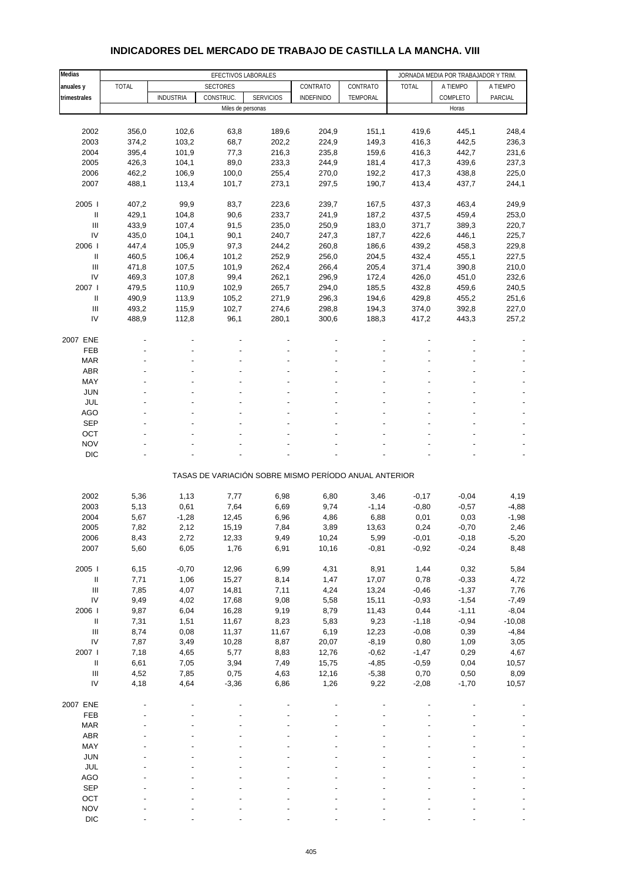| Medias                             |              |                  | EFECTIVOS LABORALES |                  |                                                       |          |              | JORNADA MEDIA POR TRABAJADOR Y TRIM |          |
|------------------------------------|--------------|------------------|---------------------|------------------|-------------------------------------------------------|----------|--------------|-------------------------------------|----------|
| anuales y                          | <b>TOTAL</b> |                  | <b>SECTORES</b>     |                  | CONTRATO                                              | CONTRATO | <b>TOTAL</b> | A TIEMPO                            | A TIEMPO |
| trimestrales                       |              | <b>INDUSTRIA</b> | CONSTRUC.           | <b>SERVICIOS</b> | <b>INDEFINIDO</b>                                     | TEMPORAL |              | COMPLETO                            | PARCIAL  |
|                                    |              |                  | Miles de personas   |                  |                                                       |          |              | Horas                               |          |
|                                    |              |                  |                     |                  |                                                       |          |              |                                     |          |
| 2002                               | 356,0        | 102,6            | 63,8                | 189,6            | 204,9                                                 | 151,1    | 419,6        | 445,1                               | 248,4    |
| 2003                               | 374,2        | 103,2            | 68,7                | 202,2            | 224,9                                                 | 149,3    | 416,3        | 442,5                               | 236,3    |
| 2004                               | 395,4        | 101,9            | 77,3                | 216,3            | 235,8                                                 | 159,6    | 416,3        | 442,7                               | 231,6    |
| 2005                               | 426,3        | 104,1            | 89,0                | 233,3            | 244,9                                                 | 181,4    | 417,3        | 439,6                               | 237,3    |
| 2006                               | 462,2        | 106,9            | 100,0               | 255,4            | 270,0                                                 | 192,2    | 417,3        | 438,8                               | 225,0    |
| 2007                               | 488,1        | 113,4            | 101,7               | 273,1            | 297,5                                                 | 190,7    | 413,4        | 437,7                               | 244,1    |
| 2005                               | 407,2        | 99,9             | 83,7                | 223,6            | 239,7                                                 | 167,5    | 437,3        | 463,4                               | 249,9    |
| Ш                                  | 429,1        | 104,8            | 90,6                | 233,7            | 241,9                                                 | 187,2    | 437,5        | 459,4                               | 253,0    |
| Ш                                  | 433,9        | 107,4            | 91,5                | 235,0            | 250,9                                                 | 183,0    | 371,7        | 389,3                               | 220,7    |
| IV                                 | 435,0        | 104,1            | 90,1                | 240,7            | 247,3                                                 | 187,7    | 422,6        | 446,1                               | 225,7    |
| 2006                               | 447,4        | 105,9            | 97,3                | 244,2            | 260,8                                                 | 186,6    | 439,2        | 458,3                               | 229,8    |
| $\ensuremath{\mathsf{II}}$         | 460,5        | 106,4            | 101,2               | 252,9            | 256,0                                                 | 204,5    | 432,4        | 455,1                               | 227,5    |
| Ш                                  | 471,8        | 107,5            | 101,9               | 262,4            | 266,4                                                 | 205,4    | 371,4        | 390,8                               | 210,0    |
| IV                                 | 469,3        | 107,8            | 99,4                | 262,1            | 296,9                                                 | 172,4    | 426,0        | 451,0                               | 232,6    |
| 2007 l                             | 479,5        | 110,9            | 102,9               | 265,7            | 294,0                                                 | 185,5    | 432,8        | 459,6                               | 240,5    |
| Ш                                  | 490,9        | 113,9            | 105,2               | 271,9            | 296,3                                                 | 194,6    | 429,8        | 455,2                               | 251,6    |
| $\ensuremath{\mathsf{III}}\xspace$ | 493,2        | 115,9            | 102,7               | 274,6            | 298,8                                                 | 194,3    | 374,0        | 392,8                               | 227,0    |
| IV                                 | 488,9        | 112,8            | 96,1                | 280,1            | 300,6                                                 | 188,3    | 417,2        | 443,3                               | 257,2    |
| 2007 ENE                           |              |                  |                     |                  |                                                       |          |              |                                     |          |
| <b>FEB</b>                         |              |                  |                     |                  |                                                       |          |              |                                     |          |
| <b>MAR</b>                         |              |                  |                     |                  |                                                       |          |              |                                     |          |
| <b>ABR</b>                         |              |                  |                     |                  |                                                       |          |              |                                     |          |
| MAY                                |              |                  |                     |                  |                                                       |          |              |                                     |          |
| <b>JUN</b>                         |              |                  |                     |                  |                                                       |          |              |                                     |          |
| JUL                                |              |                  |                     |                  |                                                       |          |              |                                     |          |
| <b>AGO</b>                         |              |                  |                     |                  |                                                       |          |              |                                     |          |
| <b>SEP</b>                         |              |                  |                     |                  |                                                       |          |              |                                     |          |
| OCT                                |              |                  |                     |                  |                                                       |          |              |                                     |          |
| <b>NOV</b>                         |              |                  |                     |                  |                                                       |          |              |                                     |          |
| <b>DIC</b>                         |              |                  |                     |                  |                                                       |          |              |                                     |          |
|                                    |              |                  |                     |                  | TASAS DE VARIACIÓN SOBRE MISMO PERÍODO ANUAL ANTERIOR |          |              |                                     |          |
|                                    |              |                  |                     |                  |                                                       |          |              |                                     |          |
| 2002                               | 5,36         | 1,13             | 7,77                | 6,98             | 6,80                                                  | 3,46     | $-0,17$      | $-0,04$                             | 4,19     |
| 2003                               | 5,13         | 0,61             | 7,64                | 6,69             | 9,74                                                  | $-1,14$  | $-0,80$      | $-0,57$                             | $-4,88$  |
| 2004                               | 5,67         | $-1,28$          | 12,45               | 6,96             | 4,86                                                  | 6,88     | 0,01         | 0,03                                | $-1,98$  |
| 2005                               | 7,82         | 2,12             | 15,19               | 7,84             | 3,89                                                  | 13,63    | 0,24         | $-0,70$                             | 2,46     |
| 2006                               | 8,43         | 2,72             | 12,33               | 9,49             | 10,24                                                 | 5,99     | $-0,01$      | $-0,18$                             | $-5,20$  |
| 2007                               | 5,60         | 6,05             | 1,76                | 6,91             | 10,16                                                 | $-0,81$  | $-0,92$      | $-0,24$                             | 8,48     |
| 2005 l                             | 6,15         | $-0,70$          | 12,96               | 6,99             | 4,31                                                  | 8,91     | 1,44         | 0,32                                | 5,84     |
| $\sf II$                           | 7,71         | 1,06             | 15,27               | 8,14             | 1,47                                                  | 17,07    | 0,78         | $-0,33$                             | 4,72     |
| $\ensuremath{\mathsf{III}}\xspace$ | 7,85         | 4,07             | 14,81               | 7,11             | 4,24                                                  | 13,24    | $-0,46$      | $-1,37$                             | 7,76     |
| IV                                 | 9,49         | 4,02             | 17,68               | 9,08             | 5,58                                                  | 15,11    | $-0,93$      | $-1,54$                             | $-7,49$  |
| 2006                               | 9,87         | 6,04             | 16,28               | 9,19             | 8,79                                                  | 11,43    | 0,44         | $-1, 11$                            | $-8,04$  |
| $\ensuremath{\mathsf{II}}$         | 7,31         | 1,51             | 11,67               | 8,23             | 5,83                                                  | 9,23     | $-1,18$      | $-0,94$                             | $-10,08$ |
| $\ensuremath{\mathsf{III}}\xspace$ | 8,74         | 0,08             | 11,37               | 11,67            | 6,19                                                  | 12,23    | $-0,08$      | 0,39                                | $-4,84$  |
| ${\sf IV}$                         | 7,87         | 3,49             | 10,28               | 8,87             | 20,07                                                 | $-8,19$  | 0,80         | 1,09                                | 3,05     |
| 2007 l                             | 7,18         | 4,65             | 5,77                | 8,83             | 12,76                                                 | $-0,62$  | $-1,47$      | 0,29                                | 4,67     |
| $\ensuremath{\mathsf{II}}$         | 6,61         | 7,05             | 3,94                | 7,49             | 15,75                                                 | $-4,85$  | $-0,59$      | 0,04                                | 10,57    |
| $\ensuremath{\mathsf{III}}\xspace$ | 4,52         | 7,85             | 0,75                | 4,63             | 12,16                                                 | $-5,38$  | 0,70         | 0,50                                | 8,09     |
| IV                                 | 4,18         | 4,64             | $-3,36$             | 6,86             | 1,26                                                  | 9,22     | $-2,08$      | $-1,70$                             | 10,57    |
| 2007 ENE                           |              |                  |                     |                  |                                                       |          |              |                                     |          |
| FEB                                |              |                  |                     |                  |                                                       |          |              |                                     |          |
| <b>MAR</b>                         |              |                  |                     |                  |                                                       |          |              |                                     |          |
| ABR                                |              |                  |                     |                  |                                                       |          |              |                                     |          |
| MAY                                |              |                  |                     |                  |                                                       |          |              |                                     |          |
| <b>JUN</b>                         |              |                  |                     |                  |                                                       |          |              |                                     |          |
| JUL                                |              |                  |                     |                  |                                                       |          |              |                                     |          |
| <b>AGO</b>                         |              |                  |                     |                  |                                                       |          |              |                                     |          |
| <b>SEP</b>                         |              |                  |                     |                  |                                                       |          |              |                                     |          |
| OCT                                |              |                  |                     |                  |                                                       |          |              |                                     |          |
| <b>NOV</b>                         |              |                  |                     |                  |                                                       |          |              |                                     |          |

#### **INDICADORES DEL MERCADO DE TRABAJO DE CASTILLA LA MANCHA. VIII**

DIC  $\qquad \qquad \qquad \qquad \qquad \qquad \qquad \qquad \qquad \qquad \qquad \qquad \qquad \qquad \qquad \qquad \qquad \qquad -$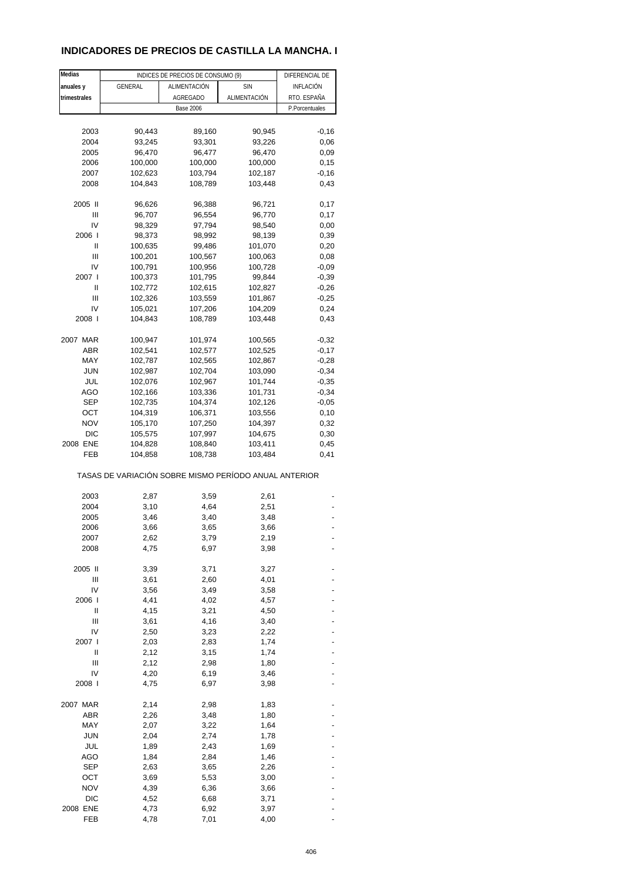### **INDICADORES DE PRECIOS DE CASTILLA LA MANCHA. I**

| Medias       |                                                       | INDICES DE PRECIOS DE CONSUMO (9) |              | DIFERENCIAL DE   |
|--------------|-------------------------------------------------------|-----------------------------------|--------------|------------------|
| anuales y    | <b>GENERAL</b>                                        | ALIMENTACIÓN                      | <b>SIN</b>   | <b>INFLACIÓN</b> |
| trimestrales |                                                       | <b>AGREGADO</b>                   | ALIMENTACIÓN | RTO. ESPAÑA      |
|              |                                                       |                                   |              |                  |
|              |                                                       | <b>Base 2006</b>                  |              | P.Porcentuales   |
|              |                                                       |                                   |              |                  |
| 2003         | 90,443                                                | 89,160                            | 90,945       | $-0,16$          |
| 2004         | 93,245                                                | 93,301                            | 93,226       | 0,06             |
| 2005         | 96,470                                                | 96,477                            | 96,470       | 0,09             |
| 2006         | 100,000                                               | 100,000                           | 100,000      | 0,15             |
| 2007         | 102,623                                               | 103,794                           | 102,187      | $-0,16$          |
| 2008         | 104,843                                               | 108,789                           | 103,448      | 0,43             |
|              |                                                       |                                   |              |                  |
| 2005 II      | 96,626                                                | 96,388                            | 96,721       | 0,17             |
| Ш            | 96,707                                                | 96,554                            | 96,770       | 0,17             |
| IV           | 98,329                                                | 97,794                            | 98,540       | 0,00             |
| 2006         | 98,373                                                | 98,992                            | 98,139       | 0,39             |
| Ш            | 100,635                                               | 99,486                            | 101,070      | 0,20             |
| Ш            | 100,201                                               | 100,567                           | 100,063      | 0,08             |
| IV           | 100,791                                               | 100,956                           | 100,728      | $-0,09$          |
| 2007 l       | 100,373                                               | 101,795                           |              |                  |
|              |                                                       |                                   | 99,844       | $-0,39$          |
| Ш            | 102,772                                               | 102,615                           | 102,827      | $-0,26$          |
| Ш            | 102,326                                               | 103,559                           | 101,867      | $-0,25$          |
| IV           | 105,021                                               | 107,206                           | 104,209      | 0,24             |
| 2008         | 104,843                                               | 108,789                           | 103,448      | 0,43             |
|              |                                                       |                                   |              |                  |
| 2007 MAR     | 100,947                                               | 101,974                           | 100,565      | $-0,32$          |
| ABR          | 102,541                                               | 102,577                           | 102,525      | $-0,17$          |
| MAY          | 102,787                                               | 102,565                           | 102,867      | $-0,28$          |
| <b>JUN</b>   | 102,987                                               | 102,704                           | 103,090      | $-0,34$          |
| JUL          | 102,076                                               | 102,967                           | 101,744      | $-0,35$          |
| AGO          | 102,166                                               | 103,336                           | 101,731      | $-0,34$          |
| SEP          | 102,735                                               | 104,374                           | 102,126      | $-0,05$          |
|              |                                                       |                                   |              |                  |
| ОСТ          | 104,319                                               | 106,371                           | 103,556      | 0,10             |
| NOV          | 105,170                                               | 107,250                           | 104,397      | 0,32             |
| <b>DIC</b>   | 105,575                                               | 107,997                           | 104,675      | 0,30             |
| 2008 ENE     | 104,828                                               | 108,840                           | 103,411      | 0,45             |
| FEB          | 104,858                                               | 108,738                           | 103,484      | 0,41             |
|              | TASAS DE VARIACIÓN SOBRE MISMO PERÍODO ANUAL ANTERIOR |                                   |              |                  |
| 2003         | 2,87                                                  | 3,59                              | 2,61         |                  |
|              |                                                       |                                   |              |                  |
| 2004         | 3,10                                                  | 4,64                              | 2,51         |                  |
| 2005         | 3,46                                                  | 3,40                              | 3,48         |                  |
| 2006         | 3,66                                                  | 3,65                              | 3,66         |                  |
| 2007         | 2,62                                                  | 3,79                              | 2,19         |                  |
| 2008         | 4,75                                                  | 6,97                              | 3,98         |                  |
|              |                                                       |                                   |              |                  |
| 2005 II      | 3,39                                                  | 3,71                              | 3,27         |                  |
| Ш            | 3,61                                                  | 2,60                              | 4,01         |                  |
| I٧           | 3,56                                                  | 3,49                              | 3,58         |                  |
| 2006         | 4,41                                                  | 4,02                              | 4,57         |                  |
| Ш            | 4,15                                                  | 3,21                              | 4,50         |                  |
| Ш            | 3,61                                                  | 4,16                              | 3,40         |                  |
| IV           | 2,50                                                  | 3,23                              | 2,22         |                  |
| 2007 l       | 2,03                                                  | 2,83                              | 1,74         |                  |
| Ш            | 2,12                                                  | 3,15                              | 1,74         |                  |
| Ш            | 2,12                                                  | 2,98                              | 1,80         |                  |
|              |                                                       |                                   |              |                  |
| IV           | 4,20                                                  | 6,19                              | 3,46         |                  |
| 2008 l       | 4,75                                                  | 6,97                              | 3,98         |                  |
| 2007 MAR     | 2,14                                                  | 2,98                              | 1,83         |                  |
| <b>ABR</b>   | 2,26                                                  | 3,48                              | 1,80         |                  |
| MAY          | 2,07                                                  | 3,22                              | 1,64         |                  |
| <b>JUN</b>   | 2,04                                                  | 2,74                              | 1,78         |                  |
| JUL          | 1,89                                                  | 2,43                              | 1,69         |                  |
| AGO          | 1,84                                                  | 2,84                              | 1,46         |                  |
| <b>SEP</b>   |                                                       |                                   |              |                  |
|              | 2,63                                                  | 3,65                              | 2,26         |                  |
| OCT          | 3,69                                                  | 5,53                              | 3,00         |                  |
| <b>NOV</b>   | 4,39                                                  | 6,36                              | 3,66         |                  |
| DIC          | 4,52                                                  | 6,68                              | 3,71         |                  |
| 2008 ENE     | 4,73                                                  | 6,92                              | 3,97         |                  |
| FEB          | 4,78                                                  | 7,01                              | 4,00         |                  |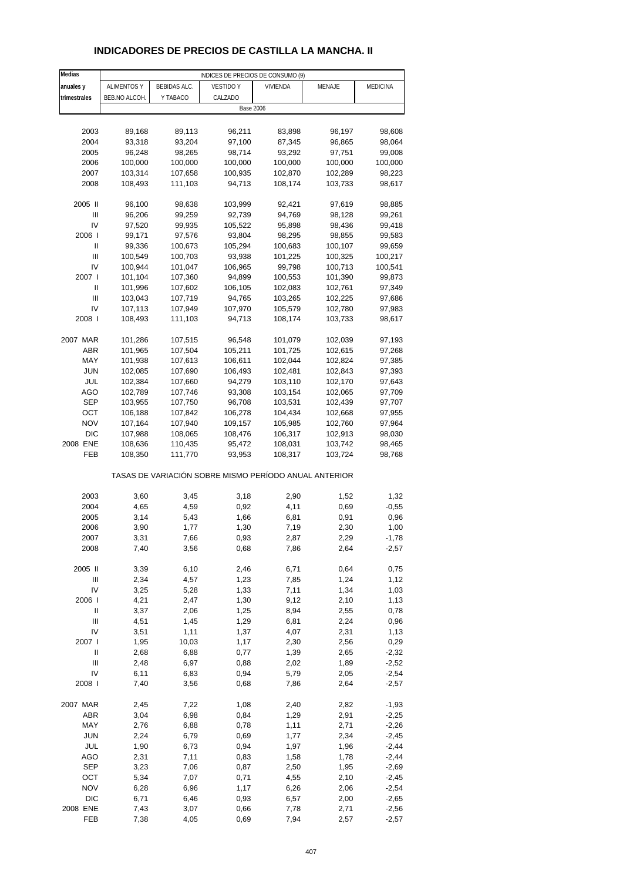## **INDICADORES DE PRECIOS DE CASTILLA LA MANCHA. II**

| Medias         | INDICES DE PRECIOS DE CONSUMO (9) |                     |                                                       |          |         |                 |  |  |
|----------------|-----------------------------------|---------------------|-------------------------------------------------------|----------|---------|-----------------|--|--|
| anuales y      | <b>ALIMENTOS Y</b>                | <b>BEBIDAS ALC.</b> | <b>VESTIDO Y</b>                                      | VIVIENDA | MENAJE  | <b>MEDICINA</b> |  |  |
| trimestrales   | BEB.NO ALCOH.                     | Y TABACO            | CALZADO                                               |          |         |                 |  |  |
|                |                                   |                     | <b>Base 2006</b>                                      |          |         |                 |  |  |
|                |                                   |                     |                                                       |          |         |                 |  |  |
|                |                                   |                     |                                                       |          |         |                 |  |  |
| 2003           | 89,168                            | 89,113              | 96,211                                                | 83,898   | 96,197  | 98,608          |  |  |
| 2004           | 93,318                            | 93,204              | 97,100                                                | 87,345   | 96,865  | 98,064          |  |  |
| 2005           | 96,248                            | 98,265              | 98,714                                                | 93,292   | 97,751  | 99,008          |  |  |
| 2006           | 100,000                           | 100,000             | 100,000                                               | 100,000  | 100,000 | 100,000         |  |  |
| 2007           | 103,314                           | 107,658             | 100,935                                               | 102,870  | 102,289 | 98,223          |  |  |
| 2008           | 108,493                           | 111,103             | 94,713                                                | 108,174  | 103,733 | 98,617          |  |  |
|                |                                   |                     |                                                       |          |         |                 |  |  |
| 2005 II        | 96,100                            | 98,638              | 103,999                                               | 92,421   | 97,619  | 98,885          |  |  |
| Ш              | 96,206                            | 99,259              | 92,739                                                | 94,769   | 98,128  | 99,261          |  |  |
| IV             | 97,520                            | 99,935              | 105,522                                               | 95,898   | 98,436  | 99,418          |  |  |
| 2006           | 99,171                            | 97,576              | 93,804                                                | 98,295   | 98,855  | 99,583          |  |  |
| Ш              | 99,336                            | 100,673             | 105,294                                               | 100,683  | 100,107 | 99,659          |  |  |
| Ш              | 100,549                           | 100,703             | 93,938                                                | 101,225  | 100,325 | 100,217         |  |  |
| IV             | 100,944                           | 101,047             | 106,965                                               | 99,798   | 100,713 | 100,541         |  |  |
| 2007 l         | 101,104                           | 107,360             | 94,899                                                | 100,553  | 101,390 | 99,873          |  |  |
| Ш              | 101,996                           | 107,602             | 106,105                                               | 102,083  | 102,761 | 97,349          |  |  |
| Ш              | 103,043                           | 107,719             | 94,765                                                | 103,265  | 102,225 | 97,686          |  |  |
| IV             | 107,113                           | 107,949             | 107,970                                               | 105,579  | 102,780 | 97,983          |  |  |
| 2008           | 108,493                           | 111,103             | 94,713                                                | 108,174  | 103,733 | 98,617          |  |  |
|                |                                   |                     |                                                       |          |         |                 |  |  |
| 2007 MAR       | 101,286                           | 107,515             | 96,548                                                | 101,079  | 102,039 | 97,193          |  |  |
| <b>ABR</b>     | 101,965                           | 107,504             | 105,211                                               | 101,725  | 102,615 | 97,268          |  |  |
| MAY            | 101,938                           | 107,613             | 106,611                                               | 102,044  | 102,824 | 97,385          |  |  |
| JUN            |                                   |                     |                                                       |          |         |                 |  |  |
|                | 102,085                           | 107,690             | 106,493                                               | 102,481  | 102,843 | 97,393          |  |  |
| JUL            | 102,384                           | 107,660             | 94,279                                                | 103,110  | 102,170 | 97,643          |  |  |
| <b>AGO</b>     | 102,789                           | 107,746             | 93,308                                                | 103,154  | 102,065 | 97,709          |  |  |
| <b>SEP</b>     | 103,955                           | 107,750             | 96,708                                                | 103,531  | 102,439 | 97,707          |  |  |
| ОСТ            | 106,188                           | 107,842             | 106,278                                               | 104,434  | 102,668 | 97,955          |  |  |
| <b>NOV</b>     | 107,164                           | 107,940             | 109,157                                               | 105,985  | 102,760 | 97,964          |  |  |
| <b>DIC</b>     | 107,988                           | 108,065             | 108,476                                               | 106,317  | 102,913 | 98,030          |  |  |
| 2008 ENE       | 108,636                           | 110,435             | 95,472                                                | 108,031  | 103,742 | 98,465          |  |  |
| FEB            | 108,350                           | 111,770             | 93,953                                                | 108,317  | 103,724 | 98,768          |  |  |
|                |                                   |                     | TASAS DE VARIACIÓN SOBRE MISMO PERÍODO ANUAL ANTERIOR |          |         |                 |  |  |
| 2003           |                                   |                     |                                                       | 2,90     |         | 1,32            |  |  |
| 2004           | 3,60                              | 3,45                | 3,18                                                  |          | 1,52    |                 |  |  |
|                | 4,65                              | 4,59                | 0,92                                                  | 4,11     | 0,69    | $-0,55$         |  |  |
| 2005           | 3,14                              | 5,43                | 1,66                                                  | 6,81     | 0,91    | 0,96            |  |  |
| 2006           | 3,90                              | 1,77                | 1,30                                                  | 7,19     | 2,30    | 1,00            |  |  |
| 2007           | 3,31                              | 7,66                | 0,93                                                  | 2,87     | 2,29    | $-1,78$         |  |  |
| 2008           | 7,40                              | 3,56                | 0,68                                                  | 7,86     | 2,64    | $-2,57$         |  |  |
| 2005 II        | 3,39                              | 6,10                | 2,46                                                  | 6,71     | 0,64    | 0,75            |  |  |
| $\mathsf{III}$ | 2,34                              | 4,57                | 1,23                                                  | 7,85     | 1,24    | 1,12            |  |  |
| IV             | 3,25                              | 5,28                | 1,33                                                  | 7,11     | 1,34    | 1,03            |  |  |
| 2006           | 4,21                              | 2,47                | 1,30                                                  | 9,12     | 2,10    | 1,13            |  |  |
| $\sf II$       | 3,37                              | 2,06                | 1,25                                                  | 8,94     | 2,55    | 0,78            |  |  |
| Ш              | 4,51                              | 1,45                | 1,29                                                  | 6,81     | 2,24    | 0,96            |  |  |
| IV             | 3,51                              | 1,11                | 1,37                                                  | 4,07     | 2,31    | 1,13            |  |  |
| 2007 l         | 1,95                              | 10,03               | 1,17                                                  | 2,30     | 2,56    | 0,29            |  |  |
| Ш              | 2,68                              | 6,88                | 0,77                                                  | 1,39     | 2,65    | $-2,32$         |  |  |
| $\mathsf{III}$ | 2,48                              | 6,97                | 0,88                                                  | 2,02     | 1,89    | $-2,52$         |  |  |
| IV             |                                   |                     |                                                       |          |         |                 |  |  |
|                | 6,11                              | 6,83                | 0,94                                                  | 5,79     | 2,05    | $-2,54$         |  |  |
| 2008 l         | 7,40                              | 3,56                | 0,68                                                  | 7,86     | 2,64    | $-2,57$         |  |  |
| 2007 MAR       | 2,45                              | 7,22                | 1,08                                                  | 2,40     | 2,82    | $-1,93$         |  |  |
| ABR            | 3,04                              | 6,98                | 0,84                                                  | 1,29     | 2,91    | $-2,25$         |  |  |
| MAY            | 2,76                              | 6,88                | 0,78                                                  | 1,11     | 2,71    | $-2,26$         |  |  |
| <b>JUN</b>     | 2,24                              | 6,79                | 0,69                                                  | 1,77     | 2,34    | $-2,45$         |  |  |
| JUL            | 1,90                              | 6,73                | 0,94                                                  | 1,97     | 1,96    | $-2,44$         |  |  |
| AGO            | 2,31                              | 7,11                | 0,83                                                  | 1,58     | 1,78    | $-2,44$         |  |  |
| <b>SEP</b>     | 3,23                              | 7,06                | 0,87                                                  | 2,50     | 1,95    | $-2,69$         |  |  |
| OCT            | 5,34                              | 7,07                | 0,71                                                  | 4,55     | 2,10    | $-2,45$         |  |  |
| <b>NOV</b>     | 6,28                              | 6,96                | 1,17                                                  | 6,26     | 2,06    | $-2,54$         |  |  |
| <b>DIC</b>     | 6,71                              | 6,46                | 0,93                                                  | 6,57     | 2,00    | $-2,65$         |  |  |
| 2008 ENE       | 7,43                              |                     |                                                       |          | 2,71    |                 |  |  |
|                |                                   | 3,07                | 0,66                                                  | 7,78     |         | $-2,56$         |  |  |
| FEB            | 7,38                              | 4,05                | 0,69                                                  | 7,94     | 2,57    | $-2,57$         |  |  |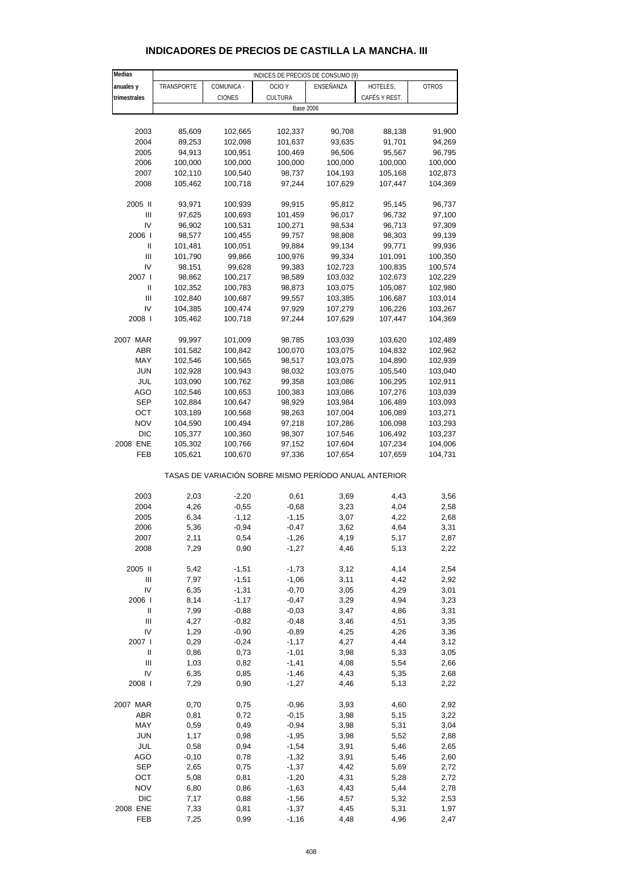#### **Medias anuales y TRANSPORTE COMUNICA OCIO Y ENSEÑANZA HOTELES, OTROS trimestrales CIONES** CIONES CULTURA CAFÉS Y REST. 2003 85,609 102,665 102,337 90,708 88,138 91,900 2004 89,253 102,098 101,637 93,635 91,701 94,269 2005 94,913 100,951 100,469 96,506 95,567 96,795 2006 100,000 100,000 100,000 100,000 100,000 100,000 2007 102,110 100,540 98,737 104,193 105,168 102,873 2008 105,462 100,718 97,244 107,629 107,447 104,369 2005 II 93,971 100,939 99,915 95,812 95,145 96,737 III 97,625 100,693 101,459 96,017 96,732 97,100 IV 96,902 100,531 100,271 98,534 96,713 97,309 2006 I 98,577 100,455 99,757 98,808 98,303 99,139 II 101,481 100,051 99,884 99,134 99,771 99,936 III 101,790 99,866 100,976 99,334 101,091 100,350 IV 98,151 99,628 99,383 102,723 100,835 100,574 2007 I 98,862 100,217 98,589 103,032 102,673 102,229 II 102,352 100,783 98,873 103,075 105,087 102,980 III 102,840 100,687 99,557 103,385 106,687 103,014 IV 104,385 100,474 97,929 107,279 106,226 103,267 2008 I 105,462 100,718 97,244 107,629 107,447 104,369 2007 MAR 99,997 101,009 98,785 103,039 103,620 102,489 ABR 101,582 100,842 100,070 103,075 104,832 102,962 MAY 102,546 100,565 98,517 103,075 104,890 102,939 JUN 102,928 100,943 98,032 103,075 105,540 103,040 JUL 103,090 100,762 99,358 103,086 106,295 102,911 AGO 102,546 100,653 100,383 103,086 107,276 103,039 SEP 102,884 100,647 98,929 103,984 106,489 103,093 OCT 103,189 100,568 98,263 107,004 106,089 103,271 NOV 104,590 100,494 97,218 107,286 106,098 103,293 DIC 105,377 100,360 98,307 107,546 106,492 103,237 2008 ENE 105,302 100,766 97,152 107,604 107,234 104,006 FEB 105,621 100,670 97,336 107,654 107,659 104,731 TASAS DE VARIACIÓN SOBRE MISMO PERÍODO ANUAL ANTERIOR 2003 2,03 -2,20 0,61 3,69 4,43 3,56 2004 4,26 -0,55 -0,68 3,23 4,04 2,58 2005 6,34 -1,12 -1,15 3,07 4,22 2,68 2006 5,36 -0,94 -0,47 3,62 4,64 3,31 2007 2,11 0,54 -1,26 4,19 5,17 2,87 2008 7,29 0,90 -1,27 4,46 5,13 2,22 2005 II 5,42 -1,51 -1,73 3,12 4,14 2,54 III 7,97 -1,51 -1,06 3,11 4,42 2,92 IV 6,35 -1,31 -0,70 3,05 4,29 3,01 2006 I 8,14 -1,17 -0,47 3,29 4,94 3,23 II 7,99 -0,88 -0,03 3,47 4,86 3,31 III 4,27 -0,82 -0,48 3,46 4,51 3,35 IV 1,29 -0,90 -0,89 4,25 4,26 3,36 2007 I 0,29 -0,24 -1,17 4,27 4,44 3,12 II 0,86 0,73 -1,01 3,98 5,33 3,05 III 1,03 0,82 -1,41 4,08 5,54 2,66 IV 6,35 0,85 -1,46 4,43 5,35 2,68 2008 I 7,29 0,90 -1,27 4,46 5,13 2,22 2007 MAR 0,70 0,75 -0,96 3,93 4,60 2,92 ABR 0,81 0,72 -0,15 3,98 5,15 3,22 MAY 0,59 0,49 -0,94 3,98 5,31 3,04 JUN 1,17 0,98 -1,95 3,98 5,52 2,88 JUL 0,58 0,94 -1,54 3,91 5,46 2,65 AGO -0,10 0,78 -1,32 3,91 5,46 2,60 SEP 2,65 0,75 -1,37 4,42 5,69 2,72 OCT 5,08 0,81 -1,20 4,31 5,28 2,72 NOV 6,80 0,86 -1,63 4,43 5,44 2,78 DIC 7,17 0,88 -1,56 4,57 5,32 2,53 INDICES DE PRECIOS DE CONSUMO (9) Base 2006

#### **INDICADORES DE PRECIOS DE CASTILLA LA MANCHA. III**

2008 ENE 7,33 0,81 -1,37 4,45 5,31 1,97 FEB 7,25 0,99 -1,16 4,48 4,96 2,47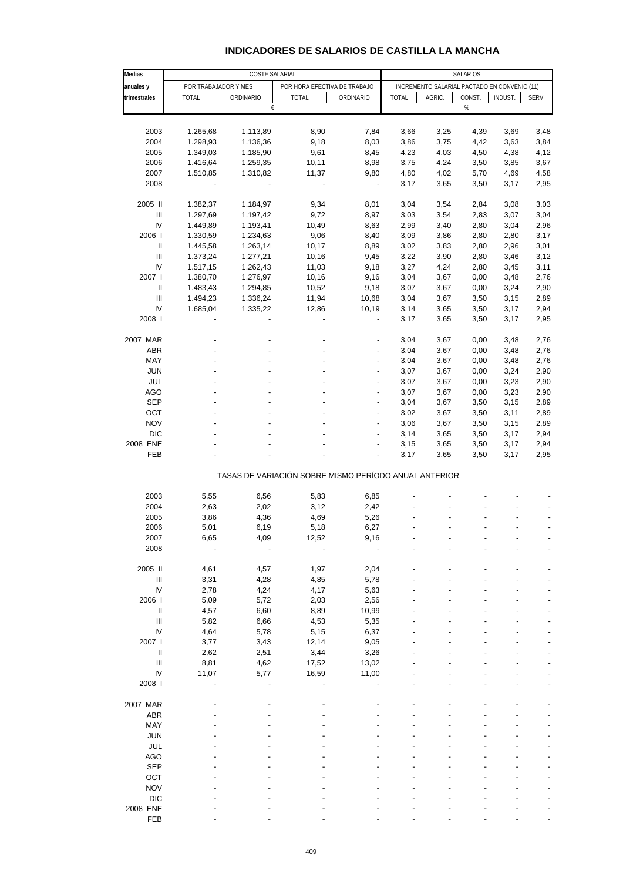#### **INDICADORES DE SALARIOS DE CASTILLA LA MANCHA**

| Medias                             |              | COSTE SALARIAL                                        |                              |                          | SALARIOS     |                                              |        |                |       |
|------------------------------------|--------------|-------------------------------------------------------|------------------------------|--------------------------|--------------|----------------------------------------------|--------|----------------|-------|
| anuales y                          |              | POR TRABAJADOR Y MES                                  | POR HORA EFECTIVA DE TRABAJO |                          |              | INCREMENTO SALARIAL PACTADO EN CONVENIO (11) |        |                |       |
| trimestrales                       | <b>TOTAL</b> | ORDINARIO                                             | <b>TOTAL</b>                 | ORDINARIO                | <b>TOTAL</b> | AGRIC.                                       | CONST. | <b>INDUST.</b> | SERV. |
|                                    |              | €                                                     |                              |                          |              |                                              | %      |                |       |
|                                    |              |                                                       |                              |                          |              |                                              |        |                |       |
| 2003                               | 1.265,68     | 1.113,89                                              | 8,90                         | 7,84                     |              | 3,25                                         |        |                |       |
| 2004                               |              |                                                       |                              |                          | 3,66         |                                              | 4,39   | 3,69           | 3,48  |
|                                    | 1.298,93     | 1.136,36                                              | 9,18                         | 8,03                     | 3,86         | 3,75                                         | 4,42   | 3,63           | 3,84  |
| 2005                               | 1.349,03     | 1.185,90                                              | 9,61                         | 8,45                     | 4,23         | 4,03                                         | 4,50   | 4,38           | 4,12  |
| 2006                               | 1.416,64     | 1.259,35                                              | 10,11                        | 8,98                     | 3,75         | 4,24                                         | 3,50   | 3,85           | 3,67  |
| 2007                               | 1.510,85     | 1.310,82                                              | 11,37                        | 9,80                     | 4,80         | 4,02                                         | 5,70   | 4,69           | 4,58  |
| 2008                               |              |                                                       |                              | $\overline{\phantom{a}}$ | 3,17         | 3,65                                         | 3,50   | 3,17           | 2,95  |
| 2005 II                            | 1.382,37     | 1.184,97                                              | 9,34                         | 8,01                     | 3,04         | 3,54                                         | 2,84   | 3,08           | 3,03  |
| $\ensuremath{\mathsf{III}}\xspace$ | 1.297,69     | 1.197,42                                              | 9,72                         | 8,97                     | 3,03         | 3,54                                         | 2,83   | 3,07           | 3,04  |
| IV                                 | 1.449,89     | 1.193,41                                              | 10,49                        | 8,63                     | 2,99         | 3,40                                         | 2,80   | 3,04           | 2,96  |
| 2006                               | 1.330,59     | 1.234,63                                              | 9,06                         | 8,40                     | 3,09         | 3,86                                         | 2,80   | 2,80           | 3,17  |
| Ш                                  | 1.445,58     | 1.263,14                                              | 10,17                        | 8,89                     | 3,02         | 3,83                                         | 2,80   | 2,96           | 3,01  |
| $\ensuremath{\mathsf{III}}\xspace$ | 1.373,24     | 1.277,21                                              | 10,16                        | 9,45                     | 3,22         | 3,90                                         | 2,80   | 3,46           | 3,12  |
| IV                                 |              | 1.262,43                                              |                              |                          |              |                                              |        |                |       |
|                                    | 1.517,15     |                                                       | 11,03                        | 9,18                     | 3,27         | 4,24                                         | 2,80   | 3,45           | 3,11  |
| 2007 l                             | 1.380,70     | 1.276,97                                              | 10,16                        | 9,16                     | 3,04         | 3,67                                         | 0,00   | 3,48           | 2,76  |
| Ш                                  | 1.483,43     | 1.294,85                                              | 10,52                        | 9,18                     | 3,07         | 3,67                                         | 0,00   | 3,24           | 2,90  |
| Ш                                  | 1.494,23     | 1.336,24                                              | 11,94                        | 10,68                    | 3,04         | 3,67                                         | 3,50   | 3,15           | 2,89  |
| IV                                 | 1.685,04     | 1.335,22                                              | 12,86                        | 10,19                    | 3,14         | 3,65                                         | 3,50   | 3,17           | 2,94  |
| 2008                               |              |                                                       |                              | ÷                        | 3,17         | 3,65                                         | 3,50   | 3,17           | 2,95  |
| 2007 MAR                           |              |                                                       |                              |                          | 3,04         | 3,67                                         | 0,00   | 3,48           | 2,76  |
| ABR                                |              |                                                       |                              | ÷                        | 3,04         | 3,67                                         |        | 3,48           | 2,76  |
|                                    |              |                                                       |                              |                          |              |                                              | 0,00   |                |       |
| MAY                                |              |                                                       |                              |                          | 3,04         | 3,67                                         | 0,00   | 3,48           | 2,76  |
| <b>JUN</b>                         |              |                                                       |                              | ÷                        | 3,07         | 3,67                                         | 0,00   | 3,24           | 2,90  |
| JUL                                |              |                                                       |                              |                          | 3,07         | 3,67                                         | 0,00   | 3,23           | 2,90  |
| AGO                                |              |                                                       |                              | ÷                        | 3,07         | 3,67                                         | 0,00   | 3,23           | 2,90  |
| <b>SEP</b>                         |              |                                                       |                              | $\overline{\phantom{a}}$ | 3,04         | 3,67                                         | 3,50   | 3,15           | 2,89  |
| OCT                                |              |                                                       |                              | ÷,                       | 3,02         | 3,67                                         | 3,50   | 3,11           | 2,89  |
| <b>NOV</b>                         |              |                                                       |                              | ÷,                       | 3,06         | 3,67                                         | 3,50   | 3,15           | 2,89  |
| <b>DIC</b>                         |              |                                                       |                              | ÷,                       | 3,14         | 3,65                                         | 3,50   | 3,17           | 2,94  |
| 2008 ENE                           |              |                                                       |                              | ٠                        | 3,15         | 3,65                                         | 3,50   | 3,17           | 2,94  |
| FEB                                |              |                                                       |                              | ÷,                       | 3,17         | 3,65                                         | 3,50   | 3,17           | 2,95  |
|                                    |              | TASAS DE VARIACIÓN SOBRE MISMO PERÍODO ANUAL ANTERIOR |                              |                          |              |                                              |        |                |       |
|                                    |              |                                                       |                              |                          |              |                                              |        |                |       |
| 2003                               | 5,55         | 6,56                                                  | 5,83                         | 6,85                     |              |                                              |        |                |       |
| 2004                               | 2,63         | 2,02                                                  | 3,12                         | 2,42                     |              |                                              |        |                |       |
| 2005                               | 3,86         | 4,36                                                  | 4,69                         | 5,26                     |              |                                              |        |                |       |
| 2006                               | 5,01         | 6,19                                                  | 5,18                         | 6,27                     |              |                                              |        |                |       |
| 2007                               | 6,65         | 4,09                                                  | 12,52                        | 9,16                     |              |                                              |        |                |       |
| 2008                               |              |                                                       |                              |                          |              |                                              |        |                |       |
| 2005 II                            | 4,61         | 4,57                                                  | 1,97                         | 2,04                     |              |                                              |        |                |       |
| $\mathbf{III}$                     | 3,31         | 4,28                                                  | 4,85                         | 5,78                     |              |                                              |        |                |       |
| IV                                 | 2,78         | 4,24                                                  | 4,17                         | 5,63                     |              |                                              |        |                |       |
|                                    |              |                                                       |                              |                          |              |                                              |        |                |       |
| 2006                               | 5,09         | 5,72                                                  | 2,03                         | 2,56                     |              |                                              |        |                |       |
| Ш                                  | 4,57         | 6,60                                                  | 8,89                         | 10,99                    |              |                                              |        |                |       |
| Ш                                  | 5,82         | 6,66                                                  | 4,53                         | 5,35                     |              |                                              |        |                |       |
| IV                                 | 4,64         | 5,78                                                  | 5,15                         | 6,37                     |              |                                              |        |                |       |
| 2007 l                             | 3,77         | 3,43                                                  | 12,14                        | 9,05                     |              |                                              |        |                |       |
| Ш                                  | 2,62         | 2,51                                                  | 3,44                         | 3,26                     |              |                                              |        |                |       |
| $\ensuremath{\mathsf{III}}\xspace$ | 8,81         | 4,62                                                  | 17,52                        | 13,02                    |              |                                              |        |                |       |
| IV                                 | 11,07        | 5,77                                                  | 16,59                        | 11,00                    |              |                                              |        |                |       |
| 2008                               |              |                                                       |                              |                          |              |                                              |        |                |       |
| 2007 MAR                           |              |                                                       |                              |                          |              |                                              |        |                |       |
|                                    |              |                                                       |                              |                          |              |                                              |        |                |       |
| ABR                                |              |                                                       |                              |                          |              |                                              |        |                |       |
| MAY                                |              |                                                       |                              |                          |              |                                              |        |                |       |
| <b>JUN</b>                         |              |                                                       |                              |                          |              |                                              |        |                |       |
| <b>JUL</b>                         |              |                                                       |                              |                          |              |                                              |        |                |       |
| <b>AGO</b>                         |              |                                                       |                              |                          |              |                                              |        |                |       |
| <b>SEP</b>                         |              |                                                       |                              |                          |              |                                              |        |                |       |
| OCT                                |              |                                                       |                              |                          |              |                                              |        |                |       |
| <b>NOV</b>                         |              |                                                       |                              |                          |              |                                              |        |                |       |
| <b>DIC</b>                         |              |                                                       |                              |                          |              |                                              |        |                |       |
| 2008 ENE                           |              |                                                       |                              |                          |              |                                              |        |                |       |
| FEB                                |              |                                                       |                              |                          |              |                                              |        |                |       |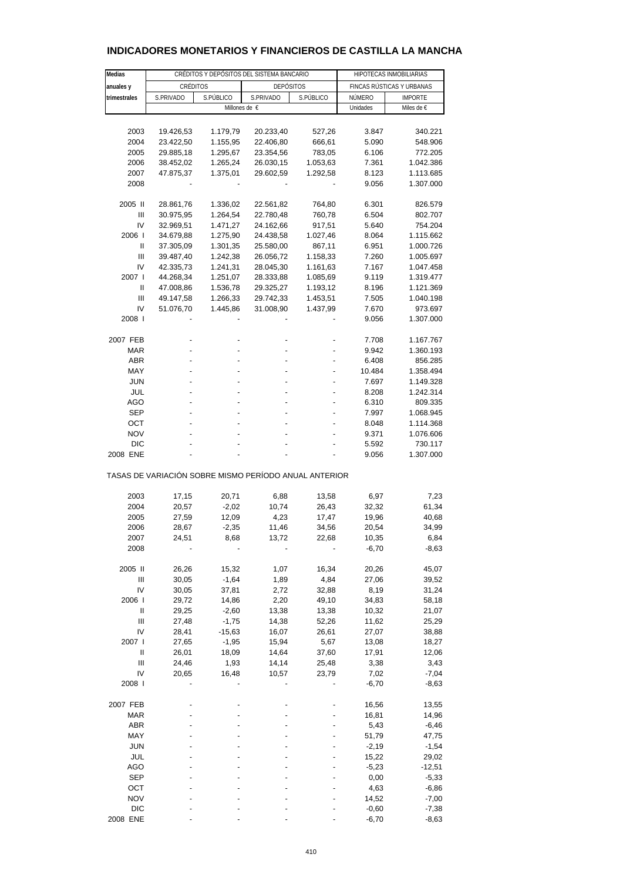| Medias         |                                                       | CRÉDITOS Y DEPÓSITOS DEL SISTEMA BANCARIO |                  | HIPOTECAS INMOBILIARIAS |          |                           |  |
|----------------|-------------------------------------------------------|-------------------------------------------|------------------|-------------------------|----------|---------------------------|--|
| anuales y      | CRÉDITOS                                              |                                           | <b>DEPÓSITOS</b> |                         |          | FINCAS RÚSTICAS Y URBANAS |  |
| trimestrales   | S.PRIVADO                                             | S.PÚBLICO                                 | S.PRIVADO        | S.PÚBLICO               | NÚMERO   | <b>IMPORTE</b>            |  |
|                |                                                       | Millones de €                             |                  |                         | Unidades | Miles de €                |  |
|                |                                                       |                                           |                  |                         |          |                           |  |
| 2003           | 19.426,53                                             | 1.179,79                                  | 20.233,40        | 527,26                  | 3.847    | 340.221                   |  |
| 2004           | 23.422,50                                             | 1.155,95                                  | 22.406,80        | 666,61                  | 5.090    | 548.906                   |  |
| 2005           | 29.885,18                                             | 1.295,67                                  | 23.354,56        | 783,05                  | 6.106    | 772.205                   |  |
| 2006           | 38.452,02                                             | 1.265,24                                  | 26.030,15        | 1.053,63                | 7.361    | 1.042.386                 |  |
| 2007           | 47.875,37                                             | 1.375,01                                  | 29.602,59        | 1.292,58                | 8.123    | 1.113.685                 |  |
| 2008           |                                                       |                                           |                  |                         | 9.056    | 1.307.000                 |  |
|                |                                                       |                                           |                  |                         |          |                           |  |
| 2005 II        | 28.861,76                                             | 1.336,02                                  | 22.561,82        | 764,80                  | 6.301    | 826.579                   |  |
| Ш              | 30.975,95                                             | 1.264,54                                  | 22.780,48        | 760,78                  | 6.504    | 802.707                   |  |
| IV             | 32.969,51                                             | 1.471,27                                  | 24.162,66        | 917,51                  | 5.640    | 754.204                   |  |
| 2006           | 34.679,88                                             | 1.275,90                                  | 24.438,58        | 1.027,46                | 8.064    | 1.115.662                 |  |
| Ш              | 37.305,09                                             | 1.301,35                                  | 25.580,00        | 867,11                  | 6.951    | 1.000.726                 |  |
| Ш              | 39.487,40                                             | 1.242,38                                  | 26.056,72        | 1.158,33                | 7.260    | 1.005.697                 |  |
| IV             | 42.335,73                                             | 1.241,31                                  | 28.045,30        | 1.161,63                | 7.167    | 1.047.458                 |  |
| 2007 l         | 44.268,34                                             | 1.251,07                                  | 28.333,88        | 1.085,69                | 9.119    | 1.319.477                 |  |
| Ш              | 47.008,86                                             | 1.536,78                                  | 29.325,27        | 1.193,12                | 8.196    | 1.121.369                 |  |
| Ш              | 49.147,58                                             | 1.266,33                                  | 29.742,33        | 1.453,51                | 7.505    | 1.040.198                 |  |
| IV             | 51.076,70                                             | 1.445,86                                  | 31.008,90        | 1.437,99                | 7.670    | 973.697                   |  |
| 2008           |                                                       |                                           |                  |                         | 9.056    | 1.307.000                 |  |
|                |                                                       |                                           |                  |                         |          |                           |  |
| 2007 FEB       |                                                       |                                           |                  |                         | 7.708    | 1.167.767                 |  |
| <b>MAR</b>     |                                                       |                                           |                  |                         | 9.942    | 1.360.193                 |  |
| <b>ABR</b>     |                                                       |                                           |                  |                         | 6.408    | 856.285                   |  |
| MAY            |                                                       |                                           |                  |                         | 10.484   | 1.358.494                 |  |
| <b>JUN</b>     |                                                       |                                           |                  |                         | 7.697    | 1.149.328                 |  |
| JUL            |                                                       |                                           |                  |                         | 8.208    | 1.242.314                 |  |
| AGO            |                                                       |                                           |                  |                         | 6.310    | 809.335                   |  |
| <b>SEP</b>     |                                                       |                                           |                  |                         | 7.997    | 1.068.945                 |  |
| OCT            |                                                       |                                           |                  |                         | 8.048    | 1.114.368                 |  |
| <b>NOV</b>     |                                                       |                                           |                  |                         | 9.371    | 1.076.606                 |  |
| DIC            |                                                       |                                           |                  |                         | 5.592    | 730.117                   |  |
| 2008 ENE       |                                                       |                                           |                  |                         | 9.056    | 1.307.000                 |  |
|                | TASAS DE VARIACIÓN SOBRE MISMO PERÍODO ANUAL ANTERIOR |                                           |                  |                         |          |                           |  |
| 2003           | 17,15                                                 | 20,71                                     | 6,88             | 13,58                   | 6,97     | 7,23                      |  |
| 2004           | 20,57                                                 | $-2,02$                                   | 10,74            | 26,43                   | 32,32    | 61,34                     |  |
| 2005           | 27,59                                                 | 12,09                                     | 4,23             | 17,47                   | 19,96    | 40,68                     |  |
| 2006           | 28,67                                                 | $-2,35$                                   | 11,46            | 34,56                   | 20,54    | 34,99                     |  |
| 2007           | 24,51                                                 | 8,68                                      | 13,72            | 22,68                   | 10,35    | 6,84                      |  |
| 2008           |                                                       |                                           |                  |                         | $-6,70$  | $-8,63$                   |  |
|                |                                                       |                                           |                  |                         |          |                           |  |
| 2005 II        | 26,26                                                 | 15,32                                     | 1,07             | 16,34                   | 20,26    | 45,07                     |  |
| $\mathbf{III}$ | 30,05                                                 | $-1,64$                                   | 1,89             | 4,84                    | 27,06    | 39,52                     |  |
| IV             | 30,05                                                 | 37,81                                     | 2,72             | 32,88                   | 8,19     | 31,24                     |  |
| 2006           | 29,72                                                 | 14,86                                     | 2,20             | 49,10                   | 34,83    | 58,18                     |  |
| Ш              | 29,25                                                 | $-2,60$                                   | 13,38            | 13,38                   | 10,32    | 21,07                     |  |
| Ш              | 27,48                                                 | $-1,75$                                   | 14,38            | 52,26                   | 11,62    | 25,29                     |  |
| I٧             | 28,41                                                 | $-15,63$                                  | 16,07            | 26,61                   | 27,07    | 38,88                     |  |
| 2007 l         | 27,65                                                 | $-1,95$                                   | 15,94            | 5,67                    | 13,08    | 18,27                     |  |
| Ш              | 26,01                                                 | 18,09                                     | 14,64            | 37,60                   | 17,91    | 12,06                     |  |
| $\mathbf{III}$ | 24,46                                                 | 1,93                                      | 14,14            | 25,48                   | 3,38     | 3,43                      |  |
| IV             | 20,65                                                 | 16,48                                     | 10,57            | 23,79                   | 7,02     | $-7,04$                   |  |
| 2008 l         |                                                       |                                           |                  |                         | $-6,70$  | -8,63                     |  |
|                |                                                       |                                           |                  |                         |          |                           |  |
| 2007 FEB       |                                                       |                                           |                  |                         | 16,56    | 13,55                     |  |
| <b>MAR</b>     |                                                       |                                           |                  |                         | 16,81    | 14,96                     |  |
| ABR            |                                                       |                                           |                  |                         | 5,43     | -6,46                     |  |
| MAY            |                                                       |                                           |                  |                         | 51,79    | 47,75                     |  |
| <b>JUN</b>     |                                                       |                                           |                  |                         | $-2,19$  | $-1,54$                   |  |
| JUL            |                                                       |                                           |                  |                         | 15,22    | 29,02                     |  |
| AGO            |                                                       |                                           |                  |                         | $-5,23$  | $-12,51$                  |  |
| <b>SEP</b>     |                                                       |                                           |                  |                         | 0,00     | -5,33                     |  |
| OCT            |                                                       |                                           |                  |                         | 4,63     | $-6,86$                   |  |
| <b>NOV</b>     |                                                       |                                           |                  |                         | 14,52    | $-7,00$                   |  |
| <b>DIC</b>     |                                                       |                                           |                  |                         | $-0,60$  | $-7,38$                   |  |
| 2008 ENE       |                                                       |                                           |                  |                         | $-6,70$  | $-8,63$                   |  |

### **INDICADORES MONETARIOS Y FINANCIEROS DE CASTILLA LA MANCHA**